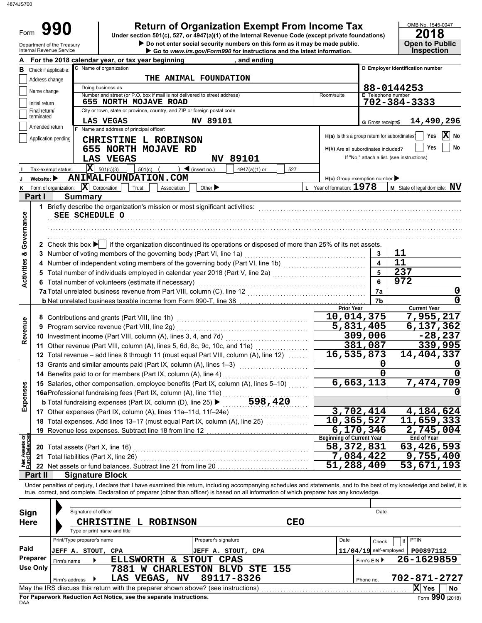Form

## **Return of Organization Exempt From Income Tax**

▶ Do not enter social security numbers on this form as it may be made public. **Open to Public Under section 501(c), 527, or 4947(a)(1) of the Internal Revenue Code (except private foundations)**

| OMB No. 1545-0047 |
|-------------------|
| 2018              |
|                   |

|                                |                                 | Department of the Treasury<br>Internal Revenue Service                                                                                                                     |                        |                                          |                                                                                                            |                     |                              | Do not enter social security numbers on this form as it may be made public.<br>Go to www.irs.gov/Form990 for instructions and the latest information. |            |                                                     |            |                          |                                                          | <b>Open to Public</b><br><b>Inspection</b> |      |
|--------------------------------|---------------------------------|----------------------------------------------------------------------------------------------------------------------------------------------------------------------------|------------------------|------------------------------------------|------------------------------------------------------------------------------------------------------------|---------------------|------------------------------|-------------------------------------------------------------------------------------------------------------------------------------------------------|------------|-----------------------------------------------------|------------|--------------------------|----------------------------------------------------------|--------------------------------------------|------|
|                                |                                 | For the 2018 calendar year, or tax year beginning                                                                                                                          |                        |                                          |                                                                                                            |                     |                              | , and ending                                                                                                                                          |            |                                                     |            |                          |                                                          |                                            |      |
|                                | <b>B</b> Check if applicable:   |                                                                                                                                                                            |                        | C Name of organization                   |                                                                                                            |                     |                              |                                                                                                                                                       |            |                                                     |            |                          | D Employer identification number                         |                                            |      |
|                                | Address change                  |                                                                                                                                                                            |                        |                                          |                                                                                                            |                     | <b>THE ANIMAL FOUNDATION</b> |                                                                                                                                                       |            |                                                     |            |                          |                                                          |                                            |      |
|                                | Name change                     |                                                                                                                                                                            | Doing business as      |                                          |                                                                                                            |                     |                              |                                                                                                                                                       |            |                                                     |            |                          | 88-0144253                                               |                                            |      |
|                                |                                 |                                                                                                                                                                            |                        |                                          | Number and street (or P.O. box if mail is not delivered to street address)<br><b>655 NORTH MOJAVE ROAD</b> |                     |                              |                                                                                                                                                       |            | Room/suite                                          |            |                          | <b>E</b> Telephone number<br>702-384-3333                |                                            |      |
|                                | Initial return<br>Final return/ |                                                                                                                                                                            |                        |                                          | City or town, state or province, country, and ZIP or foreign postal code                                   |                     |                              |                                                                                                                                                       |            |                                                     |            |                          |                                                          |                                            |      |
|                                | terminated                      |                                                                                                                                                                            |                        | LAS VEGAS                                |                                                                                                            |                     | NV 89101                     |                                                                                                                                                       |            |                                                     |            |                          |                                                          | 14,490,296                                 |      |
|                                | Amended return                  |                                                                                                                                                                            |                        | F Name and address of principal officer: |                                                                                                            |                     |                              |                                                                                                                                                       |            |                                                     |            | G Gross receipts\$       |                                                          |                                            |      |
|                                | Application pending             |                                                                                                                                                                            |                        |                                          | CHRISTINE L ROBINSON                                                                                       |                     |                              |                                                                                                                                                       |            |                                                     |            |                          | $H(a)$ is this a group return for subordinates?          | Yes                                        | X No |
|                                |                                 |                                                                                                                                                                            |                        |                                          | <b>655 NORTH MOJAVE RD</b>                                                                                 |                     |                              |                                                                                                                                                       |            | H(b) Are all subordinates included?                 |            |                          |                                                          | Yes                                        | No   |
|                                |                                 |                                                                                                                                                                            |                        | LAS VEGAS                                |                                                                                                            |                     |                              | NV 89101                                                                                                                                              |            |                                                     |            |                          | If "No," attach a list. (see instructions)               |                                            |      |
|                                |                                 | Tax-exempt status:                                                                                                                                                         | $\mathbf{X}$ 501(c)(3) |                                          | 501(c) $($                                                                                                 | $\sum$ (insert no.) |                              | 4947(a)(1) or                                                                                                                                         | 527        |                                                     |            |                          |                                                          |                                            |      |
|                                | Website:                        |                                                                                                                                                                            |                        |                                          | ANIMALFOUNDATION.COM                                                                                       |                     |                              |                                                                                                                                                       |            | $H(c)$ Group exemption number $\blacktriangleright$ |            |                          |                                                          |                                            |      |
|                                |                                 | Form of organization: $\ \mathbf{X}\ $ Corporation                                                                                                                         |                        |                                          | Trust<br>Association                                                                                       |                     | Other $\blacktriangleright$  |                                                                                                                                                       |            | $L$ Year of formation: $1978$                       |            |                          | <b>M</b> State of legal domicile: $\overline{\text{NV}}$ |                                            |      |
|                                | Part I                          | <b>Summary</b>                                                                                                                                                             |                        |                                          |                                                                                                            |                     |                              |                                                                                                                                                       |            |                                                     |            |                          |                                                          |                                            |      |
|                                |                                 |                                                                                                                                                                            |                        |                                          |                                                                                                            |                     |                              |                                                                                                                                                       |            |                                                     |            |                          |                                                          |                                            |      |
| Governance                     |                                 | SEE SCHEDULE O                                                                                                                                                             |                        |                                          |                                                                                                            |                     |                              |                                                                                                                                                       |            |                                                     |            |                          |                                                          |                                            |      |
|                                |                                 |                                                                                                                                                                            |                        |                                          |                                                                                                            |                     |                              |                                                                                                                                                       |            |                                                     |            |                          |                                                          |                                            |      |
|                                |                                 |                                                                                                                                                                            |                        |                                          |                                                                                                            |                     |                              |                                                                                                                                                       |            |                                                     |            |                          |                                                          |                                            |      |
|                                |                                 | 2 Check this box $\blacktriangleright$ if the organization discontinued its operations or disposed of more than 25% of its net assets.                                     |                        |                                          |                                                                                                            |                     |                              |                                                                                                                                                       |            |                                                     |            |                          |                                                          |                                            |      |
| ×                              |                                 | 3 Number of voting members of the governing body (Part VI, line 1a)                                                                                                        |                        |                                          |                                                                                                            |                     |                              |                                                                                                                                                       |            |                                                     |            | 3                        | 11                                                       |                                            |      |
|                                |                                 |                                                                                                                                                                            |                        |                                          |                                                                                                            |                     |                              |                                                                                                                                                       |            |                                                     |            | 4                        | $\overline{11}$                                          |                                            |      |
| Activities                     |                                 |                                                                                                                                                                            |                        |                                          |                                                                                                            |                     |                              |                                                                                                                                                       |            |                                                     |            | 5                        | 237                                                      |                                            |      |
|                                |                                 | 6 Total number of volunteers (estimate if necessary)                                                                                                                       |                        |                                          |                                                                                                            |                     |                              |                                                                                                                                                       |            |                                                     |            | 6                        | 972                                                      |                                            |      |
|                                |                                 |                                                                                                                                                                            |                        |                                          |                                                                                                            |                     |                              |                                                                                                                                                       |            |                                                     |            | 7a                       |                                                          |                                            | 0    |
|                                |                                 |                                                                                                                                                                            |                        |                                          |                                                                                                            |                     |                              |                                                                                                                                                       |            |                                                     | Prior Year | 7b                       |                                                          | <b>Current Year</b>                        | 0    |
|                                |                                 |                                                                                                                                                                            |                        |                                          |                                                                                                            |                     |                              |                                                                                                                                                       |            | 10,014,375                                          |            |                          |                                                          | 7,955,217                                  |      |
| Revenue                        |                                 | 9 Program service revenue (Part VIII, line 2g)                                                                                                                             |                        |                                          |                                                                                                            |                     |                              |                                                                                                                                                       |            |                                                     |            | 5,831,405                |                                                          | 6,137,362                                  |      |
|                                |                                 |                                                                                                                                                                            |                        |                                          |                                                                                                            |                     |                              |                                                                                                                                                       |            |                                                     |            | 309,006                  |                                                          | $-28,237$                                  |      |
|                                |                                 | 11 Other revenue (Part VIII, column (A), lines 5, 6d, 8c, 9c, 10c, and 11e)                                                                                                |                        |                                          |                                                                                                            |                     |                              |                                                                                                                                                       |            |                                                     |            | 381,087                  |                                                          | 339,995                                    |      |
|                                |                                 | 12 Total revenue - add lines 8 through 11 (must equal Part VIII, column (A), line 12)                                                                                      |                        |                                          |                                                                                                            |                     |                              |                                                                                                                                                       |            | $\overline{16}$ , 535, 873                          |            |                          |                                                          | 14,404,337                                 |      |
|                                |                                 | 13 Grants and similar amounts paid (Part IX, column (A), lines 1-3) [[[[[[[[[[[[[[[[[[[[[[[[[[[[[[[[                                                                       |                        |                                          |                                                                                                            |                     |                              |                                                                                                                                                       |            |                                                     |            |                          |                                                          |                                            |      |
|                                |                                 | 14 Benefits paid to or for members (Part IX, column (A), line 4)                                                                                                           |                        |                                          |                                                                                                            |                     |                              |                                                                                                                                                       |            |                                                     |            |                          |                                                          |                                            |      |
| nses                           |                                 | 15 Salaries, other compensation, employee benefits (Part IX, column (A), lines 5-10)                                                                                       |                        |                                          |                                                                                                            |                     |                              |                                                                                                                                                       |            |                                                     |            | 6,663,113                |                                                          | 7, 474, 709                                |      |
|                                |                                 | 16aProfessional fundraising fees (Part IX, column (A), line 11e)                                                                                                           |                        |                                          |                                                                                                            |                     |                              |                                                                                                                                                       |            |                                                     |            |                          |                                                          |                                            |      |
| Exper                          |                                 |                                                                                                                                                                            |                        |                                          |                                                                                                            |                     |                              |                                                                                                                                                       |            |                                                     |            |                          |                                                          |                                            |      |
|                                |                                 |                                                                                                                                                                            |                        |                                          |                                                                                                            |                     |                              |                                                                                                                                                       |            |                                                     |            | 3,702,414                |                                                          | 4,184,624                                  |      |
|                                |                                 | 18 Total expenses. Add lines 13-17 (must equal Part IX, column (A), line 25)                                                                                               |                        |                                          |                                                                                                            |                     |                              |                                                                                                                                                       |            | 10,365,527                                          |            |                          |                                                          | 11,659,333                                 |      |
|                                |                                 |                                                                                                                                                                            |                        |                                          |                                                                                                            |                     |                              |                                                                                                                                                       |            | <b>Beginning of Current Year</b>                    |            | 6,170,346                |                                                          | 2,745,004<br>End of Year                   |      |
| Net Assets or<br>Fund Balances |                                 | 20 Total assets (Part X, line 16)                                                                                                                                          |                        |                                          |                                                                                                            |                     |                              |                                                                                                                                                       |            | $\overline{58,37}$ 2,831                            |            |                          |                                                          | $\overline{63,426,593}$                    |      |
|                                |                                 | 21 Total liabilities (Part X, line 26)                                                                                                                                     |                        |                                          |                                                                                                            |                     |                              |                                                                                                                                                       |            |                                                     |            | 7,084,422                |                                                          | 9,755,400                                  |      |
|                                |                                 | 22 Net assets or fund balances. Subtract line 21 from line 20                                                                                                              |                        |                                          |                                                                                                            |                     |                              |                                                                                                                                                       |            | 51,288,409                                          |            |                          |                                                          | 53,671,193                                 |      |
|                                | Part II                         | <b>Signature Block</b>                                                                                                                                                     |                        |                                          |                                                                                                            |                     |                              |                                                                                                                                                       |            |                                                     |            |                          |                                                          |                                            |      |
|                                |                                 | Under penalties of perjury, I declare that I have examined this return, including accompanying schedules and statements, and to the best of my knowledge and belief, it is |                        |                                          |                                                                                                            |                     |                              |                                                                                                                                                       |            |                                                     |            |                          |                                                          |                                            |      |
|                                |                                 | true, correct, and complete. Declaration of preparer (other than officer) is based on all information of which preparer has any knowledge.                                 |                        |                                          |                                                                                                            |                     |                              |                                                                                                                                                       |            |                                                     |            |                          |                                                          |                                            |      |
|                                |                                 |                                                                                                                                                                            |                        |                                          |                                                                                                            |                     |                              |                                                                                                                                                       |            |                                                     |            |                          |                                                          |                                            |      |
| Sign                           |                                 |                                                                                                                                                                            | Signature of officer   |                                          |                                                                                                            |                     |                              |                                                                                                                                                       |            |                                                     |            | Date                     |                                                          |                                            |      |
| <b>Here</b>                    |                                 |                                                                                                                                                                            |                        |                                          | CHRISTINE L ROBINSON                                                                                       |                     |                              |                                                                                                                                                       | <b>CEO</b> |                                                     |            |                          |                                                          |                                            |      |
|                                |                                 |                                                                                                                                                                            |                        | Type or print name and title             |                                                                                                            |                     |                              |                                                                                                                                                       |            |                                                     |            |                          |                                                          |                                            |      |
|                                |                                 | Print/Type preparer's name                                                                                                                                                 |                        |                                          |                                                                                                            |                     | Preparer's signature         |                                                                                                                                                       |            | Date                                                |            | Check                    | <b>PTIN</b><br>if                                        |                                            |      |
| Paid                           |                                 | JEFF A. STOUT, CPA                                                                                                                                                         |                        |                                          |                                                                                                            |                     |                              | <b>JEFF A. STOUT, CPA</b>                                                                                                                             |            |                                                     |            | $11/04/19$ self-employed |                                                          | P00897112                                  |      |
|                                | Preparer                        | Firm's name                                                                                                                                                                |                        |                                          | ELLSWORTH & STOUT CPAS                                                                                     |                     |                              |                                                                                                                                                       |            |                                                     |            | Firm's EIN ▶             |                                                          | 26-1629859                                 |      |
|                                | <b>Use Only</b>                 |                                                                                                                                                                            |                        |                                          | 7881 W CHARLESTON BLVD STE                                                                                 |                     |                              |                                                                                                                                                       | 155        |                                                     |            |                          |                                                          |                                            |      |
|                                |                                 | Firm's address                                                                                                                                                             |                        |                                          | LAS VEGAS, NV                                                                                              |                     | 89117-8326                   |                                                                                                                                                       |            |                                                     |            | Phone no.                | 702-871-2727                                             |                                            |      |
|                                |                                 | May the IRS discuss this return with the preparer shown above? (see instructions)                                                                                          |                        |                                          |                                                                                                            |                     |                              |                                                                                                                                                       |            |                                                     |            |                          |                                                          | X Yes                                      | No   |

| Sign        |                            | Signature of officer         |                                                                                   |                                |      |              | Date                     |                 |                 |
|-------------|----------------------------|------------------------------|-----------------------------------------------------------------------------------|--------------------------------|------|--------------|--------------------------|-----------------|-----------------|
| <b>Here</b> |                            | Type or print name and title | <b>CHRISTINE L</b><br><b>ROBINSON</b>                                             |                                | CEO  |              |                          |                 |                 |
|             | Print/Type preparer's name |                              |                                                                                   | Preparer's signature           | Date |              | if<br>Check              | <b>PTIN</b>     |                 |
| Paid        | <b>JEFF A. STOUT, CPA</b>  |                              |                                                                                   | JEFF A. STOUT, CPA             |      |              | $11/04/19$ self-employed | P00897112       |                 |
| Preparer    | Firm's name                |                              | <b>ELLSWORTH</b><br>&.                                                            | STOUT<br><b>CPAS</b>           |      | Firm's $EIN$ |                          | 26-1629859      |                 |
| Use Only    |                            |                              | 7881<br>W                                                                         | <b>CHARLESTON BLVD STE 155</b> |      |              |                          |                 |                 |
|             | Firm's address             |                              | LAS VEGAS,<br>NV                                                                  | 89117-8326                     |      | Phone no.    |                          | 702-871-2727    |                 |
|             |                            |                              | May the IRS discuss this return with the preparer shown above? (see instructions) |                                |      |              |                          | x<br><b>Yes</b> | l No            |
| DAA         |                            |                              | For Paperwork Reduction Act Notice, see the separate instructions.                |                                |      |              |                          |                 | Form 990 (2018) |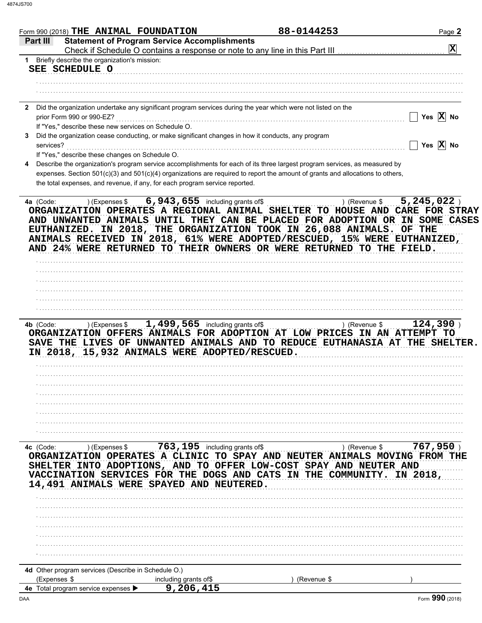| Form 990 (2018) THE ANIMAL FOUNDATION                                                                                                                                                                                                                                                                                                                                            | 88-0144253    | Page 2                   |
|----------------------------------------------------------------------------------------------------------------------------------------------------------------------------------------------------------------------------------------------------------------------------------------------------------------------------------------------------------------------------------|---------------|--------------------------|
| <b>Statement of Program Service Accomplishments</b><br>Part III                                                                                                                                                                                                                                                                                                                  |               |                          |
| Check if Schedule O contains a response or note to any line in this Part III [11] [11] [11] [11] Check if Schedule O contains a response or note to any line in this Part III                                                                                                                                                                                                    |               | $\vert \mathbf{x} \vert$ |
| 1 Briefly describe the organization's mission:                                                                                                                                                                                                                                                                                                                                   |               |                          |
| SEE SCHEDULE O                                                                                                                                                                                                                                                                                                                                                                   |               |                          |
|                                                                                                                                                                                                                                                                                                                                                                                  |               |                          |
|                                                                                                                                                                                                                                                                                                                                                                                  |               |                          |
| 2 Did the organization undertake any significant program services during the year which were not listed on the                                                                                                                                                                                                                                                                   |               |                          |
| prior Form 990 or 990-EZ?                                                                                                                                                                                                                                                                                                                                                        |               | Yes $X$ No               |
| If "Yes," describe these new services on Schedule O.                                                                                                                                                                                                                                                                                                                             |               |                          |
| Did the organization cease conducting, or make significant changes in how it conducts, any program                                                                                                                                                                                                                                                                               |               |                          |
| services?                                                                                                                                                                                                                                                                                                                                                                        |               | Yes $\overline{X}$ No    |
| If "Yes," describe these changes on Schedule O.                                                                                                                                                                                                                                                                                                                                  |               |                          |
| Describe the organization's program service accomplishments for each of its three largest program services, as measured by                                                                                                                                                                                                                                                       |               |                          |
| expenses. Section 501(c)(3) and 501(c)(4) organizations are required to report the amount of grants and allocations to others,                                                                                                                                                                                                                                                   |               |                          |
| the total expenses, and revenue, if any, for each program service reported.                                                                                                                                                                                                                                                                                                      |               |                          |
|                                                                                                                                                                                                                                                                                                                                                                                  |               |                          |
| $6,943,655$ including grants of \$<br>) (Expenses \$<br>4a (Code:                                                                                                                                                                                                                                                                                                                | ) (Revenue \$ | 5, 245, 022              |
| ORGANIZATION OPERATES A REGIONAL ANIMAL SHELTER TO HOUSE AND CARE FOR STRAY                                                                                                                                                                                                                                                                                                      |               |                          |
| AND UNWANTED ANIMALS UNTIL THEY CAN BE PLACED FOR ADOPTION OR IN SOME CASES                                                                                                                                                                                                                                                                                                      |               |                          |
| EUTHANIZED. IN 2018, THE ORGANIZATION TOOK IN 26,088 ANIMALS. OF THE<br>ANIMALS RECEIVED IN 2018, 61% WERE ADOPTED/RESCUED, 15% WERE EUTHANIZED,                                                                                                                                                                                                                                 |               |                          |
| AND 24% WERE RETURNED TO THEIR OWNERS OR WERE RETURNED TO THE FIELD.                                                                                                                                                                                                                                                                                                             |               |                          |
|                                                                                                                                                                                                                                                                                                                                                                                  |               |                          |
|                                                                                                                                                                                                                                                                                                                                                                                  |               |                          |
|                                                                                                                                                                                                                                                                                                                                                                                  |               |                          |
|                                                                                                                                                                                                                                                                                                                                                                                  |               |                          |
|                                                                                                                                                                                                                                                                                                                                                                                  |               |                          |
|                                                                                                                                                                                                                                                                                                                                                                                  |               |                          |
|                                                                                                                                                                                                                                                                                                                                                                                  |               |                          |
| ) (Expenses $$ 1,499,565$ including grants of \$<br>4b (Code:                                                                                                                                                                                                                                                                                                                    | ) (Revenue \$ |                          |
| ORGANIZATION OFFERS ANIMALS FOR ADOPTION AT LOW PRICES IN AN ATTEMPT TO<br>SAVE THE LIVES OF UNWANTED ANIMALS AND TO REDUCE EUTHANASIA AT THE SHELTER.<br>IN 2018, 15,932 ANIMALS WERE ADOPTED/RESCUED.                                                                                                                                                                          |               | 124,390                  |
|                                                                                                                                                                                                                                                                                                                                                                                  |               |                          |
|                                                                                                                                                                                                                                                                                                                                                                                  |               |                          |
|                                                                                                                                                                                                                                                                                                                                                                                  |               |                          |
|                                                                                                                                                                                                                                                                                                                                                                                  |               |                          |
|                                                                                                                                                                                                                                                                                                                                                                                  |               |                          |
|                                                                                                                                                                                                                                                                                                                                                                                  |               |                          |
|                                                                                                                                                                                                                                                                                                                                                                                  |               |                          |
|                                                                                                                                                                                                                                                                                                                                                                                  |               |                          |
| $763, 195$ including grants of \$<br>) (Expenses \$                                                                                                                                                                                                                                                                                                                              | ) (Revenue \$ | $767,950$ )              |
|                                                                                                                                                                                                                                                                                                                                                                                  |               |                          |
|                                                                                                                                                                                                                                                                                                                                                                                  |               |                          |
|                                                                                                                                                                                                                                                                                                                                                                                  |               |                          |
|                                                                                                                                                                                                                                                                                                                                                                                  |               |                          |
|                                                                                                                                                                                                                                                                                                                                                                                  |               |                          |
|                                                                                                                                                                                                                                                                                                                                                                                  |               |                          |
|                                                                                                                                                                                                                                                                                                                                                                                  |               |                          |
|                                                                                                                                                                                                                                                                                                                                                                                  |               |                          |
|                                                                                                                                                                                                                                                                                                                                                                                  |               |                          |
|                                                                                                                                                                                                                                                                                                                                                                                  |               |                          |
|                                                                                                                                                                                                                                                                                                                                                                                  |               |                          |
| 4c (Code:<br>ORGANIZATION OPERATES A CLINIC TO SPAY AND NEUTER ANIMALS MOVING FROM THE<br>SHELTER INTO ADOPTIONS, AND TO OFFER LOW-COST SPAY AND NEUTER AND<br>VACCINATION SERVICES FOR THE DOGS AND CATS IN THE COMMUNITY. IN 2018,<br>14,491 ANIMALS WERE SPAYED AND NEUTERED.<br>4d Other program services (Describe in Schedule O.)<br>(Expenses \$<br>including grants of\$ | (Revenue \$   |                          |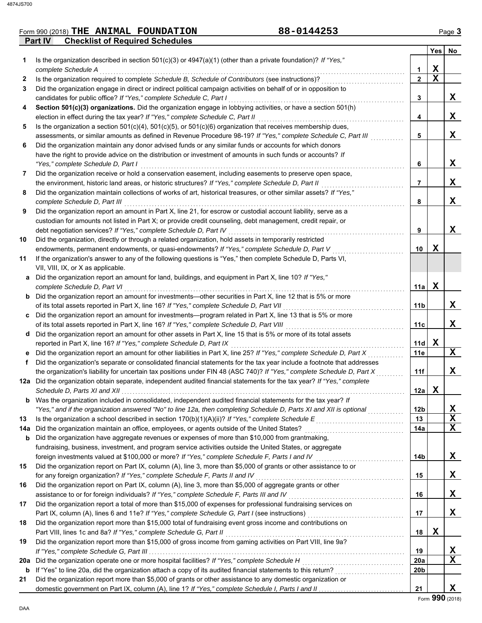|                | Form 990 (2018) THE ANIMAL FOUNDATION  | 88-0144253 | $P$ aqe $\ddot{\omega}$ |
|----------------|----------------------------------------|------------|-------------------------|
| <b>Part IV</b> | <b>Checklist of Required Schedules</b> |            |                         |
|                |                                        |            |                         |

|          |                                                                                                                                                                                                                                                   |                 | <b>Yes</b>  | No.         |
|----------|---------------------------------------------------------------------------------------------------------------------------------------------------------------------------------------------------------------------------------------------------|-----------------|-------------|-------------|
| 1        | Is the organization described in section $501(c)(3)$ or $4947(a)(1)$ (other than a private foundation)? If "Yes,"                                                                                                                                 |                 |             |             |
|          | complete Schedule A                                                                                                                                                                                                                               | 1               | X           |             |
| 2        | Is the organization required to complete Schedule B, Schedule of Contributors (see instructions)?                                                                                                                                                 | $\overline{2}$  | $\mathbf x$ |             |
| 3        | Did the organization engage in direct or indirect political campaign activities on behalf of or in opposition to                                                                                                                                  |                 |             |             |
|          | candidates for public office? If "Yes," complete Schedule C, Part I                                                                                                                                                                               | 3               |             | X           |
| 4        | Section 501(c)(3) organizations. Did the organization engage in lobbying activities, or have a section 501(h)                                                                                                                                     |                 |             |             |
|          | election in effect during the tax year? If "Yes," complete Schedule C, Part II                                                                                                                                                                    | 4               |             | X           |
| 5        | Is the organization a section $501(c)(4)$ , $501(c)(5)$ , or $501(c)(6)$ organization that receives membership dues,                                                                                                                              |                 |             |             |
|          | assessments, or similar amounts as defined in Revenue Procedure 98-19? If "Yes," complete Schedule C, Part III                                                                                                                                    | 5               |             | X           |
| 6        | Did the organization maintain any donor advised funds or any similar funds or accounts for which donors                                                                                                                                           |                 |             |             |
|          | have the right to provide advice on the distribution or investment of amounts in such funds or accounts? If                                                                                                                                       |                 |             |             |
|          | "Yes," complete Schedule D, Part I<br>Did the organization receive or hold a conservation easement, including easements to preserve open space,                                                                                                   | 6               |             | X.          |
| 7        |                                                                                                                                                                                                                                                   | 7               |             | X           |
| 8        | the environment, historic land areas, or historic structures? If "Yes," complete Schedule D, Part II<br>Did the organization maintain collections of works of art, historical treasures, or other similar assets? If "Yes,"                       |                 |             |             |
|          | complete Schedule D, Part III                                                                                                                                                                                                                     | 8               |             | X           |
| 9        | Did the organization report an amount in Part X, line 21, for escrow or custodial account liability, serve as a                                                                                                                                   |                 |             |             |
|          | custodian for amounts not listed in Part X; or provide credit counseling, debt management, credit repair, or                                                                                                                                      |                 |             |             |
|          | debt negotiation services? If "Yes," complete Schedule D, Part IV                                                                                                                                                                                 | 9               |             | X.          |
| 10       | Did the organization, directly or through a related organization, hold assets in temporarily restricted                                                                                                                                           |                 |             |             |
|          | endowments, permanent endowments, or quasi-endowments? If "Yes," complete Schedule D, Part V                                                                                                                                                      | 10              | X           |             |
| 11       | If the organization's answer to any of the following questions is "Yes," then complete Schedule D, Parts VI,                                                                                                                                      |                 |             |             |
|          | VII, VIII, IX, or X as applicable.                                                                                                                                                                                                                |                 |             |             |
| а        | Did the organization report an amount for land, buildings, and equipment in Part X, line 10? If "Yes,"                                                                                                                                            |                 |             |             |
|          | complete Schedule D, Part VI                                                                                                                                                                                                                      | 11a             | x           |             |
| b        | Did the organization report an amount for investments—other securities in Part X, line 12 that is 5% or more                                                                                                                                      |                 |             |             |
|          | of its total assets reported in Part X, line 16? If "Yes," complete Schedule D, Part VII                                                                                                                                                          | 11b             |             | X           |
|          | Did the organization report an amount for investments—program related in Part X, line 13 that is 5% or more                                                                                                                                       |                 |             |             |
|          | of its total assets reported in Part X, line 16? If "Yes," complete Schedule D, Part VIII                                                                                                                                                         | 11c             |             | X           |
| d        | Did the organization report an amount for other assets in Part X, line 15 that is 5% or more of its total assets                                                                                                                                  |                 |             |             |
|          | reported in Part X, line 16? If "Yes," complete Schedule D, Part IX                                                                                                                                                                               | 11d             | X           |             |
|          | Did the organization report an amount for other liabilities in Part X, line 25? If "Yes," complete Schedule D, Part X                                                                                                                             | 11e             |             | X           |
| f        | Did the organization's separate or consolidated financial statements for the tax year include a footnote that addresses<br>the organization's liability for uncertain tax positions under FIN 48 (ASC 740)? If "Yes," complete Schedule D, Part X | 11f             |             | X           |
|          | 12a Did the organization obtain separate, independent audited financial statements for the tax year? If "Yes," complete                                                                                                                           |                 |             |             |
|          |                                                                                                                                                                                                                                                   | 12a             | X           |             |
| b        | Was the organization included in consolidated, independent audited financial statements for the tax year? If                                                                                                                                      |                 |             |             |
|          | "Yes," and if the organization answered "No" to line 12a, then completing Schedule D, Parts XI and XII is optional                                                                                                                                | 12 <sub>b</sub> |             | <u>x</u>    |
| 13       | Is the organization a school described in section 170(b)(1)(A)(ii)? If "Yes," complete Schedule E                                                                                                                                                 | 13              |             | $\mathbf X$ |
| 14a      | Did the organization maintain an office, employees, or agents outside of the United States?                                                                                                                                                       | 14a             |             | X           |
| b        | Did the organization have aggregate revenues or expenses of more than \$10,000 from grantmaking,                                                                                                                                                  |                 |             |             |
|          | fundraising, business, investment, and program service activities outside the United States, or aggregate                                                                                                                                         |                 |             |             |
|          | foreign investments valued at \$100,000 or more? If "Yes," complete Schedule F, Parts I and IV                                                                                                                                                    | 14b             |             | X           |
| 15       | Did the organization report on Part IX, column (A), line 3, more than \$5,000 of grants or other assistance to or                                                                                                                                 |                 |             |             |
|          | for any foreign organization? If "Yes," complete Schedule F, Parts II and IV                                                                                                                                                                      | 15              |             | X           |
| 16       | Did the organization report on Part IX, column (A), line 3, more than \$5,000 of aggregate grants or other                                                                                                                                        |                 |             |             |
|          | assistance to or for foreign individuals? If "Yes," complete Schedule F, Parts III and IV                                                                                                                                                         | 16              |             | X           |
| 17       | Did the organization report a total of more than \$15,000 of expenses for professional fundraising services on                                                                                                                                    |                 |             |             |
|          |                                                                                                                                                                                                                                                   | 17              |             | X           |
| 18       | Did the organization report more than \$15,000 total of fundraising event gross income and contributions on                                                                                                                                       |                 |             |             |
|          | Part VIII, lines 1c and 8a? If "Yes," complete Schedule G, Part II                                                                                                                                                                                | 18              | X           |             |
| 19       | Did the organization report more than \$15,000 of gross income from gaming activities on Part VIII, line 9a?                                                                                                                                      |                 |             |             |
|          | Did the organization operate one or more hospital facilities? If "Yes," complete Schedule H                                                                                                                                                       | 19<br>20a       |             | X<br>X      |
| 20a<br>b |                                                                                                                                                                                                                                                   | 20b             |             |             |
| 21       | Did the organization report more than \$5,000 of grants or other assistance to any domestic organization or                                                                                                                                       |                 |             |             |
|          |                                                                                                                                                                                                                                                   | 21              |             | X           |
|          |                                                                                                                                                                                                                                                   |                 |             |             |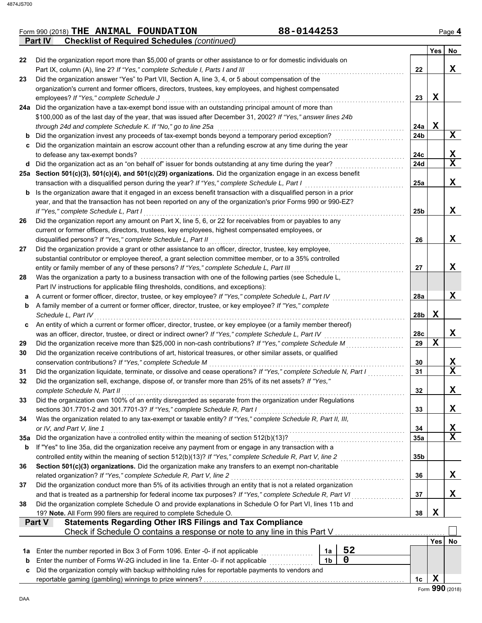|     | Form 990 (2018) THE ANIMAL FOUNDATION                                                                                                                                                       | 88-0144253 |    |    |     |             | Page 4      |
|-----|---------------------------------------------------------------------------------------------------------------------------------------------------------------------------------------------|------------|----|----|-----|-------------|-------------|
|     | <b>Checklist of Required Schedules (continued)</b><br>Part IV                                                                                                                               |            |    |    |     |             |             |
|     |                                                                                                                                                                                             |            |    |    |     | Yes         | No          |
| 22  | Did the organization report more than \$5,000 of grants or other assistance to or for domestic individuals on                                                                               |            |    |    |     |             |             |
|     | Part IX, column (A), line 2? If "Yes," complete Schedule I, Parts I and III                                                                                                                 |            |    |    | 22  |             | X           |
| 23  | Did the organization answer "Yes" to Part VII, Section A, line 3, 4, or 5 about compensation of the                                                                                         |            |    |    |     |             |             |
|     | organization's current and former officers, directors, trustees, key employees, and highest compensated<br>employees? If "Yes," complete Schedule J                                         |            |    |    | 23  | X           |             |
|     | 24a Did the organization have a tax-exempt bond issue with an outstanding principal amount of more than                                                                                     |            |    |    |     |             |             |
|     | \$100,000 as of the last day of the year, that was issued after December 31, 2002? If "Yes," answer lines 24b                                                                               |            |    |    |     |             |             |
|     | through 24d and complete Schedule K. If "No," go to line 25a                                                                                                                                |            |    |    | 24a | $\mathbf X$ |             |
| b   | Did the organization invest any proceeds of tax-exempt bonds beyond a temporary period exception?                                                                                           |            |    |    | 24b |             | X           |
| c   | Did the organization maintain an escrow account other than a refunding escrow at any time during the year                                                                                   |            |    |    |     |             |             |
|     | to defease any tax-exempt bonds?                                                                                                                                                            |            |    |    | 24c |             | X           |
| d   | Did the organization act as an "on behalf of" issuer for bonds outstanding at any time during the year?                                                                                     |            |    |    | 24d |             | X           |
|     | 25a Section 501(c)(3), 501(c)(4), and 501(c)(29) organizations. Did the organization engage in an excess benefit                                                                            |            |    |    |     |             |             |
|     | transaction with a disqualified person during the year? If "Yes," complete Schedule L, Part I                                                                                               |            |    |    | 25a |             | X           |
| b   | Is the organization aware that it engaged in an excess benefit transaction with a disqualified person in a prior                                                                            |            |    |    |     |             |             |
|     | year, and that the transaction has not been reported on any of the organization's prior Forms 990 or 990-EZ?                                                                                |            |    |    |     |             |             |
|     | If "Yes," complete Schedule L, Part I                                                                                                                                                       |            |    |    | 25b |             | X           |
| 26  | Did the organization report any amount on Part X, line 5, 6, or 22 for receivables from or payables to any                                                                                  |            |    |    |     |             |             |
|     | current or former officers, directors, trustees, key employees, highest compensated employees, or                                                                                           |            |    |    |     |             |             |
|     | disqualified persons? If "Yes," complete Schedule L, Part II                                                                                                                                |            |    |    | 26  |             | X           |
| 27  | Did the organization provide a grant or other assistance to an officer, director, trustee, key employee,                                                                                    |            |    |    |     |             |             |
|     | substantial contributor or employee thereof, a grant selection committee member, or to a 35% controlled                                                                                     |            |    |    |     |             |             |
|     | entity or family member of any of these persons? If "Yes," complete Schedule L, Part III                                                                                                    |            |    |    | 27  |             | X           |
| 28  | Was the organization a party to a business transaction with one of the following parties (see Schedule L,                                                                                   |            |    |    |     |             |             |
|     | Part IV instructions for applicable filing thresholds, conditions, and exceptions):                                                                                                         |            |    |    |     |             |             |
| а   | A current or former officer, director, trustee, or key employee? If "Yes," complete Schedule L, Part IV                                                                                     |            |    |    | 28a |             | X           |
| b   | A family member of a current or former officer, director, trustee, or key employee? If "Yes," complete                                                                                      |            |    |    |     |             |             |
|     | Schedule L, Part IV                                                                                                                                                                         |            |    |    | 28b | X           |             |
| c   | An entity of which a current or former officer, director, trustee, or key employee (or a family member thereof)                                                                             |            |    |    |     |             |             |
|     | was an officer, director, trustee, or direct or indirect owner? If "Yes," complete Schedule L, Part IV                                                                                      |            |    |    | 28c |             | X           |
| 29  | Did the organization receive more than \$25,000 in non-cash contributions? If "Yes," complete Schedule M                                                                                    |            |    |    | 29  | $\mathbf x$ |             |
| 30  | Did the organization receive contributions of art, historical treasures, or other similar assets, or qualified                                                                              |            |    |    |     |             |             |
| 31  | conservation contributions? If "Yes," complete Schedule M                                                                                                                                   |            |    |    | 30  |             | X           |
|     | Did the organization liquidate, terminate, or dissolve and cease operations? If "Yes," complete Schedule N, Part I                                                                          |            |    |    | 31  |             | $\mathbf x$ |
|     | Did the organization sell, exchange, dispose of, or transfer more than 25% of its net assets? If "Yes,"                                                                                     |            |    |    |     |             |             |
|     | complete Schedule N, Part II                                                                                                                                                                |            |    |    | 32  |             | X           |
| 33  | Did the organization own 100% of an entity disregarded as separate from the organization under Regulations                                                                                  |            |    |    |     |             | X           |
|     | sections 301.7701-2 and 301.7701-3? If "Yes," complete Schedule R, Part I<br>Was the organization related to any tax-exempt or taxable entity? If "Yes," complete Schedule R, Part II, III, |            |    |    | 33  |             |             |
| 34  | or IV, and Part V, line 1                                                                                                                                                                   |            |    |    | 34  |             | X           |
| 35a | Did the organization have a controlled entity within the meaning of section 512(b)(13)?                                                                                                     |            |    |    | 35a |             | X           |
| b   | If "Yes" to line 35a, did the organization receive any payment from or engage in any transaction with a                                                                                     |            |    |    |     |             |             |
|     | controlled entity within the meaning of section 512(b)(13)? If "Yes," complete Schedule R, Part V, line 2                                                                                   |            |    |    | 35b |             |             |
|     | Section 501(c)(3) organizations. Did the organization make any transfers to an exempt non-charitable                                                                                        |            |    |    |     |             |             |
| 36  | related organization? If "Yes," complete Schedule R, Part V, line 2                                                                                                                         |            |    |    | 36  |             | X           |
| 37  | Did the organization conduct more than 5% of its activities through an entity that is not a related organization                                                                            |            |    |    |     |             |             |
|     | and that is treated as a partnership for federal income tax purposes? If "Yes," complete Schedule R, Part VI                                                                                |            |    |    | 37  |             | X           |
| 38  | Did the organization complete Schedule O and provide explanations in Schedule O for Part VI, lines 11b and                                                                                  |            |    |    |     |             |             |
|     | 19? Note. All Form 990 filers are required to complete Schedule O.                                                                                                                          |            |    |    | 38  | X           |             |
|     | <b>Statements Regarding Other IRS Filings and Tax Compliance</b><br>Part V                                                                                                                  |            |    |    |     |             |             |
|     | Check if Schedule O contains a response or note to any line in this Part V.                                                                                                                 |            |    |    |     |             |             |
|     |                                                                                                                                                                                             |            |    |    |     | Yes         | No          |
| 1a  | Enter the number reported in Box 3 of Form 1096. Enter -0- if not applicable                                                                                                                |            | 1a | 52 |     |             |             |
| b   | Enter the number of Forms W-2G included in line 1a. Enter -0- if not applicable                                                                                                             |            | 1b | 0  |     |             |             |
|     | $\overline{\text{Did}}$ the examination complements becker withholding rules for reportable pour                                                                                            |            |    |    |     |             |             |

| t the organization comply with backup withholding rules for reportable payments to vendors and<br>Did. |  |
|--------------------------------------------------------------------------------------------------------|--|
| reportable gaming (gambling) winnings to prize winners?                                                |  |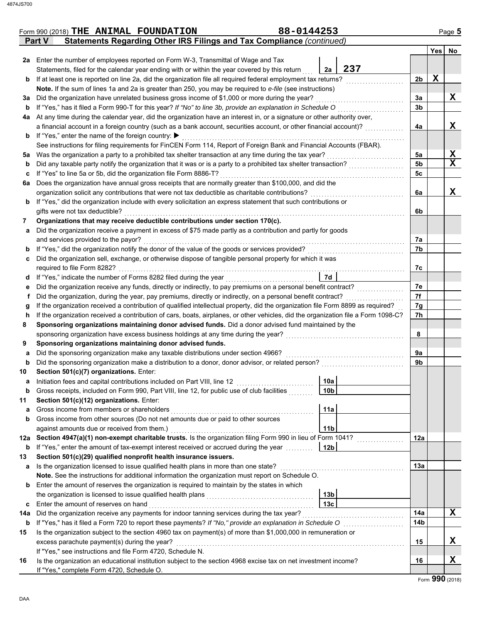|     | 88-0144253<br>Form 990 (2018) THE ANIMAL FOUNDATION<br>Statements Regarding Other IRS Filings and Tax Compliance (continued)<br><b>Part V</b> |                 |     |     | Page 5      |
|-----|-----------------------------------------------------------------------------------------------------------------------------------------------|-----------------|-----|-----|-------------|
|     |                                                                                                                                               |                 |     | Yes | No.         |
| 2a  | Enter the number of employees reported on Form W-3, Transmittal of Wage and Tax                                                               |                 |     |     |             |
|     | Statements, filed for the calendar year ending with or within the year covered by this return                                                 | 237<br>2a       |     |     |             |
| b   | If at least one is reported on line 2a, did the organization file all required federal employment tax returns?                                |                 | 2b  | X   |             |
|     | Note. If the sum of lines 1a and 2a is greater than 250, you may be required to e-file (see instructions)                                     |                 |     |     |             |
| За  | Did the organization have unrelated business gross income of \$1,000 or more during the year?                                                 |                 | За  |     | x           |
| b   | If "Yes," has it filed a Form 990-T for this year? If "No" to line 3b, provide an explanation in Schedule O                                   |                 | 3b  |     |             |
| 4a  | At any time during the calendar year, did the organization have an interest in, or a signature or other authority over,                       |                 |     |     |             |
|     | a financial account in a foreign country (such as a bank account, securities account, or other financial account)?                            |                 | 4a  |     | X           |
| b   | If "Yes," enter the name of the foreign country: ▶                                                                                            |                 |     |     |             |
|     | See instructions for filing requirements for FinCEN Form 114, Report of Foreign Bank and Financial Accounts (FBAR).                           |                 |     |     |             |
| 5a  | Was the organization a party to a prohibited tax shelter transaction at any time during the tax year?                                         |                 | 5a  |     | Х           |
| b   | Did any taxable party notify the organization that it was or is a party to a prohibited tax shelter transaction?                              |                 | 5b  |     | $\mathbf x$ |
| c   | If "Yes" to line 5a or 5b, did the organization file Form 8886-T?                                                                             |                 | 5c  |     |             |
| 6a  | Does the organization have annual gross receipts that are normally greater than \$100,000, and did the                                        |                 |     |     |             |
|     | organization solicit any contributions that were not tax deductible as charitable contributions?                                              |                 | 6a  |     | X           |
| b   | If "Yes," did the organization include with every solicitation an express statement that such contributions or                                |                 |     |     |             |
|     | qifts were not tax deductible?                                                                                                                |                 | 6b  |     |             |
| 7   | Organizations that may receive deductible contributions under section 170(c).                                                                 |                 |     |     |             |
| a   | Did the organization receive a payment in excess of \$75 made partly as a contribution and partly for goods                                   |                 |     |     |             |
|     | and services provided to the payor?                                                                                                           |                 | 7а  |     |             |
| b   | If "Yes," did the organization notify the donor of the value of the goods or services provided?                                               |                 | 7b  |     |             |
| c   | Did the organization sell, exchange, or otherwise dispose of tangible personal property for which it was                                      |                 |     |     |             |
|     | required to file Form 8282?                                                                                                                   |                 | 7с  |     |             |
| d   | If "Yes," indicate the number of Forms 8282 filed during the year                                                                             | 7d              |     |     |             |
| е   | Did the organization receive any funds, directly or indirectly, to pay premiums on a personal benefit contract?                               |                 | 7e  |     |             |
| f   | Did the organization, during the year, pay premiums, directly or indirectly, on a personal benefit contract?                                  |                 | 7f  |     |             |
| g   | If the organization received a contribution of qualified intellectual property, did the organization file Form 8899 as required?              |                 | 7g  |     |             |
| h   | If the organization received a contribution of cars, boats, airplanes, or other vehicles, did the organization file a Form 1098-C?            |                 | 7h  |     |             |
| 8   | Sponsoring organizations maintaining donor advised funds. Did a donor advised fund maintained by the                                          |                 |     |     |             |
|     | sponsoring organization have excess business holdings at any time during the year?                                                            |                 | 8   |     |             |
| 9   | Sponsoring organizations maintaining donor advised funds.                                                                                     |                 |     |     |             |
| a   | Did the sponsoring organization make any taxable distributions under section 4966?                                                            |                 | 9a  |     |             |
| b   | Did the sponsoring organization make a distribution to a donor, donor advisor, or related person?                                             |                 | 9b  |     |             |
| 10  | Section 501(c)(7) organizations. Enter:                                                                                                       |                 |     |     |             |
| а   | Initiation fees and capital contributions included on Part VIII, line 12                                                                      | 10a             |     |     |             |
| b   | Gross receipts, included on Form 990, Part VIII, line 12, for public use of club facilities                                                   | 10 <sub>b</sub> |     |     |             |
| 11  | Section 501(c)(12) organizations. Enter:                                                                                                      |                 |     |     |             |
| а   | Gross income from members or shareholders                                                                                                     | 11a             |     |     |             |
| b   | Gross income from other sources (Do not net amounts due or paid to other sources                                                              |                 |     |     |             |
|     | against amounts due or received from them.)                                                                                                   | 11 <sub>b</sub> |     |     |             |
| 12a | Section 4947(a)(1) non-exempt charitable trusts. Is the organization filing Form 990 in lieu of Form 1041?                                    |                 | 12a |     |             |
| b   | If "Yes," enter the amount of tax-exempt interest received or accrued during the year [11, 11, 11, 11]                                        | 12 <sub>b</sub> |     |     |             |
| 13  | Section 501(c)(29) qualified nonprofit health insurance issuers.                                                                              |                 |     |     |             |
| а   | Is the organization licensed to issue qualified health plans in more than one state?                                                          |                 | 13a |     |             |
|     | Note. See the instructions for additional information the organization must report on Schedule O.                                             |                 |     |     |             |
| b   | Enter the amount of reserves the organization is required to maintain by the states in which                                                  |                 |     |     |             |
|     |                                                                                                                                               | 13 <sub>b</sub> |     |     |             |
| c   | Enter the amount of reserves on hand                                                                                                          | 13с             |     |     |             |
| 14a | Did the organization receive any payments for indoor tanning services during the tax year?                                                    |                 | 14a |     | x           |
| b   | If "Yes," has it filed a Form 720 to report these payments? If "No," provide an explanation in Schedule O                                     |                 | 14b |     |             |
| 15  | Is the organization subject to the section 4960 tax on payment(s) of more than \$1,000,000 in remuneration or                                 |                 |     |     |             |
|     | excess parachute payment(s) during the year?                                                                                                  |                 | 15  |     | Х           |
|     | If "Yes," see instructions and file Form 4720, Schedule N.                                                                                    |                 |     |     |             |
| 16  | Is the organization an educational institution subject to the section 4968 excise tax on net investment income?                               |                 | 16  |     | Х           |
|     | If "Yes," complete Form 4720, Schedule O.                                                                                                     |                 |     |     |             |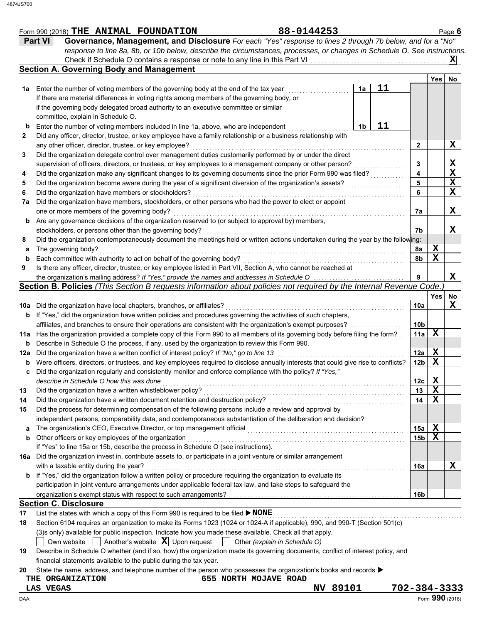|     | 88-0144253<br>Form 990 (2018) THE ANIMAL FOUNDATION                                                                                                                                      |                |    |                 |             | Page $6$     |
|-----|------------------------------------------------------------------------------------------------------------------------------------------------------------------------------------------|----------------|----|-----------------|-------------|--------------|
|     | Governance, Management, and Disclosure For each "Yes" response to lines 2 through 7b below, and for a "No"<br><b>Part VI</b>                                                             |                |    |                 |             |              |
|     | response to line 8a, 8b, or 10b below, describe the circumstances, processes, or changes in Schedule O. See instructions.                                                                |                |    |                 |             |              |
|     | Check if Schedule O contains a response or note to any line in this Part VI                                                                                                              |                |    |                 |             | $ {\bf X} $  |
|     | <b>Section A. Governing Body and Management</b>                                                                                                                                          |                |    |                 |             |              |
|     |                                                                                                                                                                                          |                |    |                 | Yes         | No           |
| 1а  | Enter the number of voting members of the governing body at the end of the tax year                                                                                                      | 1a             | 11 |                 |             |              |
|     | If there are material differences in voting rights among members of the governing body, or                                                                                               |                |    |                 |             |              |
|     | if the governing body delegated broad authority to an executive committee or similar                                                                                                     |                |    |                 |             |              |
|     | committee, explain in Schedule O.                                                                                                                                                        |                |    |                 |             |              |
| b   | Enter the number of voting members included in line 1a, above, who are independent                                                                                                       | 1 <sub>b</sub> | 11 |                 |             |              |
| 2   | Did any officer, director, trustee, or key employee have a family relationship or a business relationship with                                                                           |                |    |                 |             |              |
|     | any other officer, director, trustee, or key employee?                                                                                                                                   |                |    | 2               |             | X            |
| 3   | Did the organization delegate control over management duties customarily performed by or under the direct                                                                                |                |    |                 |             |              |
|     | supervision of officers, directors, or trustees, or key employees to a management company or other person?                                                                               |                |    | 3               |             | <u>x</u>     |
| 4   | Did the organization make any significant changes to its governing documents since the prior Form 990 was filed?                                                                         |                |    | 4               |             | X            |
| 5   | Did the organization become aware during the year of a significant diversion of the organization's assets?                                                                               |                |    | 5               |             | X            |
| 6   | Did the organization have members or stockholders?                                                                                                                                       |                |    | 6               |             | $\mathbf x$  |
| 7a  | Did the organization have members, stockholders, or other persons who had the power to elect or appoint                                                                                  |                |    |                 |             |              |
|     | one or more members of the governing body?                                                                                                                                               |                |    | 7a              |             | X            |
| b   | Are any governance decisions of the organization reserved to (or subject to approval by) members,                                                                                        |                |    |                 |             |              |
|     | stockholders, or persons other than the governing body?                                                                                                                                  |                |    | 7b              |             | X            |
| 8   | Did the organization contemporaneously document the meetings held or written actions undertaken during the year by the following:                                                        |                |    |                 |             |              |
| a   | The governing body?                                                                                                                                                                      |                |    | 8a              | Х           |              |
| b   | Each committee with authority to act on behalf of the governing body?                                                                                                                    |                |    | 8b              | $\mathbf X$ |              |
| 9   | Is there any officer, director, trustee, or key employee listed in Part VII, Section A, who cannot be reached at                                                                         |                |    |                 |             |              |
|     | the organization's mailing address? If "Yes," provide the names and addresses in Schedule O                                                                                              |                |    |                 |             | X            |
|     | Section B. Policies (This Section B requests information about policies not required by the Internal Revenue Code.                                                                       |                |    |                 |             |              |
|     |                                                                                                                                                                                          |                |    |                 | Yes         | No           |
| 10a | Did the organization have local chapters, branches, or affiliates?                                                                                                                       |                |    | 10a             |             | X            |
| b   | If "Yes," did the organization have written policies and procedures governing the activities of such chapters,                                                                           |                |    |                 |             |              |
|     | affiliates, and branches to ensure their operations are consistent with the organization's exempt purposes?                                                                              |                |    | 10 <sub>b</sub> |             |              |
| 11a | Has the organization provided a complete copy of this Form 990 to all members of its governing body before filing the form?                                                              |                |    | 11a             | X           |              |
| b   | Describe in Schedule O the process, if any, used by the organization to review this Form 990.                                                                                            |                |    |                 |             |              |
| 12a | Did the organization have a written conflict of interest policy? If "No," go to line 13                                                                                                  |                |    | 12a             | X           |              |
|     | Were officers, directors, or trustees, and key employees required to disclose annually interests that could give rise to conflicts?                                                      |                |    | 12 <sub>b</sub> | $\mathbf x$ |              |
| b   | Did the organization regularly and consistently monitor and enforce compliance with the policy? If "Yes,"                                                                                |                |    |                 |             |              |
| c   | describe in Schedule O how this was done                                                                                                                                                 |                |    | 12c             | X           |              |
|     |                                                                                                                                                                                          |                |    | 13              | X           |              |
| 13  | Did the organization have a written whistleblower policy?<br>Did the organization have a written document retention and destruction policy?                                              |                |    | 14              | $\mathbf x$ |              |
| 14  |                                                                                                                                                                                          |                |    |                 |             |              |
| 15  | Did the process for determining compensation of the following persons include a review and approval by                                                                                   |                |    |                 |             |              |
|     | independent persons, comparability data, and contemporaneous substantiation of the deliberation and decision?                                                                            |                |    |                 |             |              |
| a   | The organization's CEO, Executive Director, or top management official<br>and a complete the contract of the complete the complete the complete the complete the complete the complete t |                |    | 15a             | X           |              |
| b   | Other officers or key employees of the organization                                                                                                                                      |                |    | 15 <sub>b</sub> | $\mathbf x$ |              |
|     | If "Yes" to line 15a or 15b, describe the process in Schedule O (see instructions).                                                                                                      |                |    |                 |             |              |
| 16a | Did the organization invest in, contribute assets to, or participate in a joint venture or similar arrangement                                                                           |                |    |                 |             |              |
|     | with a taxable entity during the year?                                                                                                                                                   |                |    | 16a             |             | X            |
| b   | If "Yes," did the organization follow a written policy or procedure requiring the organization to evaluate its                                                                           |                |    |                 |             |              |
|     | participation in joint venture arrangements under applicable federal tax law, and take steps to safeguard the                                                                            |                |    |                 |             |              |
|     |                                                                                                                                                                                          |                |    | 16b             |             |              |
|     | <b>Section C. Disclosure</b>                                                                                                                                                             |                |    |                 |             |              |
| 17  | List the states with which a copy of this Form 990 is required to be filed $\blacktriangleright$ NONE                                                                                    |                |    |                 |             |              |
| 18  | Section 6104 requires an organization to make its Forms 1023 (1024 or 1024-A if applicable), 990, and 990-T (Section 501(c)                                                              |                |    |                 |             |              |
|     | (3)s only) available for public inspection. Indicate how you made these available. Check all that apply.                                                                                 |                |    |                 |             |              |
|     | $\vert$ Another's website $\vert X \vert$ Upon request $\vert$ Other (explain in Schedule O)<br>Own website                                                                              |                |    |                 |             |              |
| 19  | Describe in Schedule O whether (and if so, how) the organization made its governing documents, conflict of interest policy, and                                                          |                |    |                 |             |              |
|     | financial statements available to the public during the tax year.                                                                                                                        |                |    |                 |             |              |
| 20  | State the name, address, and telephone number of the person who possesses the organization's books and records $\blacktriangleright$                                                     |                |    |                 |             |              |
|     | 655 NORTH MOJAVE ROAD<br>THE ORGANIZATION                                                                                                                                                |                |    |                 |             |              |
|     | NV 89101<br>LAS VEGAS                                                                                                                                                                    |                |    |                 |             | 702-384-3333 |

 $\blacksquare$   $\blacksquare$   $\blacksquare$   $\blacksquare$   $\blacksquare$   $\blacksquare$   $\blacksquare$   $\blacksquare$   $\blacksquare$   $\blacksquare$   $\blacksquare$   $\blacksquare$   $\blacksquare$   $\blacksquare$   $\blacksquare$   $\blacksquare$   $\blacksquare$   $\blacksquare$   $\blacksquare$   $\blacksquare$   $\blacksquare$   $\blacksquare$   $\blacksquare$   $\blacksquare$   $\blacksquare$   $\blacksquare$   $\blacksquare$   $\blacksquare$   $\blacksquare$   $\blacksquare$   $\blacksquare$   $\blacks$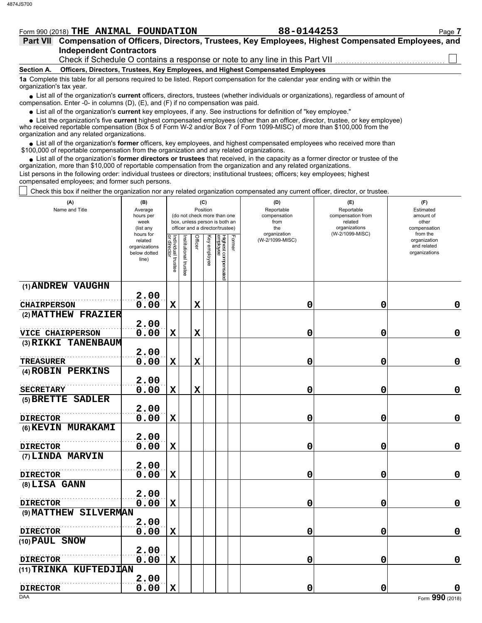| Form 990 (2018) $\mathbf{THE}$ | <b>ANIMAL</b> | <b>FOUNDATION</b> | 88-0144253 | Page |
|--------------------------------|---------------|-------------------|------------|------|
|                                |               |                   |            |      |

| <b>Part VII</b>          | Compensation of Officers, Directors, Trustees, Key Employees, Highest Compensated Employees, and                                                                                                                            |
|--------------------------|-----------------------------------------------------------------------------------------------------------------------------------------------------------------------------------------------------------------------------|
|                          | <b>Independent Contractors</b>                                                                                                                                                                                              |
|                          | Check if Schedule O contains a response or note to any line in this Part VII <i>CODEC</i> 10 Check if Schedule O contains a response or note to any line in this Part VII                                                   |
| <b>Section A.</b>        | Officers, Directors, Trustees, Key Employees, and Highest Compensated Employees                                                                                                                                             |
| organization's tax year. | 1a Complete this table for all persons required to be listed. Report compensation for the calendar year ending with or within the                                                                                           |
|                          | • List all of the organization's current officers, directors, trustees (whether individuals or organizations), regardless of amount of<br>compensation. Enter -0- in columns (D), (E), and (F) if no compensation was paid. |

List all of the organization's **current** key employees, if any. See instructions for definition of "key employee."

■ List all of the organization's **current** key employees, if any. See instructions for definition of "key employee."<br>■ List the organization's five **current** highest compensated employees (other than an officer, director,

who received reportable compensation (Box 5 of Form W-2 and/or Box 7 of Form 1099-MISC) of more than \$100,000 from the organization and any related organizations.

• List all of the organization's **former** officers, key employees, and highest compensated employees who received more than<br>00,000 of reportable compensation from the organization and any related erganizations. \$100,000 of reportable compensation from the organization and any related organizations.

• List all of the organization's **former directors or trustees** that received, in the capacity as a former director or trustee of the organization, more than \$10,000 of reportable compensation from the organization and any related organizations. List persons in the following order: individual trustees or directors; institutional trustees; officers; key employees; highest compensated employees; and former such persons.

Check this box if neither the organization nor any related organization compensated any current officer, director, or trustee.

| (A)<br>Name and Title                     | (B)<br>Average<br>hours per<br>week<br>(list any               |                                   |                      | (C)<br>Position |              | (do not check more than one<br>box, unless person is both an<br>officer and a director/trustee) |        | (D)<br>Reportable<br>compensation<br>from<br>the | (E)<br>Reportable<br>compensation from<br>related<br>organizations<br>(W-2/1099-MISC) | (F)<br>Estimated<br>amount of<br>other<br>compensation<br>from the |
|-------------------------------------------|----------------------------------------------------------------|-----------------------------------|----------------------|-----------------|--------------|-------------------------------------------------------------------------------------------------|--------|--------------------------------------------------|---------------------------------------------------------------------------------------|--------------------------------------------------------------------|
|                                           | hours for<br>related<br>organizations<br>below dotted<br>line) | Individual trustee<br>or director | nstitutional trustee | Officer         | Key employee | Highest compensated<br>employee                                                                 | Former | organization<br>(W-2/1099-MISC)                  |                                                                                       | organization<br>and related<br>organizations                       |
| (1) ANDREW VAUGHN                         |                                                                |                                   |                      |                 |              |                                                                                                 |        |                                                  |                                                                                       |                                                                    |
|                                           | 2.00<br>0.00                                                   | $\mathbf X$                       |                      | $\mathbf x$     |              |                                                                                                 |        |                                                  |                                                                                       | 0                                                                  |
| <b>CHAIRPERSON</b><br>(2) MATTHEW FRAZIER |                                                                |                                   |                      |                 |              |                                                                                                 |        | 0                                                | 0                                                                                     |                                                                    |
|                                           | 2.00                                                           |                                   |                      |                 |              |                                                                                                 |        |                                                  |                                                                                       |                                                                    |
| <b>VICE CHAIRPERSON</b>                   | 0.00                                                           | $\mathbf X$                       |                      | $\mathbf x$     |              |                                                                                                 |        | 0                                                | 0                                                                                     | 0                                                                  |
| (3) RIKKI TANENBAUM                       |                                                                |                                   |                      |                 |              |                                                                                                 |        |                                                  |                                                                                       |                                                                    |
|                                           | 2.00                                                           |                                   |                      |                 |              |                                                                                                 |        |                                                  |                                                                                       |                                                                    |
| <b>TREASURER</b>                          | 0.00                                                           | $\mathbf X$                       |                      | $\mathbf x$     |              |                                                                                                 |        | 0                                                | 0                                                                                     | $\mathbf 0$                                                        |
| (4) ROBIN PERKINS                         |                                                                |                                   |                      |                 |              |                                                                                                 |        |                                                  |                                                                                       |                                                                    |
|                                           | 2.00                                                           |                                   |                      |                 |              |                                                                                                 |        |                                                  |                                                                                       |                                                                    |
| <b>SECRETARY</b><br>(5) BRETTE SADLER     | 0.00                                                           | $\mathbf X$                       |                      | $\mathbf x$     |              |                                                                                                 |        | 0                                                | 0                                                                                     | 0                                                                  |
|                                           | 2.00                                                           |                                   |                      |                 |              |                                                                                                 |        |                                                  |                                                                                       |                                                                    |
| <b>DIRECTOR</b>                           | 0.00                                                           | X                                 |                      |                 |              |                                                                                                 |        | 0                                                | 0                                                                                     | $\mathbf 0$                                                        |
| (6) KEVIN MURAKAMI                        |                                                                |                                   |                      |                 |              |                                                                                                 |        |                                                  |                                                                                       |                                                                    |
|                                           | 2.00                                                           |                                   |                      |                 |              |                                                                                                 |        |                                                  |                                                                                       |                                                                    |
| <b>DIRECTOR</b>                           | 0.00                                                           | X                                 |                      |                 |              |                                                                                                 |        | 0                                                | 0                                                                                     | $\mathbf 0$                                                        |
| (7) LINDA MARVIN                          |                                                                |                                   |                      |                 |              |                                                                                                 |        |                                                  |                                                                                       |                                                                    |
|                                           | 2.00                                                           |                                   |                      |                 |              |                                                                                                 |        |                                                  |                                                                                       |                                                                    |
| <b>DIRECTOR</b>                           | 0.00                                                           | $\mathbf X$                       |                      |                 |              |                                                                                                 |        | 0                                                | 0                                                                                     | $\mathbf 0$                                                        |
| (8) LISA GANN                             | 2.00                                                           |                                   |                      |                 |              |                                                                                                 |        |                                                  |                                                                                       |                                                                    |
| <b>DIRECTOR</b>                           | 0.00                                                           | $\mathbf X$                       |                      |                 |              |                                                                                                 |        | 0                                                | 0                                                                                     | 0                                                                  |
| (9) MATTHEW SILVERMAN                     |                                                                |                                   |                      |                 |              |                                                                                                 |        |                                                  |                                                                                       |                                                                    |
|                                           | 2.00                                                           |                                   |                      |                 |              |                                                                                                 |        |                                                  |                                                                                       |                                                                    |
| <b>DIRECTOR</b>                           | 0.00                                                           | $\mathbf X$                       |                      |                 |              |                                                                                                 |        | 0                                                | 0                                                                                     | 0                                                                  |
| (10) PAUL SNOW                            |                                                                |                                   |                      |                 |              |                                                                                                 |        |                                                  |                                                                                       |                                                                    |
|                                           | 2.00                                                           |                                   |                      |                 |              |                                                                                                 |        |                                                  |                                                                                       |                                                                    |
| <b>DIRECTOR</b>                           | 0.00                                                           | X                                 |                      |                 |              |                                                                                                 |        | 0                                                | 0                                                                                     | 0                                                                  |
| (11) TRINKA KUFTEDJIAN                    |                                                                |                                   |                      |                 |              |                                                                                                 |        |                                                  |                                                                                       |                                                                    |
| <b>DIRECTOR</b>                           | 2.00<br>0.00                                                   | $\mathbf x$                       |                      |                 |              |                                                                                                 |        | 0                                                | 0                                                                                     |                                                                    |
| DAA                                       |                                                                |                                   |                      |                 |              |                                                                                                 |        |                                                  |                                                                                       | Form 990 (2018)                                                    |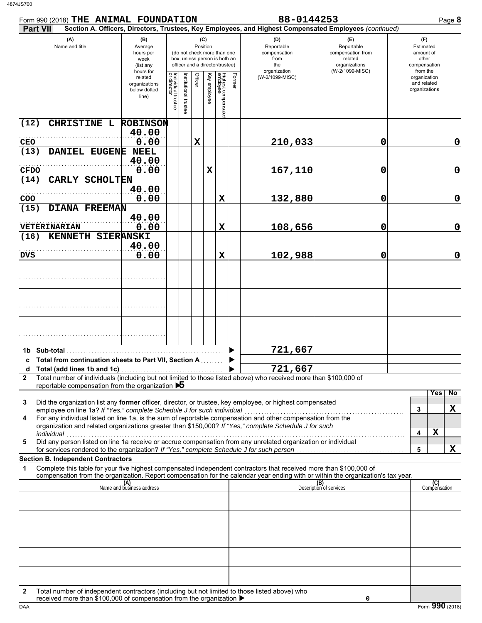| Section A. Officers, Directors, Trustees, Key Employees, and Highest Compensated Employees (continued)<br>(A)<br>(B)<br>(C)<br>(D)<br>(F)<br>(E)<br>Name and title<br>Position<br>Average<br>Reportable<br>Estimated<br>Reportable<br>compensation from<br>(do not check more than one<br>compensation<br>amount of<br>hours per<br>other<br>box, unless person is both an<br>from<br>related<br>week<br>officer and a director/trustee)<br>organizations<br>(list any<br>the<br>compensation<br>(W-2/1099-MISC)<br>organization<br>from the<br>hours for<br>Officer<br>Key employee<br>Highest compensate<br>employee<br>Individual trustee<br>or director<br>Institutional trustee<br>Former<br>(W-2/1099-MISC)<br>organization<br>related<br>and related<br>organizations<br>organizations<br>below dotted<br>line)<br>(12)<br>CHRISTINE L<br><b>ROBINSON</b><br>40.00<br>0.00<br>210,033<br>$\mathbf x$<br>0<br><b>CEO</b><br>0<br>DANIEL EUGENE<br>(13)<br><b>NEEL</b><br>40.00<br>0.00<br>167,110<br>X<br>0<br>$\mathbf 0$<br><b>CFDO</b><br>CARLY SCHOLTEN<br>(14)<br>40.00<br>0.00<br>132,880<br>X<br>0<br>$\mathbf 0$<br>COO<br><b>DIANA FREEMAN</b><br>(15)<br>40.00<br>0.00<br>108,656<br>VETERINARIAN<br>X<br>0<br>$\mathbf 0$<br>KENNETH SIERANSKI<br>(16)<br>40.00<br>0.00<br>102,988<br>$\mathbf x$<br>0<br>0<br><b>DVS</b><br>721,667<br>1b Sub-total<br>c Total from continuation sheets to Part VII, Section A<br>721,667<br>Total number of individuals (including but not limited to those listed above) who received more than \$100,000 of<br>$\mathbf{2}$<br>reportable compensation from the organization $\triangleright 5$<br>N <sub>o</sub><br>Yes<br>Did the organization list any former officer, director, or trustee, key employee, or highest compensated<br>3<br>X<br>employee on line 1a? If "Yes," complete Schedule J for such individual<br>3<br>For any individual listed on line 1a, is the sum of reportable compensation and other compensation from the<br>4<br>organization and related organizations greater than \$150,000? If "Yes," complete Schedule J for such<br>$\mathbf x$<br>4<br>individual<br>Did any person listed on line 1a receive or accrue compensation from any unrelated organization or individual<br>5<br>X<br>for services rendered to the organization? If "Yes," complete Schedule J for such person<br>5<br>Complete this table for your five highest compensated independent contractors that received more than \$100,000 of<br>1<br>compensation from the organization. Report compensation for the calendar year ending with or within the organization's tax year.<br>(B)<br>Description of services<br>(A)<br>Name and business address<br>(C)<br>Compensation<br>Total number of independent contractors (including but not limited to those listed above) who<br>2<br>received more than \$100,000 of compensation from the organization ▶<br>0 | 88-0144253<br>Form 990 (2018) THE ANIMAL FOUNDATION<br>Part VII<br><b>Section B. Independent Contractors</b> | Page 8 |  |  |  |  |
|------------------------------------------------------------------------------------------------------------------------------------------------------------------------------------------------------------------------------------------------------------------------------------------------------------------------------------------------------------------------------------------------------------------------------------------------------------------------------------------------------------------------------------------------------------------------------------------------------------------------------------------------------------------------------------------------------------------------------------------------------------------------------------------------------------------------------------------------------------------------------------------------------------------------------------------------------------------------------------------------------------------------------------------------------------------------------------------------------------------------------------------------------------------------------------------------------------------------------------------------------------------------------------------------------------------------------------------------------------------------------------------------------------------------------------------------------------------------------------------------------------------------------------------------------------------------------------------------------------------------------------------------------------------------------------------------------------------------------------------------------------------------------------------------------------------------------------------------------------------------------------------------------------------------------------------------------------------------------------------------------------------------------------------------------------------------------------------------------------------------------------------------------------------------------------------------------------------------------------------------------------------------------------------------------------------------------------------------------------------------------------------------------------------------------------------------------------------------------------------------------------------------------------------------------------------------------------------------------------------------------------------------------------------------------------------------------------------------------------------------------------------------------------------------------------------------------------------------------------------------------------------------------------------------------|--------------------------------------------------------------------------------------------------------------|--------|--|--|--|--|
|                                                                                                                                                                                                                                                                                                                                                                                                                                                                                                                                                                                                                                                                                                                                                                                                                                                                                                                                                                                                                                                                                                                                                                                                                                                                                                                                                                                                                                                                                                                                                                                                                                                                                                                                                                                                                                                                                                                                                                                                                                                                                                                                                                                                                                                                                                                                                                                                                                                                                                                                                                                                                                                                                                                                                                                                                                                                                                                              |                                                                                                              |        |  |  |  |  |
|                                                                                                                                                                                                                                                                                                                                                                                                                                                                                                                                                                                                                                                                                                                                                                                                                                                                                                                                                                                                                                                                                                                                                                                                                                                                                                                                                                                                                                                                                                                                                                                                                                                                                                                                                                                                                                                                                                                                                                                                                                                                                                                                                                                                                                                                                                                                                                                                                                                                                                                                                                                                                                                                                                                                                                                                                                                                                                                              |                                                                                                              |        |  |  |  |  |
|                                                                                                                                                                                                                                                                                                                                                                                                                                                                                                                                                                                                                                                                                                                                                                                                                                                                                                                                                                                                                                                                                                                                                                                                                                                                                                                                                                                                                                                                                                                                                                                                                                                                                                                                                                                                                                                                                                                                                                                                                                                                                                                                                                                                                                                                                                                                                                                                                                                                                                                                                                                                                                                                                                                                                                                                                                                                                                                              |                                                                                                              |        |  |  |  |  |
|                                                                                                                                                                                                                                                                                                                                                                                                                                                                                                                                                                                                                                                                                                                                                                                                                                                                                                                                                                                                                                                                                                                                                                                                                                                                                                                                                                                                                                                                                                                                                                                                                                                                                                                                                                                                                                                                                                                                                                                                                                                                                                                                                                                                                                                                                                                                                                                                                                                                                                                                                                                                                                                                                                                                                                                                                                                                                                                              |                                                                                                              |        |  |  |  |  |
|                                                                                                                                                                                                                                                                                                                                                                                                                                                                                                                                                                                                                                                                                                                                                                                                                                                                                                                                                                                                                                                                                                                                                                                                                                                                                                                                                                                                                                                                                                                                                                                                                                                                                                                                                                                                                                                                                                                                                                                                                                                                                                                                                                                                                                                                                                                                                                                                                                                                                                                                                                                                                                                                                                                                                                                                                                                                                                                              |                                                                                                              |        |  |  |  |  |
|                                                                                                                                                                                                                                                                                                                                                                                                                                                                                                                                                                                                                                                                                                                                                                                                                                                                                                                                                                                                                                                                                                                                                                                                                                                                                                                                                                                                                                                                                                                                                                                                                                                                                                                                                                                                                                                                                                                                                                                                                                                                                                                                                                                                                                                                                                                                                                                                                                                                                                                                                                                                                                                                                                                                                                                                                                                                                                                              |                                                                                                              |        |  |  |  |  |
|                                                                                                                                                                                                                                                                                                                                                                                                                                                                                                                                                                                                                                                                                                                                                                                                                                                                                                                                                                                                                                                                                                                                                                                                                                                                                                                                                                                                                                                                                                                                                                                                                                                                                                                                                                                                                                                                                                                                                                                                                                                                                                                                                                                                                                                                                                                                                                                                                                                                                                                                                                                                                                                                                                                                                                                                                                                                                                                              |                                                                                                              |        |  |  |  |  |
|                                                                                                                                                                                                                                                                                                                                                                                                                                                                                                                                                                                                                                                                                                                                                                                                                                                                                                                                                                                                                                                                                                                                                                                                                                                                                                                                                                                                                                                                                                                                                                                                                                                                                                                                                                                                                                                                                                                                                                                                                                                                                                                                                                                                                                                                                                                                                                                                                                                                                                                                                                                                                                                                                                                                                                                                                                                                                                                              |                                                                                                              |        |  |  |  |  |
|                                                                                                                                                                                                                                                                                                                                                                                                                                                                                                                                                                                                                                                                                                                                                                                                                                                                                                                                                                                                                                                                                                                                                                                                                                                                                                                                                                                                                                                                                                                                                                                                                                                                                                                                                                                                                                                                                                                                                                                                                                                                                                                                                                                                                                                                                                                                                                                                                                                                                                                                                                                                                                                                                                                                                                                                                                                                                                                              |                                                                                                              |        |  |  |  |  |
|                                                                                                                                                                                                                                                                                                                                                                                                                                                                                                                                                                                                                                                                                                                                                                                                                                                                                                                                                                                                                                                                                                                                                                                                                                                                                                                                                                                                                                                                                                                                                                                                                                                                                                                                                                                                                                                                                                                                                                                                                                                                                                                                                                                                                                                                                                                                                                                                                                                                                                                                                                                                                                                                                                                                                                                                                                                                                                                              |                                                                                                              |        |  |  |  |  |
|                                                                                                                                                                                                                                                                                                                                                                                                                                                                                                                                                                                                                                                                                                                                                                                                                                                                                                                                                                                                                                                                                                                                                                                                                                                                                                                                                                                                                                                                                                                                                                                                                                                                                                                                                                                                                                                                                                                                                                                                                                                                                                                                                                                                                                                                                                                                                                                                                                                                                                                                                                                                                                                                                                                                                                                                                                                                                                                              |                                                                                                              |        |  |  |  |  |
|                                                                                                                                                                                                                                                                                                                                                                                                                                                                                                                                                                                                                                                                                                                                                                                                                                                                                                                                                                                                                                                                                                                                                                                                                                                                                                                                                                                                                                                                                                                                                                                                                                                                                                                                                                                                                                                                                                                                                                                                                                                                                                                                                                                                                                                                                                                                                                                                                                                                                                                                                                                                                                                                                                                                                                                                                                                                                                                              |                                                                                                              |        |  |  |  |  |
|                                                                                                                                                                                                                                                                                                                                                                                                                                                                                                                                                                                                                                                                                                                                                                                                                                                                                                                                                                                                                                                                                                                                                                                                                                                                                                                                                                                                                                                                                                                                                                                                                                                                                                                                                                                                                                                                                                                                                                                                                                                                                                                                                                                                                                                                                                                                                                                                                                                                                                                                                                                                                                                                                                                                                                                                                                                                                                                              |                                                                                                              |        |  |  |  |  |
|                                                                                                                                                                                                                                                                                                                                                                                                                                                                                                                                                                                                                                                                                                                                                                                                                                                                                                                                                                                                                                                                                                                                                                                                                                                                                                                                                                                                                                                                                                                                                                                                                                                                                                                                                                                                                                                                                                                                                                                                                                                                                                                                                                                                                                                                                                                                                                                                                                                                                                                                                                                                                                                                                                                                                                                                                                                                                                                              |                                                                                                              |        |  |  |  |  |
|                                                                                                                                                                                                                                                                                                                                                                                                                                                                                                                                                                                                                                                                                                                                                                                                                                                                                                                                                                                                                                                                                                                                                                                                                                                                                                                                                                                                                                                                                                                                                                                                                                                                                                                                                                                                                                                                                                                                                                                                                                                                                                                                                                                                                                                                                                                                                                                                                                                                                                                                                                                                                                                                                                                                                                                                                                                                                                                              |                                                                                                              |        |  |  |  |  |
|                                                                                                                                                                                                                                                                                                                                                                                                                                                                                                                                                                                                                                                                                                                                                                                                                                                                                                                                                                                                                                                                                                                                                                                                                                                                                                                                                                                                                                                                                                                                                                                                                                                                                                                                                                                                                                                                                                                                                                                                                                                                                                                                                                                                                                                                                                                                                                                                                                                                                                                                                                                                                                                                                                                                                                                                                                                                                                                              |                                                                                                              |        |  |  |  |  |
|                                                                                                                                                                                                                                                                                                                                                                                                                                                                                                                                                                                                                                                                                                                                                                                                                                                                                                                                                                                                                                                                                                                                                                                                                                                                                                                                                                                                                                                                                                                                                                                                                                                                                                                                                                                                                                                                                                                                                                                                                                                                                                                                                                                                                                                                                                                                                                                                                                                                                                                                                                                                                                                                                                                                                                                                                                                                                                                              |                                                                                                              |        |  |  |  |  |
|                                                                                                                                                                                                                                                                                                                                                                                                                                                                                                                                                                                                                                                                                                                                                                                                                                                                                                                                                                                                                                                                                                                                                                                                                                                                                                                                                                                                                                                                                                                                                                                                                                                                                                                                                                                                                                                                                                                                                                                                                                                                                                                                                                                                                                                                                                                                                                                                                                                                                                                                                                                                                                                                                                                                                                                                                                                                                                                              |                                                                                                              |        |  |  |  |  |
|                                                                                                                                                                                                                                                                                                                                                                                                                                                                                                                                                                                                                                                                                                                                                                                                                                                                                                                                                                                                                                                                                                                                                                                                                                                                                                                                                                                                                                                                                                                                                                                                                                                                                                                                                                                                                                                                                                                                                                                                                                                                                                                                                                                                                                                                                                                                                                                                                                                                                                                                                                                                                                                                                                                                                                                                                                                                                                                              |                                                                                                              |        |  |  |  |  |
|                                                                                                                                                                                                                                                                                                                                                                                                                                                                                                                                                                                                                                                                                                                                                                                                                                                                                                                                                                                                                                                                                                                                                                                                                                                                                                                                                                                                                                                                                                                                                                                                                                                                                                                                                                                                                                                                                                                                                                                                                                                                                                                                                                                                                                                                                                                                                                                                                                                                                                                                                                                                                                                                                                                                                                                                                                                                                                                              |                                                                                                              |        |  |  |  |  |
|                                                                                                                                                                                                                                                                                                                                                                                                                                                                                                                                                                                                                                                                                                                                                                                                                                                                                                                                                                                                                                                                                                                                                                                                                                                                                                                                                                                                                                                                                                                                                                                                                                                                                                                                                                                                                                                                                                                                                                                                                                                                                                                                                                                                                                                                                                                                                                                                                                                                                                                                                                                                                                                                                                                                                                                                                                                                                                                              |                                                                                                              |        |  |  |  |  |
|                                                                                                                                                                                                                                                                                                                                                                                                                                                                                                                                                                                                                                                                                                                                                                                                                                                                                                                                                                                                                                                                                                                                                                                                                                                                                                                                                                                                                                                                                                                                                                                                                                                                                                                                                                                                                                                                                                                                                                                                                                                                                                                                                                                                                                                                                                                                                                                                                                                                                                                                                                                                                                                                                                                                                                                                                                                                                                                              |                                                                                                              |        |  |  |  |  |
|                                                                                                                                                                                                                                                                                                                                                                                                                                                                                                                                                                                                                                                                                                                                                                                                                                                                                                                                                                                                                                                                                                                                                                                                                                                                                                                                                                                                                                                                                                                                                                                                                                                                                                                                                                                                                                                                                                                                                                                                                                                                                                                                                                                                                                                                                                                                                                                                                                                                                                                                                                                                                                                                                                                                                                                                                                                                                                                              |                                                                                                              |        |  |  |  |  |
|                                                                                                                                                                                                                                                                                                                                                                                                                                                                                                                                                                                                                                                                                                                                                                                                                                                                                                                                                                                                                                                                                                                                                                                                                                                                                                                                                                                                                                                                                                                                                                                                                                                                                                                                                                                                                                                                                                                                                                                                                                                                                                                                                                                                                                                                                                                                                                                                                                                                                                                                                                                                                                                                                                                                                                                                                                                                                                                              |                                                                                                              |        |  |  |  |  |
|                                                                                                                                                                                                                                                                                                                                                                                                                                                                                                                                                                                                                                                                                                                                                                                                                                                                                                                                                                                                                                                                                                                                                                                                                                                                                                                                                                                                                                                                                                                                                                                                                                                                                                                                                                                                                                                                                                                                                                                                                                                                                                                                                                                                                                                                                                                                                                                                                                                                                                                                                                                                                                                                                                                                                                                                                                                                                                                              |                                                                                                              |        |  |  |  |  |
|                                                                                                                                                                                                                                                                                                                                                                                                                                                                                                                                                                                                                                                                                                                                                                                                                                                                                                                                                                                                                                                                                                                                                                                                                                                                                                                                                                                                                                                                                                                                                                                                                                                                                                                                                                                                                                                                                                                                                                                                                                                                                                                                                                                                                                                                                                                                                                                                                                                                                                                                                                                                                                                                                                                                                                                                                                                                                                                              |                                                                                                              |        |  |  |  |  |
|                                                                                                                                                                                                                                                                                                                                                                                                                                                                                                                                                                                                                                                                                                                                                                                                                                                                                                                                                                                                                                                                                                                                                                                                                                                                                                                                                                                                                                                                                                                                                                                                                                                                                                                                                                                                                                                                                                                                                                                                                                                                                                                                                                                                                                                                                                                                                                                                                                                                                                                                                                                                                                                                                                                                                                                                                                                                                                                              |                                                                                                              |        |  |  |  |  |
|                                                                                                                                                                                                                                                                                                                                                                                                                                                                                                                                                                                                                                                                                                                                                                                                                                                                                                                                                                                                                                                                                                                                                                                                                                                                                                                                                                                                                                                                                                                                                                                                                                                                                                                                                                                                                                                                                                                                                                                                                                                                                                                                                                                                                                                                                                                                                                                                                                                                                                                                                                                                                                                                                                                                                                                                                                                                                                                              |                                                                                                              |        |  |  |  |  |
|                                                                                                                                                                                                                                                                                                                                                                                                                                                                                                                                                                                                                                                                                                                                                                                                                                                                                                                                                                                                                                                                                                                                                                                                                                                                                                                                                                                                                                                                                                                                                                                                                                                                                                                                                                                                                                                                                                                                                                                                                                                                                                                                                                                                                                                                                                                                                                                                                                                                                                                                                                                                                                                                                                                                                                                                                                                                                                                              |                                                                                                              |        |  |  |  |  |
|                                                                                                                                                                                                                                                                                                                                                                                                                                                                                                                                                                                                                                                                                                                                                                                                                                                                                                                                                                                                                                                                                                                                                                                                                                                                                                                                                                                                                                                                                                                                                                                                                                                                                                                                                                                                                                                                                                                                                                                                                                                                                                                                                                                                                                                                                                                                                                                                                                                                                                                                                                                                                                                                                                                                                                                                                                                                                                                              |                                                                                                              |        |  |  |  |  |
|                                                                                                                                                                                                                                                                                                                                                                                                                                                                                                                                                                                                                                                                                                                                                                                                                                                                                                                                                                                                                                                                                                                                                                                                                                                                                                                                                                                                                                                                                                                                                                                                                                                                                                                                                                                                                                                                                                                                                                                                                                                                                                                                                                                                                                                                                                                                                                                                                                                                                                                                                                                                                                                                                                                                                                                                                                                                                                                              |                                                                                                              |        |  |  |  |  |
|                                                                                                                                                                                                                                                                                                                                                                                                                                                                                                                                                                                                                                                                                                                                                                                                                                                                                                                                                                                                                                                                                                                                                                                                                                                                                                                                                                                                                                                                                                                                                                                                                                                                                                                                                                                                                                                                                                                                                                                                                                                                                                                                                                                                                                                                                                                                                                                                                                                                                                                                                                                                                                                                                                                                                                                                                                                                                                                              |                                                                                                              |        |  |  |  |  |
|                                                                                                                                                                                                                                                                                                                                                                                                                                                                                                                                                                                                                                                                                                                                                                                                                                                                                                                                                                                                                                                                                                                                                                                                                                                                                                                                                                                                                                                                                                                                                                                                                                                                                                                                                                                                                                                                                                                                                                                                                                                                                                                                                                                                                                                                                                                                                                                                                                                                                                                                                                                                                                                                                                                                                                                                                                                                                                                              |                                                                                                              |        |  |  |  |  |
|                                                                                                                                                                                                                                                                                                                                                                                                                                                                                                                                                                                                                                                                                                                                                                                                                                                                                                                                                                                                                                                                                                                                                                                                                                                                                                                                                                                                                                                                                                                                                                                                                                                                                                                                                                                                                                                                                                                                                                                                                                                                                                                                                                                                                                                                                                                                                                                                                                                                                                                                                                                                                                                                                                                                                                                                                                                                                                                              |                                                                                                              |        |  |  |  |  |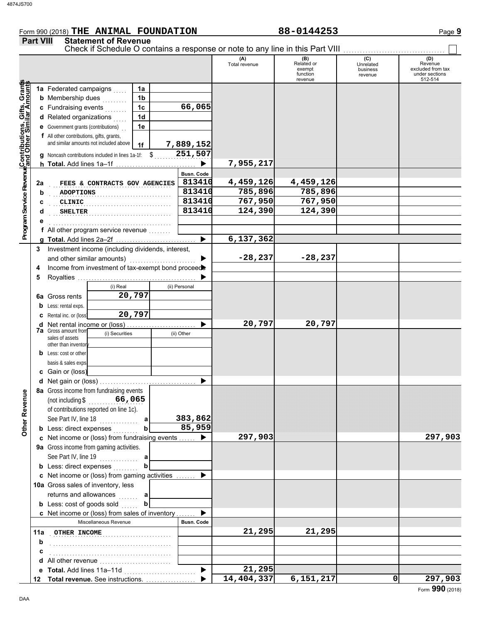#### Form 990 (2018) Page **9 Part VIII Statement of Revenue THE ANIMAL FOUNDATION 88-0144253**

|                                                                                                         |     |                                           |                                                             |                |   |                   | Check if Schedule O contains a response or note to any line in this Part VIII |                                                      |                                         |                                                                  |
|---------------------------------------------------------------------------------------------------------|-----|-------------------------------------------|-------------------------------------------------------------|----------------|---|-------------------|-------------------------------------------------------------------------------|------------------------------------------------------|-----------------------------------------|------------------------------------------------------------------|
|                                                                                                         |     |                                           |                                                             |                |   |                   | (A)<br>Total revenue                                                          | $(B)$<br>Related or<br>exempt<br>function<br>revenue | (C)<br>Unrelated<br>business<br>revenue | (D)<br>Revenue<br>excluded from tax<br>under sections<br>512-514 |
| Program Service Revenu¢Contributions, Gifts, Grants<br>Program Service Revenu¢and Other Similar Amounts |     | 1a Federated campaigns                    |                                                             | 1a             |   |                   |                                                                               |                                                      |                                         |                                                                  |
|                                                                                                         |     | <b>b</b> Membership dues                  |                                                             | 1 <sub>b</sub> |   |                   |                                                                               |                                                      |                                         |                                                                  |
|                                                                                                         |     | c Fundraising events                      |                                                             | 1 <sub>c</sub> |   | 66,065            |                                                                               |                                                      |                                         |                                                                  |
|                                                                                                         |     | d Related organizations                   |                                                             | 1 <sub>d</sub> |   |                   |                                                                               |                                                      |                                         |                                                                  |
|                                                                                                         |     | e Government grants (contributions)       |                                                             | 1e             |   |                   |                                                                               |                                                      |                                         |                                                                  |
|                                                                                                         |     | f All other contributions, gifts, grants, |                                                             |                |   |                   |                                                                               |                                                      |                                         |                                                                  |
|                                                                                                         |     |                                           | and similar amounts not included above                      | 1f             |   | 7,889,152         |                                                                               |                                                      |                                         |                                                                  |
|                                                                                                         |     |                                           | g Noncash contributions included in lines 1a-1f: \$ 251,507 |                |   |                   |                                                                               |                                                      |                                         |                                                                  |
|                                                                                                         |     |                                           | h Total. Add lines 1a-1f                                    |                |   | ▶                 | 7,955,217                                                                     |                                                      |                                         |                                                                  |
|                                                                                                         |     |                                           |                                                             |                |   | Busn. Code        |                                                                               |                                                      |                                         |                                                                  |
|                                                                                                         | 2a  |                                           | FEES & CONTRACTS GOV AGENCIES                               |                |   | 813410            | 4,459,126                                                                     | 4,459,126                                            |                                         |                                                                  |
|                                                                                                         | b   | <b>ADOPTIONS</b>                          |                                                             |                |   | 813410            | 785,896                                                                       | 785,896                                              |                                         |                                                                  |
|                                                                                                         | с   | CLINIC                                    |                                                             |                |   | 813410            | 767,950                                                                       | 767,950                                              |                                         |                                                                  |
|                                                                                                         | d   | <b>SHELTER</b>                            |                                                             |                |   | 813410            | 124,390                                                                       | 124,390                                              |                                         |                                                                  |
|                                                                                                         |     |                                           |                                                             |                |   |                   |                                                                               |                                                      |                                         |                                                                  |
|                                                                                                         |     |                                           | <b>f</b> All other program service revenue $\ldots$         |                |   |                   |                                                                               |                                                      |                                         |                                                                  |
|                                                                                                         |     |                                           | Total. Add lines 2a-2f                                      |                |   |                   | 6,137,362                                                                     |                                                      |                                         |                                                                  |
|                                                                                                         | 3   |                                           | Investment income (including dividends, interest,           |                |   |                   |                                                                               |                                                      |                                         |                                                                  |
|                                                                                                         |     |                                           | and other similar amounts)                                  |                |   |                   | $-28,237$                                                                     | $-28,237$                                            |                                         |                                                                  |
|                                                                                                         | 4   |                                           | Income from investment of tax-exempt bond proceed           |                |   |                   |                                                                               |                                                      |                                         |                                                                  |
|                                                                                                         | 5   |                                           |                                                             |                |   |                   |                                                                               |                                                      |                                         |                                                                  |
|                                                                                                         |     |                                           | (i) Real                                                    |                |   | (ii) Personal     |                                                                               |                                                      |                                         |                                                                  |
|                                                                                                         |     | <b>6a</b> Gross rents                     |                                                             | 20,797         |   |                   |                                                                               |                                                      |                                         |                                                                  |
|                                                                                                         | b   | Less: rental exps.                        |                                                             |                |   |                   |                                                                               |                                                      |                                         |                                                                  |
|                                                                                                         |     | Rental inc. or (loss)                     |                                                             | 20,797         |   |                   |                                                                               |                                                      |                                         |                                                                  |
|                                                                                                         | d   | Net rental income or (loss)               |                                                             |                | . |                   | 20,797                                                                        | 20,797                                               |                                         |                                                                  |
|                                                                                                         |     | <b>7a</b> Gross amount from               | (i) Securities                                              |                |   | (ii) Other        |                                                                               |                                                      |                                         |                                                                  |
|                                                                                                         |     | sales of assets<br>other than inventor    |                                                             |                |   |                   |                                                                               |                                                      |                                         |                                                                  |
|                                                                                                         |     | <b>b</b> Less: cost or other              |                                                             |                |   |                   |                                                                               |                                                      |                                         |                                                                  |
|                                                                                                         |     | basis & sales exps                        |                                                             |                |   |                   |                                                                               |                                                      |                                         |                                                                  |
|                                                                                                         |     | c Gain or (loss)                          |                                                             |                |   |                   |                                                                               |                                                      |                                         |                                                                  |
|                                                                                                         |     |                                           |                                                             |                |   |                   |                                                                               |                                                      |                                         |                                                                  |
| ٩D                                                                                                      |     |                                           | 8a Gross income from fundraising events                     |                |   |                   |                                                                               |                                                      |                                         |                                                                  |
|                                                                                                         |     |                                           | (not including $$$ 66,065                                   |                |   |                   |                                                                               |                                                      |                                         |                                                                  |
|                                                                                                         |     |                                           | of contributions reported on line 1c).                      |                |   |                   |                                                                               |                                                      |                                         |                                                                  |
| Other Reven                                                                                             |     |                                           | See Part IV, line 18                                        | a              |   | 383,862           |                                                                               |                                                      |                                         |                                                                  |
|                                                                                                         |     |                                           | <b>b</b> Less: direct expenses                              | b              |   | 85,959            |                                                                               |                                                      |                                         |                                                                  |
|                                                                                                         |     |                                           | c Net income or (loss) from fundraising events              |                |   |                   | 297,903                                                                       |                                                      |                                         | 297,903                                                          |
|                                                                                                         |     |                                           | 9a Gross income from gaming activities.                     |                |   |                   |                                                                               |                                                      |                                         |                                                                  |
|                                                                                                         |     |                                           |                                                             |                |   |                   |                                                                               |                                                      |                                         |                                                                  |
|                                                                                                         |     |                                           | <b>b</b> Less: direct expenses                              | b              |   |                   |                                                                               |                                                      |                                         |                                                                  |
|                                                                                                         |     |                                           | <b>c</b> Net income or (loss) from gaming activities        |                |   |                   |                                                                               |                                                      |                                         |                                                                  |
|                                                                                                         |     |                                           | 10a Gross sales of inventory, less                          |                |   |                   |                                                                               |                                                      |                                         |                                                                  |
|                                                                                                         |     |                                           | returns and allowances  a                                   |                |   |                   |                                                                               |                                                      |                                         |                                                                  |
|                                                                                                         |     |                                           | <b>b</b> Less: cost of goods sold                           | b              |   |                   |                                                                               |                                                      |                                         |                                                                  |
|                                                                                                         |     |                                           | <b>c</b> Net income or (loss) from sales of inventory       |                |   |                   |                                                                               |                                                      |                                         |                                                                  |
|                                                                                                         |     |                                           | Miscellaneous Revenue                                       |                |   | <b>Busn. Code</b> |                                                                               |                                                      |                                         |                                                                  |
|                                                                                                         | 11a | OTHER INCOME                              |                                                             |                |   |                   | 21,295                                                                        | 21,295                                               |                                         |                                                                  |
|                                                                                                         | b   |                                           |                                                             |                |   |                   |                                                                               |                                                      |                                         |                                                                  |
|                                                                                                         | С   |                                           |                                                             |                |   |                   |                                                                               |                                                      |                                         |                                                                  |
|                                                                                                         | d   |                                           | All other revenue                                           |                |   |                   |                                                                               |                                                      |                                         |                                                                  |
|                                                                                                         | е   |                                           | Total. Add lines 11a-11d                                    |                |   |                   | 21,295                                                                        |                                                      |                                         |                                                                  |
|                                                                                                         |     |                                           | 12 Total revenue. See instructions.                         |                |   |                   | 14,404,337                                                                    | 6,151,217                                            | 0                                       | 297,903                                                          |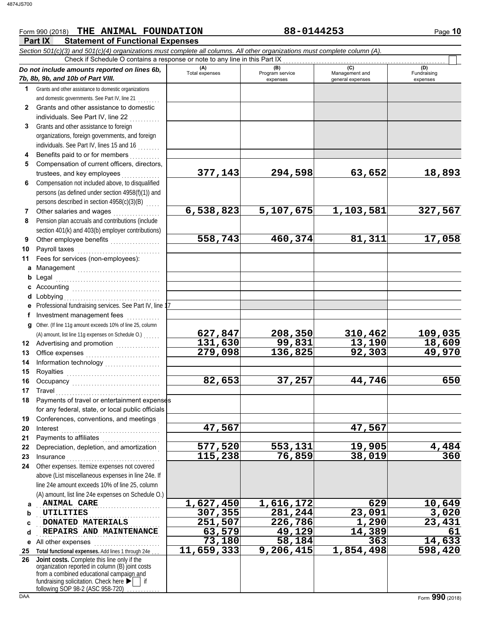#### **Part IX Statement of Functional Expenses** Form 990 (2018) Page **10 THE ANIMAL FOUNDATION 88-0144253** *Section 501(c)(3) and 501(c)(4) organizations must complete all columns. All other organizations must complete column (A). Do not include amounts reported on lines 6b, 7b, 8b, 9b, and 10b of Part VIII.* **1 2 3 4 5 6 7 8 9 10 11 a** Management .............................. **b** Legal **c** Accounting . . . . . . . . . . . . . . . . . . . . . . . . . . . . . . . . **d** Lobbying . . . . . . . . . . . . . . . . . . . . . . . . . . . . . . . . . . . **e f g** Other. (If line 11g amount exceeds 10% of line 25, column **12** Advertising and promotion **. . . . . . . . . . . .** . . **13 14 15 16 17 18 19 20 21 22 23 24 a b c d e** All other expenses . . . . . . . . . . . . . . . . . . . . . . . . **25 Total functional expenses.** Add lines 1 through 24e . . . **26** Grants and other assistance to domestic organizations and domestic governments. See Part IV, line 21 Grants and other assistance to domestic individuals. See Part IV, line 22 Grants and other assistance to foreign organizations, foreign governments, and foreign individuals. See Part IV, lines 15 and 16 . . . . . . . . Benefits paid to or for members . . . . . . . . . . Compensation of current officers, directors, trustees, and key employees Compensation not included above, to disqualified persons (as defined under section 4958(f)(1)) and persons described in section 4958(c)(3)(B) Other salaries and wages .................. Pension plan accruals and contributions (include section 401(k) and 403(b) employer contributions) Other employee benefits ................... Payroll taxes Fees for services (non-employees): Legal . . . . . . . . . . . . . . . . . . . . . . . . . . . . . . . . . . . . . . Professional fundraising services. See Part IV, line 17 Investment management fees ............. Office expenses . . . . . . . . . . . . . . . . . . . . . . . . . . . Information technology . . . . . . . . . . . . . . . . . . . . Royalties . . . . . . . . . . . . . . . . . . . . . . . . . . . . . . . . . . Occupancy . . . . . . . . . . . . . . . . . . . . . . . . . . . . . . . . Travel . . . . . . . . . . . . . . . . . . . . . . . . . . . . . . . . . . . . . . Payments of travel or entertainment expenses for any federal, state, or local public officials Conferences, conventions, and meetings . Interest . . . . . . . . . . . . . . . . . . . . . . . . . . . . . . . . . . . . Payments to affiliates . . . . . . . . . . . . . . . . Depreciation, depletion, and amortization . Insurance . . . . . . . . . . . . . . . . . . . . . . . . . . . . . . . . . . Other expenses. Itemize expenses not covered above (List miscellaneous expenses in line 24e. If line 24e amount exceeds 10% of line 25, column (A) amount, list line 24e expenses on Schedule O.) fundraising solicitation. Check here  $\blacktriangleright$  | if organization reported in column (B) joint costs from a combined educational campaign and following SOP 98-2 (ASC 958-720) **(A) (B)** (B) (B) (C) (C) (A) (D)<br>Total expenses Program service Management and Fundrai expenses and general expenses (D)<br>Fundraising expenses . . . . . . . . . . . . . . . . . . . . . . . . . . . . . . . . . . . . . . . . . . . . . UTILITIES **DONATED MATERIALS 1,290** 23,431 . . . . . . . . . . . . . . . . . . . . . . . . . . . . . . . . . . . . . . . . . . . . . **REPAIRS AND MAINTENANCE 63,579 49,129 14,389 61** Check if Schedule O contains a response or note to any line in this Part IX **Joint costs.** Complete this line only if the (A) amount, list line 11g expenses on Schedule O.) . . . . . . **377,143 294,598 63,652 18,893 6,538,823 5,107,675 1,103,581 327,567 558,743 460,374 81,311 17,058 627,847 208,350 310,462 109,035 131,630 99,831 13,190 18,609 279,098 136,825 92,303 49,970 82,653 37,257 44,746 650 47,567 47,567 577,520 553,131 19,905 4,484 115,238 ANIMAL CARE 1,627,450 1,616,172 629 10,649 UTILITIES 307,355 281,244 23,091 3,020 73,180 58,184 363 14,633 11,659,333 9,206,415 1,854,498 598,420**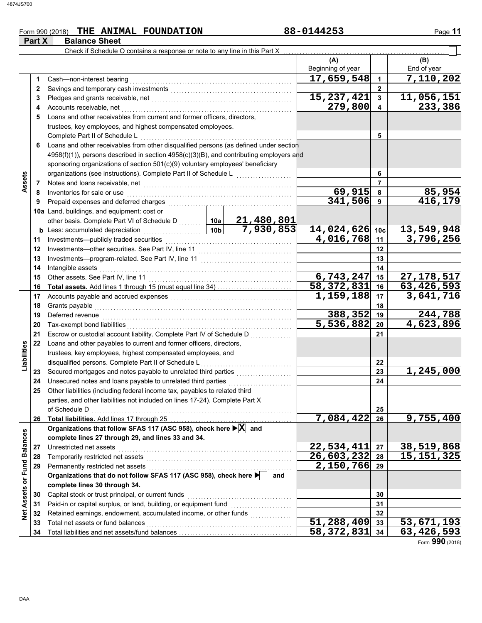### Form 990 (2018) Page **11 THE ANIMAL FOUNDATION 88-0144253 Part X** Balance Sheet

|                 |    | Check if Schedule O contains a response or note to any line in this Part X                         |                 |            |                            |    |                            |
|-----------------|----|----------------------------------------------------------------------------------------------------|-----------------|------------|----------------------------|----|----------------------------|
|                 |    |                                                                                                    |                 |            | (A)<br>Beginning of year   |    | (B)<br>End of year         |
|                 | 1  | Cash-non-interest bearing                                                                          |                 |            | 17,659,548                 | 1  | $\overline{7}$ , 110, 202  |
|                 | 2  |                                                                                                    |                 |            |                            | 2  |                            |
|                 | 3  |                                                                                                    |                 |            | 15,237,421                 | 3  | 11,056,151                 |
|                 | 4  | Accounts receivable, net                                                                           |                 |            | 279,800                    | 4  | 233,386                    |
|                 | 5  | Loans and other receivables from current and former officers, directors,                           |                 |            |                            |    |                            |
|                 |    | trustees, key employees, and highest compensated employees.                                        |                 |            |                            |    |                            |
|                 |    | Complete Part II of Schedule L                                                                     |                 |            |                            | 5  |                            |
|                 | 6  | Loans and other receivables from other disqualified persons (as defined under section              |                 |            |                            |    |                            |
|                 |    | 4958(f)(1)), persons described in section 4958(c)(3)(B), and contributing employers and            |                 |            |                            |    |                            |
|                 |    | sponsoring organizations of section 501(c)(9) voluntary employees' beneficiary                     |                 |            |                            |    |                            |
|                 |    | organizations (see instructions). Complete Part II of Schedule L                                   |                 |            |                            | 6  |                            |
| Assets          | 7  |                                                                                                    |                 |            |                            | 7  |                            |
|                 | 8  | Inventories for sale or use                                                                        |                 |            | 69,915                     | 8  | 85,954                     |
|                 | 9  | Prepaid expenses and deferred charges                                                              |                 |            | 341,506                    | 9  | 416,179                    |
|                 |    | 10a Land, buildings, and equipment: cost or                                                        |                 |            |                            |    |                            |
|                 |    | other basis. Complete Part VI of Schedule D                                                        | 10a             | 21,480,801 |                            |    |                            |
|                 |    | <b>b</b> Less: accumulated depreciation<br>.                                                       | 10 <sub>b</sub> | 7,930,853  | $14,024,626$ 10c           |    | 13,549,948                 |
|                 | 11 | Investments-publicly traded securities                                                             |                 |            | 4,016,768                  | 11 | 3,796,256                  |
|                 | 12 | Investments-other securities. See Part IV, line 11                                                 |                 |            |                            | 12 |                            |
|                 | 13 | Investments---program-related. See Part IV, line 11                                                |                 |            |                            | 13 |                            |
|                 | 14 | Intangible assets                                                                                  |                 |            |                            | 14 |                            |
|                 | 15 | Other assets. See Part IV, line 11                                                                 |                 |            | $\overline{6}$ , 743, 247  | 15 | 27, 178, 517               |
|                 | 16 | Total assets. Add lines 1 through 15 (must equal line 34)                                          |                 |            | $\overline{58}$ , 372, 831 | 16 | $\overline{63,426,593}$    |
|                 | 17 | Accounts payable and accrued expenses                                                              |                 |            | 1,159,188                  | 17 | 3,641,716                  |
|                 | 18 | Grants payable                                                                                     |                 |            |                            | 18 |                            |
|                 | 19 | Deferred revenue                                                                                   |                 |            | 388,352                    | 19 | 244,788                    |
|                 | 20 | Tax-exempt bond liabilities                                                                        |                 |            | 5,536,882                  | 20 | 4,623,896                  |
|                 | 21 | Escrow or custodial account liability. Complete Part IV of Schedule D                              |                 |            |                            | 21 |                            |
|                 | 22 | Loans and other payables to current and former officers, directors,                                |                 |            |                            |    |                            |
| Liabilities     |    | trustees, key employees, highest compensated employees, and                                        |                 |            |                            |    |                            |
|                 |    | disqualified persons. Complete Part II of Schedule L                                               |                 |            |                            | 22 |                            |
|                 | 23 | Secured mortgages and notes payable to unrelated third parties                                     |                 |            |                            | 23 | 1,245,000                  |
|                 | 24 | Unsecured notes and loans payable to unrelated third parties                                       |                 |            |                            | 24 |                            |
|                 | 25 | Other liabilities (including federal income tax, payables to related third                         |                 |            |                            |    |                            |
|                 |    | parties, and other liabilities not included on lines 17-24). Complete Part X                       |                 |            |                            |    |                            |
|                 |    |                                                                                                    |                 |            |                            | 25 |                            |
|                 | 26 |                                                                                                    |                 |            | 7,084,422                  | 26 | 9,755,400                  |
|                 |    | Organizations that follow SFAS 117 (ASC 958), check here $\blacktriangleright$ $\vert X \vert$ and |                 |            |                            |    |                            |
|                 |    | complete lines 27 through 29, and lines 33 and 34.                                                 |                 |            |                            |    |                            |
| <b>Balances</b> | 27 | Unrestricted net assets                                                                            |                 |            | 22,534,411                 | 27 | 38,519,868                 |
|                 | 28 | Temporarily restricted net assets                                                                  |                 |            | 26,603,232                 | 28 | $\overline{15}$ , 151, 325 |
|                 | 29 | Permanently restricted net assets                                                                  |                 |            | 2,150,766                  | 29 |                            |
| or Fund         |    | Organizations that do not follow SFAS 117 (ASC 958), check here                                    |                 | and        |                            |    |                            |
|                 |    | complete lines 30 through 34.                                                                      |                 |            |                            |    |                            |
| Assets          | 30 | Capital stock or trust principal, or current funds                                                 |                 |            |                            | 30 |                            |
|                 | 31 | Paid-in or capital surplus, or land, building, or equipment fund                                   |                 |            |                            | 31 |                            |
| $\frac{1}{2}$   | 32 | Retained earnings, endowment, accumulated income, or other funds                                   |                 |            |                            | 32 |                            |
|                 | 33 | Total net assets or fund balances                                                                  |                 |            | $\overline{51}$ , 288, 409 | 33 | 53,671,193                 |
|                 | 34 |                                                                                                    |                 |            | 58, 372, 831               | 34 | 63,426,593                 |

Form **990** (2018)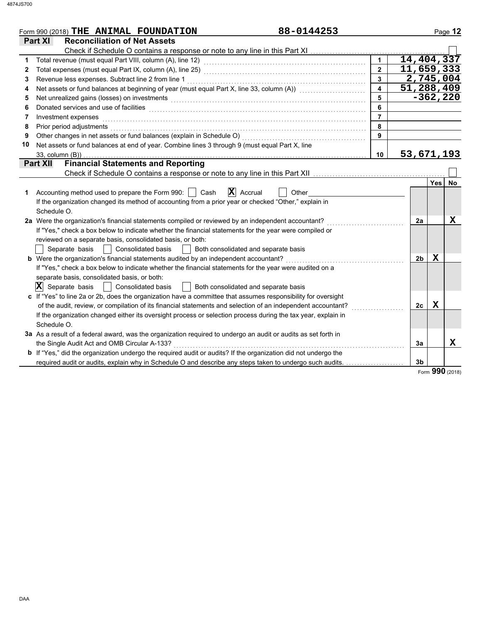|    | Form 990 (2018) THE ANIMAL FOUNDATION                                                                                                                                                                                          | 88-0144253                           |                         |                            |             | Page 12         |
|----|--------------------------------------------------------------------------------------------------------------------------------------------------------------------------------------------------------------------------------|--------------------------------------|-------------------------|----------------------------|-------------|-----------------|
|    | <b>Reconciliation of Net Assets</b><br><b>Part XI</b>                                                                                                                                                                          |                                      |                         |                            |             |                 |
|    | Check if Schedule O contains a response or note to any line in this Part XI                                                                                                                                                    |                                      |                         |                            |             |                 |
|    |                                                                                                                                                                                                                                |                                      | $\mathbf{1}$            | 14,404,337                 |             |                 |
| 2  |                                                                                                                                                                                                                                |                                      | $\overline{2}$          | $\overline{11}$ , 659, 333 |             |                 |
| 3  | Revenue less expenses. Subtract line 2 from line 1                                                                                                                                                                             |                                      | $\overline{3}$          | 2,745,004                  |             |                 |
| 4  | Net assets or fund balances at beginning of year (must equal Part X, line 33, column (A)) [[[[[[[[[[[[[[[[[[[                                                                                                                  |                                      | $\overline{\mathbf{4}}$ | 51,288,409                 |             |                 |
| 5  | Net unrealized gains (losses) on investments [11] with the content of the content of the content of the content of the content of the content of the content of the content of the content of the content of the content of th |                                      |                         |                            |             | $-362,220$      |
| 6  | Donated services and use of facilities <b>constructs</b> and a service of the service of the services and use of facilities                                                                                                    |                                      | 6                       |                            |             |                 |
| 7  | Investment expenses                                                                                                                                                                                                            |                                      | $\overline{7}$          |                            |             |                 |
| 8  | Prior period adjustments entertainments and a series of the contract of the contract of the contract of the contract of the contract of the contract of the contract of the contract of the contract of the contract of the co |                                      | 8                       |                            |             |                 |
| 9  |                                                                                                                                                                                                                                |                                      | $\mathbf{q}$            |                            |             |                 |
| 10 | Net assets or fund balances at end of year. Combine lines 3 through 9 (must equal Part X, line                                                                                                                                 |                                      |                         |                            |             |                 |
|    | 33, column (B))                                                                                                                                                                                                                |                                      | 10                      | 53,671,193                 |             |                 |
|    | <b>Financial Statements and Reporting</b><br><b>Part XII</b>                                                                                                                                                                   |                                      |                         |                            |             |                 |
|    |                                                                                                                                                                                                                                |                                      |                         |                            |             |                 |
|    |                                                                                                                                                                                                                                |                                      |                         |                            | Yes         | No              |
| 1  | Accounting method used to prepare the Form 990:     Cash                                                                                                                                                                       | $ \mathbf{X} $ Accrual<br>Other      |                         |                            |             |                 |
|    | If the organization changed its method of accounting from a prior year or checked "Other," explain in                                                                                                                          |                                      |                         |                            |             |                 |
|    | Schedule O.                                                                                                                                                                                                                    |                                      |                         |                            |             |                 |
|    | 2a Were the organization's financial statements compiled or reviewed by an independent accountant?                                                                                                                             |                                      |                         | 2a                         |             | X               |
|    | If "Yes," check a box below to indicate whether the financial statements for the year were compiled or                                                                                                                         |                                      |                         |                            |             |                 |
|    | reviewed on a separate basis, consolidated basis, or both:                                                                                                                                                                     |                                      |                         |                            |             |                 |
|    | Separate basis<br>Consolidated basis                                                                                                                                                                                           | Both consolidated and separate basis |                         |                            |             |                 |
|    | b Were the organization's financial statements audited by an independent accountant?                                                                                                                                           |                                      |                         | 2 <sub>b</sub>             | х           |                 |
|    | If "Yes," check a box below to indicate whether the financial statements for the year were audited on a                                                                                                                        |                                      |                         |                            |             |                 |
|    | separate basis, consolidated basis, or both:                                                                                                                                                                                   |                                      |                         |                            |             |                 |
|    | $ {\bf X} $<br>Separate basis<br><b>Consolidated basis</b>                                                                                                                                                                     | Both consolidated and separate basis |                         |                            |             |                 |
|    | c If "Yes" to line 2a or 2b, does the organization have a committee that assumes responsibility for oversight                                                                                                                  |                                      |                         |                            |             |                 |
|    | of the audit, review, or compilation of its financial statements and selection of an independent accountant?                                                                                                                   |                                      |                         | 2c                         | $\mathbf x$ |                 |
|    | If the organization changed either its oversight process or selection process during the tax year, explain in                                                                                                                  |                                      |                         |                            |             |                 |
|    | Schedule O.                                                                                                                                                                                                                    |                                      |                         |                            |             |                 |
|    | 3a As a result of a federal award, was the organization required to undergo an audit or audits as set forth in                                                                                                                 |                                      |                         |                            |             |                 |
|    | the Single Audit Act and OMB Circular A-133?                                                                                                                                                                                   |                                      |                         | 3a                         |             | X               |
|    | <b>b</b> If "Yes," did the organization undergo the required audit or audits? If the organization did not undergo the                                                                                                          |                                      |                         |                            |             |                 |
|    | required audit or audits, explain why in Schedule O and describe any steps taken to undergo such audits.                                                                                                                       |                                      |                         | 3b                         |             |                 |
|    |                                                                                                                                                                                                                                |                                      |                         |                            |             | Form 990 (2018) |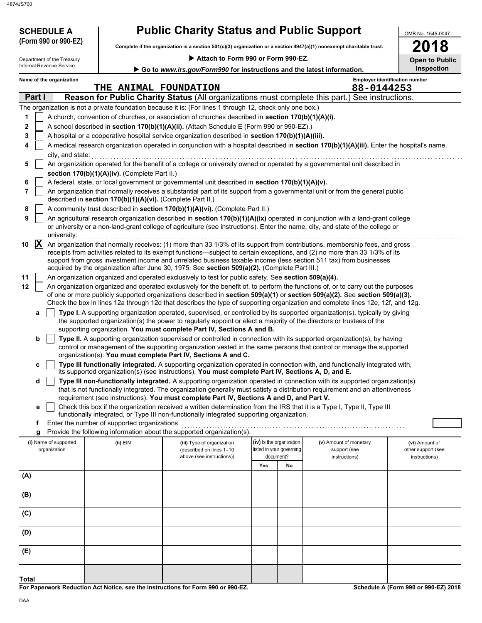4874JS700

**SCHEDULE A** 

|  |  |  | <b>Public Charity Status and Public Support</b> |
|--|--|--|-------------------------------------------------|
|  |  |  |                                                 |

**Complete if the organization is a section 501(c)(3) organization or a section 4947(a)(1) nonexempt charitable trust. (Form 990 or 990-EZ)**

 **Attach to Form 990 or Form 990-EZ.**

| $90^{\circ}$ |      | $\mathsf{I}$ |  |
|--------------|------|--------------|--|
| ı.           | to P |              |  |

OMB No. 1545-0047

|     |                | Department of the Treasury            |                                                            | Attach to Form 990 or Form 990-EZ.                                                                                                                                                                                                                                                                                                                                                                                                                                               |     |                                                                   |                                                         | <b>Open to Public</b>                                 |
|-----|----------------|---------------------------------------|------------------------------------------------------------|----------------------------------------------------------------------------------------------------------------------------------------------------------------------------------------------------------------------------------------------------------------------------------------------------------------------------------------------------------------------------------------------------------------------------------------------------------------------------------|-----|-------------------------------------------------------------------|---------------------------------------------------------|-------------------------------------------------------|
|     |                | Internal Revenue Service              |                                                            | Go to www.irs.gov/Form990 for instructions and the latest information.                                                                                                                                                                                                                                                                                                                                                                                                           |     |                                                                   |                                                         | <b>Inspection</b>                                     |
|     |                | Name of the organization              |                                                            |                                                                                                                                                                                                                                                                                                                                                                                                                                                                                  |     |                                                                   |                                                         | <b>Employer identification number</b>                 |
|     |                |                                       |                                                            | THE ANIMAL FOUNDATION                                                                                                                                                                                                                                                                                                                                                                                                                                                            |     |                                                                   | 88-0144253                                              |                                                       |
|     | Part I         |                                       |                                                            | Reason for Public Charity Status (All organizations must complete this part.) See instructions.                                                                                                                                                                                                                                                                                                                                                                                  |     |                                                                   |                                                         |                                                       |
|     |                |                                       |                                                            | The organization is not a private foundation because it is: (For lines 1 through 12, check only one box.)                                                                                                                                                                                                                                                                                                                                                                        |     |                                                                   |                                                         |                                                       |
| 1   |                |                                       |                                                            | A church, convention of churches, or association of churches described in section 170(b)(1)(A)(i).                                                                                                                                                                                                                                                                                                                                                                               |     |                                                                   |                                                         |                                                       |
| 2   |                |                                       |                                                            | A school described in section 170(b)(1)(A)(ii). (Attach Schedule E (Form 990 or 990-EZ).)                                                                                                                                                                                                                                                                                                                                                                                        |     |                                                                   |                                                         |                                                       |
| 3   |                |                                       |                                                            | A hospital or a cooperative hospital service organization described in section 170(b)(1)(A)(iii).                                                                                                                                                                                                                                                                                                                                                                                |     |                                                                   |                                                         |                                                       |
| 4   |                |                                       |                                                            | A medical research organization operated in conjunction with a hospital described in section 170(b)(1)(A)(iii). Enter the hospital's name,                                                                                                                                                                                                                                                                                                                                       |     |                                                                   |                                                         |                                                       |
|     |                | city, and state:                      |                                                            |                                                                                                                                                                                                                                                                                                                                                                                                                                                                                  |     |                                                                   |                                                         |                                                       |
| 5   |                |                                       |                                                            | An organization operated for the benefit of a college or university owned or operated by a governmental unit described in                                                                                                                                                                                                                                                                                                                                                        |     |                                                                   |                                                         |                                                       |
| 6   |                |                                       | section 170(b)(1)(A)(iv). (Complete Part II.)              | A federal, state, or local government or governmental unit described in section 170(b)(1)(A)(v).                                                                                                                                                                                                                                                                                                                                                                                 |     |                                                                   |                                                         |                                                       |
| 7   |                |                                       |                                                            | An organization that normally receives a substantial part of its support from a governmental unit or from the general public                                                                                                                                                                                                                                                                                                                                                     |     |                                                                   |                                                         |                                                       |
|     |                |                                       | described in section 170(b)(1)(A)(vi). (Complete Part II.) |                                                                                                                                                                                                                                                                                                                                                                                                                                                                                  |     |                                                                   |                                                         |                                                       |
| 8   |                |                                       |                                                            | A community trust described in section 170(b)(1)(A)(vi). (Complete Part II.)                                                                                                                                                                                                                                                                                                                                                                                                     |     |                                                                   |                                                         |                                                       |
| 9   |                | university:                           |                                                            | An agricultural research organization described in section 170(b)(1)(A)(ix) operated in conjunction with a land-grant college<br>or university or a non-land-grant college of agriculture (see instructions). Enter the name, city, and state of the college or                                                                                                                                                                                                                  |     |                                                                   |                                                         |                                                       |
| 10  | $ \mathbf{X} $ |                                       |                                                            | An organization that normally receives: (1) more than 33 1/3% of its support from contributions, membership fees, and gross<br>receipts from activities related to its exempt functions—subject to certain exceptions, and (2) no more than 33 1/3% of its<br>support from gross investment income and unrelated business taxable income (less section 511 tax) from businesses<br>acquired by the organization after June 30, 1975. See section 509(a)(2). (Complete Part III.) |     |                                                                   |                                                         |                                                       |
| 11  |                |                                       |                                                            | An organization organized and operated exclusively to test for public safety. See section 509(a)(4).                                                                                                                                                                                                                                                                                                                                                                             |     |                                                                   |                                                         |                                                       |
| 12  |                |                                       |                                                            | An organization organized and operated exclusively for the benefit of, to perform the functions of, or to carry out the purposes<br>of one or more publicly supported organizations described in section $509(a)(1)$ or section $509(a)(2)$ . See section $509(a)(3)$ .<br>Check the box in lines 12a through 12d that describes the type of supporting organization and complete lines 12e, 12f, and 12g.                                                                       |     |                                                                   |                                                         |                                                       |
|     | а              |                                       |                                                            | Type I. A supporting organization operated, supervised, or controlled by its supported organization(s), typically by giving<br>the supported organization(s) the power to regularly appoint or elect a majority of the directors or trustees of the<br>supporting organization. You must complete Part IV, Sections A and B.                                                                                                                                                     |     |                                                                   |                                                         |                                                       |
|     | b              |                                       |                                                            | Type II. A supporting organization supervised or controlled in connection with its supported organization(s), by having<br>control or management of the supporting organization vested in the same persons that control or manage the supported<br>organization(s). You must complete Part IV, Sections A and C.                                                                                                                                                                 |     |                                                                   |                                                         |                                                       |
|     | c              |                                       |                                                            | Type III functionally integrated. A supporting organization operated in connection with, and functionally integrated with,<br>its supported organization(s) (see instructions). You must complete Part IV, Sections A, D, and E.                                                                                                                                                                                                                                                 |     |                                                                   |                                                         |                                                       |
|     | d              |                                       |                                                            | Type III non-functionally integrated. A supporting organization operated in connection with its supported organization(s)<br>that is not functionally integrated. The organization generally must satisfy a distribution requirement and an attentiveness                                                                                                                                                                                                                        |     |                                                                   |                                                         |                                                       |
|     |                |                                       |                                                            | requirement (see instructions). You must complete Part IV, Sections A and D, and Part V.                                                                                                                                                                                                                                                                                                                                                                                         |     |                                                                   |                                                         |                                                       |
|     |                |                                       |                                                            | Check this box if the organization received a written determination from the IRS that it is a Type I, Type II, Type III<br>functionally integrated, or Type III non-functionally integrated supporting organization.                                                                                                                                                                                                                                                             |     |                                                                   |                                                         |                                                       |
|     | f              |                                       | Enter the number of supported organizations                |                                                                                                                                                                                                                                                                                                                                                                                                                                                                                  |     |                                                                   |                                                         |                                                       |
|     | g              |                                       |                                                            | Provide the following information about the supported organization(s).                                                                                                                                                                                                                                                                                                                                                                                                           |     |                                                                   |                                                         |                                                       |
|     |                | (i) Name of supported<br>organization | (ii) EIN                                                   | (iii) Type of organization<br>(described on lines 1-10<br>above (see instructions))                                                                                                                                                                                                                                                                                                                                                                                              |     | (iv) Is the organization<br>listed in your governing<br>document? | (v) Amount of monetary<br>support (see<br>instructions) | (vi) Amount of<br>other support (see<br>instructions) |
|     |                |                                       |                                                            |                                                                                                                                                                                                                                                                                                                                                                                                                                                                                  | Yes | No                                                                |                                                         |                                                       |
| (A) |                |                                       |                                                            |                                                                                                                                                                                                                                                                                                                                                                                                                                                                                  |     |                                                                   |                                                         |                                                       |
| (B) |                |                                       |                                                            |                                                                                                                                                                                                                                                                                                                                                                                                                                                                                  |     |                                                                   |                                                         |                                                       |
| (C) |                |                                       |                                                            |                                                                                                                                                                                                                                                                                                                                                                                                                                                                                  |     |                                                                   |                                                         |                                                       |
| (D) |                |                                       |                                                            |                                                                                                                                                                                                                                                                                                                                                                                                                                                                                  |     |                                                                   |                                                         |                                                       |
| (E) |                |                                       |                                                            |                                                                                                                                                                                                                                                                                                                                                                                                                                                                                  |     |                                                                   |                                                         |                                                       |

**For Paperwork Reduction Act Notice, see the Instructions for Form 990 or 990-EZ. Total**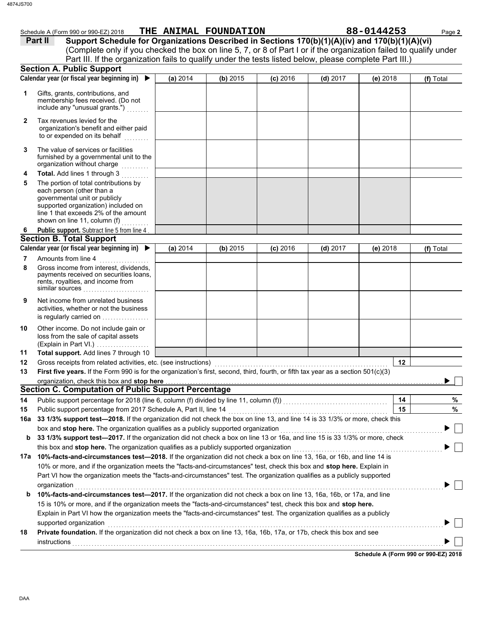# Schedule A (Form 990 or 990-EZ) 2018 Page **2 THE ANIMAL FOUNDATION 88-0144253**

|     | Part II<br>Support Schedule for Organizations Described in Sections 170(b)(1)(A)(iv) and 170(b)(1)(A)(vi)                                                                                                                                                   |          |          |            |            |            |    |           |
|-----|-------------------------------------------------------------------------------------------------------------------------------------------------------------------------------------------------------------------------------------------------------------|----------|----------|------------|------------|------------|----|-----------|
|     | (Complete only if you checked the box on line 5, 7, or 8 of Part I or if the organization failed to qualify under                                                                                                                                           |          |          |            |            |            |    |           |
|     | Part III. If the organization fails to qualify under the tests listed below, please complete Part III.)                                                                                                                                                     |          |          |            |            |            |    |           |
|     | <b>Section A. Public Support</b>                                                                                                                                                                                                                            |          |          |            |            |            |    |           |
|     | Calendar year (or fiscal year beginning in) $\blacktriangleright$                                                                                                                                                                                           | (a) 2014 | (b) 2015 | $(c)$ 2016 | $(d)$ 2017 | $(e)$ 2018 |    | (f) Total |
| 1   | Gifts, grants, contributions, and<br>membership fees received. (Do not<br>include any "unusual grants.")                                                                                                                                                    |          |          |            |            |            |    |           |
| 2   | Tax revenues levied for the<br>organization's benefit and either paid<br>to or expended on its behalf                                                                                                                                                       |          |          |            |            |            |    |           |
| 3   | The value of services or facilities<br>furnished by a governmental unit to the<br>organization without charge                                                                                                                                               |          |          |            |            |            |    |           |
| 4   | Total. Add lines 1 through 3                                                                                                                                                                                                                                |          |          |            |            |            |    |           |
| 5   | The portion of total contributions by<br>each person (other than a<br>governmental unit or publicly<br>supported organization) included on<br>line 1 that exceeds 2% of the amount<br>shown on line 11, column (f)                                          |          |          |            |            |            |    |           |
|     | Public support. Subtract line 5 from line 4                                                                                                                                                                                                                 |          |          |            |            |            |    |           |
|     | <b>Section B. Total Support</b>                                                                                                                                                                                                                             |          |          |            |            |            |    |           |
|     | Calendar year (or fiscal year beginning in)                                                                                                                                                                                                                 | (a) 2014 | (b) 2015 | $(c)$ 2016 | $(d)$ 2017 | $(e)$ 2018 |    | (f) Total |
| 7   | Amounts from line 4                                                                                                                                                                                                                                         |          |          |            |            |            |    |           |
| 8   | Gross income from interest, dividends,<br>payments received on securities loans,<br>rents, royalties, and income from<br>similar sources                                                                                                                    |          |          |            |            |            |    |           |
| 9   | Net income from unrelated business<br>activities, whether or not the business<br>is regularly carried on                                                                                                                                                    |          |          |            |            |            |    |           |
| 10  | Other income. Do not include gain or<br>loss from the sale of capital assets<br>(Explain in Part VI.)                                                                                                                                                       |          |          |            |            |            |    |           |
| 11  | Total support. Add lines 7 through 10                                                                                                                                                                                                                       |          |          |            |            |            |    |           |
| 12  | Gross receipts from related activities, etc. (see instructions)                                                                                                                                                                                             |          |          |            |            |            | 12 |           |
| 13  | First five years. If the Form 990 is for the organization's first, second, third, fourth, or fifth tax year as a section 501(c)(3)                                                                                                                          |          |          |            |            |            |    |           |
|     | organization, check this box and stop here manufactured and content to the state of the state of the state of the state of the state of the state of the state of the state of the state of the state of the state of the stat                              |          |          |            |            |            |    |           |
|     | Section C. Computation of Public Support Percentage                                                                                                                                                                                                         |          |          |            |            |            |    |           |
| 14  | Public support percentage for 2018 (line 6, column (f) divided by line 11, column (f)) [[[[[[[[[[[[[[[[[[[[[[                                                                                                                                               |          |          |            |            |            | 14 | %         |
| 15  | Public support percentage from 2017 Schedule A, Part II, line 14                                                                                                                                                                                            |          |          |            |            |            | 15 | $\%$      |
| 16a | 33 1/3% support test-2018. If the organization did not check the box on line 13, and line 14 is 33 1/3% or more, check this                                                                                                                                 |          |          |            |            |            |    |           |
|     | box and stop here. The organization qualifies as a publicly supported organization                                                                                                                                                                          |          |          |            |            |            |    |           |
| b   | 33 1/3% support test-2017. If the organization did not check a box on line 13 or 16a, and line 15 is 33 1/3% or more, check                                                                                                                                 |          |          |            |            |            |    |           |
|     | this box and stop here. The organization qualifies as a publicly supported organization                                                                                                                                                                     |          |          |            |            |            |    |           |
|     | 17a 10%-facts-and-circumstances test-2018. If the organization did not check a box on line 13, 16a, or 16b, and line 14 is                                                                                                                                  |          |          |            |            |            |    |           |
|     | 10% or more, and if the organization meets the "facts-and-circumstances" test, check this box and stop here. Explain in<br>Part VI how the organization meets the "facts-and-circumstances" test. The organization qualifies as a publicly supported        |          |          |            |            |            |    |           |
| b   | organization<br>10%-facts-and-circumstances test-2017. If the organization did not check a box on line 13, 16a, 16b, or 17a, and line<br>15 is 10% or more, and if the organization meets the "facts-and-circumstances" test, check this box and stop here. |          |          |            |            |            |    |           |
|     | Explain in Part VI how the organization meets the "facts-and-circumstances" test. The organization qualifies as a publicly<br>supported organization                                                                                                        |          |          |            |            |            |    |           |
| 18  | Private foundation. If the organization did not check a box on line 13, 16a, 16b, 17a, or 17b, check this box and see                                                                                                                                       |          |          |            |            |            |    |           |
|     | instructions                                                                                                                                                                                                                                                |          |          |            |            |            |    |           |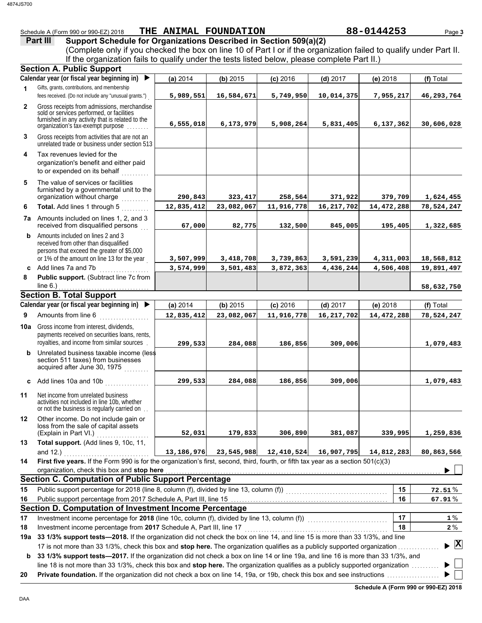## Schedule A (Form 990 or 990-EZ) 2018 Page **3 THE ANIMAL FOUNDATION 88-0144253**

**Part III** Support Schedule for Organizations Described in Section 509(a)(2)

(Complete only if you checked the box on line 10 of Part I or if the organization failed to qualify under Part II. If the organization fails to qualify under the tests listed below, please complete Part II.)

|              | <b>Section A. Public Support</b>                                                                                                                                                                                                                            |            |            |            |            |              |                                    |
|--------------|-------------------------------------------------------------------------------------------------------------------------------------------------------------------------------------------------------------------------------------------------------------|------------|------------|------------|------------|--------------|------------------------------------|
|              | Calendar year (or fiscal year beginning in)                                                                                                                                                                                                                 | (a) 2014   | (b) 2015   | $(c)$ 2016 | $(d)$ 2017 | $(e)$ 2018   | (f) Total                          |
| 1            | Gifts, grants, contributions, and membership                                                                                                                                                                                                                |            |            |            |            |              |                                    |
|              | fees received. (Do not include any "unusual grants.")                                                                                                                                                                                                       | 5,989,551  | 16,584,671 | 5,749,950  | 10,014,375 | 7,955,217    | 46,293,764                         |
| $\mathbf{2}$ | Gross receipts from admissions, merchandise<br>sold or services performed, or facilities<br>furnished in any activity that is related to the<br>organization's fax-exempt purpose                                                                           | 6,555,018  | 6,173,979  | 5,908,264  | 5,831,405  | 6,137,362    | 30,606,028                         |
| 3            | Gross receipts from activities that are not an<br>unrelated trade or business under section 513                                                                                                                                                             |            |            |            |            |              |                                    |
| 4            | Tax revenues levied for the<br>organization's benefit and either paid<br>to or expended on its behalf                                                                                                                                                       |            |            |            |            |              |                                    |
| 5            | The value of services or facilities<br>furnished by a governmental unit to the<br>organization without charge                                                                                                                                               | 290,843    | 323,417    | 258,564    | 371,922    | 379,709      | 1,624,455                          |
| 6            | Total. Add lines 1 through 5<br>a a a a a a a a                                                                                                                                                                                                             | 12,835,412 | 23,082,067 | 11,916,778 | 16,217,702 | 14,472,288   | 78,524,247                         |
|              | 7a Amounts included on lines 1, 2, and 3<br>received from disqualified persons                                                                                                                                                                              | 67,000     | 82,775     | 132,500    | 845,005    | 195,405      | 1,322,685                          |
| b            | Amounts included on lines 2 and 3<br>received from other than disqualified<br>persons that exceed the greater of \$5,000<br>or 1% of the amount on line 13 for the year                                                                                     | 3,507,999  | 3,418,708  | 3,739,863  | 3,591,239  | 4,311,003    | 18,568,812                         |
|              | c Add lines 7a and 7b                                                                                                                                                                                                                                       | 3,574,999  | 3,501,483  | 3,872,363  | 4,436,244  | 4,506,408    | 19,891,497                         |
| 8            | Public support. (Subtract line 7c from                                                                                                                                                                                                                      |            |            |            |            |              |                                    |
|              | line $6.$ )                                                                                                                                                                                                                                                 |            |            |            |            |              | 58,632,750                         |
|              | <b>Section B. Total Support</b><br>Calendar year (or fiscal year beginning in)                                                                                                                                                                              |            |            |            |            |              |                                    |
|              |                                                                                                                                                                                                                                                             | (a) 2014   | (b) 2015   | $(c)$ 2016 | $(d)$ 2017 | $(e)$ 2018   | (f) Total                          |
| 9            | Amounts from line 6<br><u>.</u><br>1980 - Paul Barbara, president                                                                                                                                                                                           | 12,835,412 | 23,082,067 | 11,916,778 | 16,217,702 | 14, 472, 288 | 78,524,247                         |
| 10a          | Gross income from interest, dividends,<br>payments received on securities loans, rents,<br>royalties, and income from similar sources                                                                                                                       | 299,533    | 284,088    | 186,856    | 309,006    |              | 1,079,483                          |
| b            | Unrelated business taxable income (less<br>section 511 taxes) from businesses<br>acquired after June 30, 1975                                                                                                                                               |            |            |            |            |              |                                    |
|              | c Add lines 10a and 10b                                                                                                                                                                                                                                     | 299,533    | 284,088    | 186,856    | 309,006    |              | 1,079,483                          |
| 11           | Net income from unrelated business<br>activities not included in line 10b, whether<br>or not the business is regularly carried on                                                                                                                           |            |            |            |            |              |                                    |
| 12           | Other income. Do not include gain or<br>loss from the sale of capital assets<br>(Explain in Part VI.)                                                                                                                                                       | 52,031     | 179,833    | 306,890    | 381,087    | 339,995      | 1,259,836                          |
| 13           | Total support. (Add lines 9, 10c, 11,                                                                                                                                                                                                                       |            |            |            |            |              |                                    |
|              | and $12.$ )                                                                                                                                                                                                                                                 | 13,186,976 | 23,545,988 | 12,410,524 | 16,907,795 | 14,812,283   | 80,863,566                         |
| 14           | First five years. If the Form 990 is for the organization's first, second, third, fourth, or fifth tax year as a section 501(c)(3)<br>organization, check this box and stop here                                                                            |            |            |            |            |              |                                    |
|              | <b>Section C. Computation of Public Support Percentage</b>                                                                                                                                                                                                  |            |            |            |            |              |                                    |
| 15           |                                                                                                                                                                                                                                                             |            |            |            |            | 15           | $72.51\%$                          |
| 16           |                                                                                                                                                                                                                                                             |            |            |            |            | 16           | 67.91%                             |
|              | <b>Section D. Computation of Investment Income Percentage</b>                                                                                                                                                                                               |            |            |            |            |              |                                    |
| 17           | Investment income percentage for 2018 (line 10c, column (f), divided by line 13, column (f)) [[[[[[[[[[[[[[[[                                                                                                                                               |            |            |            |            | 17           | $1\%$                              |
| 18           | Investment income percentage from 2017 Schedule A, Part III, line 17                                                                                                                                                                                        |            |            |            |            | 18           | $2\%$                              |
| 19a          | 33 1/3% support tests-2018. If the organization did not check the box on line 14, and line 15 is more than 33 1/3%, and line<br>17 is not more than 33 1/3%, check this box and stop here. The organization qualifies as a publicly supported organization. |            |            |            |            |              | $\blacktriangleright$ $\mathbf{X}$ |
| b            | 33 1/3% support tests-2017. If the organization did not check a box on line 14 or line 19a, and line 16 is more than 33 1/3%, and                                                                                                                           |            |            |            |            |              |                                    |
|              | line 18 is not more than 33 1/3%, check this box and stop here. The organization qualifies as a publicly supported organization                                                                                                                             |            |            |            |            |              |                                    |
| 20           |                                                                                                                                                                                                                                                             |            |            |            |            |              |                                    |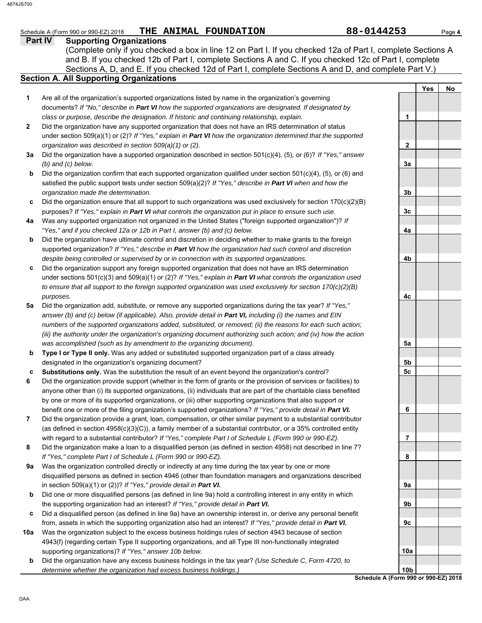| <b>Part IV</b> | THE ANIMAL FOUNDATION<br>Schedule A (Form 990 or 990-EZ) 2018<br><b>Supporting Organizations</b>                                                                                                                                   | 88-0144253      |            | Page 4 |
|----------------|------------------------------------------------------------------------------------------------------------------------------------------------------------------------------------------------------------------------------------|-----------------|------------|--------|
|                | (Complete only if you checked a box in line 12 on Part I. If you checked 12a of Part I, complete Sections A<br>and B. If you checked 12b of Part I, complete Sections A and C. If you checked 12c of Part I, complete              |                 |            |        |
|                | Sections A, D, and E. If you checked 12d of Part I, complete Sections A and D, and complete Part V.)                                                                                                                               |                 |            |        |
|                | <b>Section A. All Supporting Organizations</b>                                                                                                                                                                                     |                 |            |        |
|                |                                                                                                                                                                                                                                    |                 | <b>Yes</b> | No     |
| 1              | Are all of the organization's supported organizations listed by name in the organization's governing                                                                                                                               |                 |            |        |
|                | documents? If "No," describe in Part VI how the supported organizations are designated. If designated by                                                                                                                           |                 |            |        |
|                | class or purpose, describe the designation. If historic and continuing relationship, explain.                                                                                                                                      | 1               |            |        |
| 2              | Did the organization have any supported organization that does not have an IRS determination of status                                                                                                                             |                 |            |        |
|                | under section 509(a)(1) or (2)? If "Yes," explain in Part VI how the organization determined that the supported                                                                                                                    |                 |            |        |
|                | organization was described in section 509(a)(1) or (2).                                                                                                                                                                            | $\mathbf{2}$    |            |        |
| За             | Did the organization have a supported organization described in section $501(c)(4)$ , (5), or (6)? If "Yes," answer                                                                                                                |                 |            |        |
|                | $(b)$ and $(c)$ below.                                                                                                                                                                                                             | 3a              |            |        |
| b              | Did the organization confirm that each supported organization qualified under section 501(c)(4), (5), or (6) and<br>satisfied the public support tests under section 509(a)(2)? If "Yes," describe in Part VI when and how the     |                 |            |        |
|                | organization made the determination.                                                                                                                                                                                               | 3b              |            |        |
| c              | Did the organization ensure that all support to such organizations was used exclusively for section $170(c)(2)(B)$                                                                                                                 |                 |            |        |
|                | purposes? If "Yes," explain in Part VI what controls the organization put in place to ensure such use.                                                                                                                             | 3c              |            |        |
| 4a             | Was any supported organization not organized in the United States ("foreign supported organization")? If                                                                                                                           |                 |            |        |
|                | "Yes," and if you checked 12a or 12b in Part I, answer (b) and (c) below.                                                                                                                                                          | 4a              |            |        |
| b              | Did the organization have ultimate control and discretion in deciding whether to make grants to the foreign                                                                                                                        |                 |            |        |
|                | supported organization? If "Yes," describe in Part VI how the organization had such control and discretion                                                                                                                         |                 |            |        |
|                | despite being controlled or supervised by or in connection with its supported organizations.                                                                                                                                       | 4b              |            |        |
| c              | Did the organization support any foreign supported organization that does not have an IRS determination                                                                                                                            |                 |            |        |
|                | under sections 501(c)(3) and 509(a)(1) or (2)? If "Yes," explain in Part VI what controls the organization used                                                                                                                    |                 |            |        |
|                | to ensure that all support to the foreign supported organization was used exclusively for section $170(c)(2)(B)$                                                                                                                   |                 |            |        |
|                | purposes.                                                                                                                                                                                                                          | 4c              |            |        |
| 5a             | Did the organization add, substitute, or remove any supported organizations during the tax year? If "Yes,"                                                                                                                         |                 |            |        |
|                | answer (b) and (c) below (if applicable). Also, provide detail in Part VI, including (i) the names and EIN                                                                                                                         |                 |            |        |
|                | numbers of the supported organizations added, substituted, or removed; (ii) the reasons for each such action;<br>(iii) the authority under the organization's organizing document authorizing such action; and (iv) how the action |                 |            |        |
|                | was accomplished (such as by amendment to the organizing document).                                                                                                                                                                | 5a              |            |        |
| b              | Type I or Type II only. Was any added or substituted supported organization part of a class already                                                                                                                                |                 |            |        |
|                | designated in the organization's organizing document?                                                                                                                                                                              | 5b              |            |        |
| c              | Substitutions only. Was the substitution the result of an event beyond the organization's control?                                                                                                                                 | 5c              |            |        |
| 6              | Did the organization provide support (whether in the form of grants or the provision of services or facilities) to                                                                                                                 |                 |            |        |
|                | anyone other than (i) its supported organizations, (ii) individuals that are part of the charitable class benefited                                                                                                                |                 |            |        |
|                | by one or more of its supported organizations, or (iii) other supporting organizations that also support or                                                                                                                        |                 |            |        |
|                | benefit one or more of the filing organization's supported organizations? If "Yes," provide detail in Part VI.                                                                                                                     | 6               |            |        |
| 7              | Did the organization provide a grant, loan, compensation, or other similar payment to a substantial contributor                                                                                                                    |                 |            |        |
|                | (as defined in section 4958(c)(3)(C)), a family member of a substantial contributor, or a 35% controlled entity                                                                                                                    |                 |            |        |
|                | with regard to a substantial contributor? If "Yes," complete Part I of Schedule L (Form 990 or 990-EZ).                                                                                                                            | 7               |            |        |
| 8              | Did the organization make a loan to a disqualified person (as defined in section 4958) not described in line 7?                                                                                                                    |                 |            |        |
|                | If "Yes," complete Part I of Schedule L (Form 990 or 990-EZ).                                                                                                                                                                      | 8               |            |        |
| 9а             | Was the organization controlled directly or indirectly at any time during the tax year by one or more                                                                                                                              |                 |            |        |
|                | disqualified persons as defined in section 4946 (other than foundation managers and organizations described                                                                                                                        |                 |            |        |
|                | in section 509(a)(1) or (2))? If "Yes," provide detail in Part VI.                                                                                                                                                                 | 9a              |            |        |
| b              | Did one or more disqualified persons (as defined in line 9a) hold a controlling interest in any entity in which<br>the supporting organization had an interest? If "Yes," provide detail in Part VI.                               | 9b              |            |        |
| c              | Did a disqualified person (as defined in line 9a) have an ownership interest in, or derive any personal benefit                                                                                                                    |                 |            |        |
|                | from, assets in which the supporting organization also had an interest? If "Yes," provide detail in Part VI.                                                                                                                       | 9c              |            |        |
| 10a            | Was the organization subject to the excess business holdings rules of section 4943 because of section                                                                                                                              |                 |            |        |
|                | 4943(f) (regarding certain Type II supporting organizations, and all Type III non-functionally integrated                                                                                                                          |                 |            |        |
|                | supporting organizations)? If "Yes," answer 10b below.                                                                                                                                                                             | 10a             |            |        |
| b              | Did the organization have any excess business holdings in the tax year? (Use Schedule C, Form 4720, to                                                                                                                             |                 |            |        |
|                | determine whether the organization had excess business holdings.)                                                                                                                                                                  | 10 <sub>b</sub> |            |        |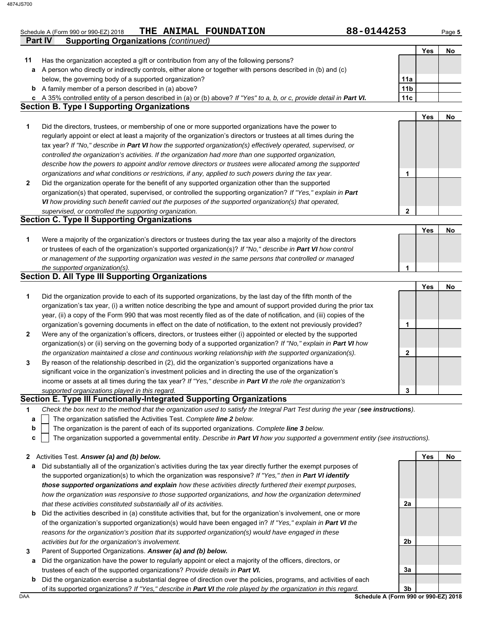|              | THE ANIMAL FOUNDATION<br>Schedule A (Form 990 or 990-EZ) 2018                                                                     | 88-0144253      |            | Page 5 |
|--------------|-----------------------------------------------------------------------------------------------------------------------------------|-----------------|------------|--------|
| Part IV      | <b>Supporting Organizations (continued)</b>                                                                                       |                 |            |        |
|              |                                                                                                                                   |                 | <b>Yes</b> | No     |
| 11           | Has the organization accepted a gift or contribution from any of the following persons?                                           |                 |            |        |
| а            | A person who directly or indirectly controls, either alone or together with persons described in (b) and (c)                      |                 |            |        |
|              | below, the governing body of a supported organization?                                                                            | 11a             |            |        |
| b            | A family member of a person described in (a) above?                                                                               | 11 <sub>b</sub> |            |        |
| C            | A 35% controlled entity of a person described in (a) or (b) above? If "Yes" to a, b, or c, provide detail in Part VI.             | 11c             |            |        |
|              | <b>Section B. Type I Supporting Organizations</b>                                                                                 |                 |            |        |
|              |                                                                                                                                   |                 | <b>Yes</b> | No     |
| 1            | Did the directors, trustees, or membership of one or more supported organizations have the power to                               |                 |            |        |
|              | regularly appoint or elect at least a majority of the organization's directors or trustees at all times during the                |                 |            |        |
|              | tax year? If "No," describe in Part VI how the supported organization(s) effectively operated, supervised, or                     |                 |            |        |
|              | controlled the organization's activities. If the organization had more than one supported organization,                           |                 |            |        |
|              | describe how the powers to appoint and/or remove directors or trustees were allocated among the supported                         |                 |            |        |
|              | organizations and what conditions or restrictions, if any, applied to such powers during the tax year.                            | 1               |            |        |
| $\mathbf{2}$ | Did the organization operate for the benefit of any supported organization other than the supported                               |                 |            |        |
|              | organization(s) that operated, supervised, or controlled the supporting organization? If "Yes," explain in Part                   |                 |            |        |
|              | VI how providing such benefit carried out the purposes of the supported organization(s) that operated,                            |                 |            |        |
|              | supervised, or controlled the supporting organization.                                                                            | $\mathbf{2}$    |            |        |
|              | <b>Section C. Type II Supporting Organizations</b>                                                                                |                 |            |        |
|              |                                                                                                                                   |                 | <b>Yes</b> | No     |
| 1            | Were a majority of the organization's directors or trustees during the tax year also a majority of the directors                  |                 |            |        |
|              | or trustees of each of the organization's supported organization(s)? If "No," describe in Part VI how control                     |                 |            |        |
|              | or management of the supporting organization was vested in the same persons that controlled or managed                            |                 |            |        |
|              | the supported organization(s).                                                                                                    | 1               |            |        |
|              | <b>Section D. All Type III Supporting Organizations</b>                                                                           |                 |            |        |
|              |                                                                                                                                   |                 | <b>Yes</b> | No     |
| 1            | Did the organization provide to each of its supported organizations, by the last day of the fifth month of the                    |                 |            |        |
|              | organization's tax year, (i) a written notice describing the type and amount of support provided during the prior tax             |                 |            |        |
|              | year, (ii) a copy of the Form 990 that was most recently filed as of the date of notification, and (iii) copies of the            |                 |            |        |
|              | organization's governing documents in effect on the date of notification, to the extent not previously provided?                  | 1               |            |        |
| 2            | Were any of the organization's officers, directors, or trustees either (i) appointed or elected by the supported                  |                 |            |        |
|              | organization(s) or (ii) serving on the governing body of a supported organization? If "No," explain in Part VI how                |                 |            |        |
|              | the organization maintained a close and continuous working relationship with the supported organization(s).                       | 2               |            |        |
| 3            | By reason of the relationship described in (2), did the organization's supported organizations have a                             |                 |            |        |
|              | significant voice in the organization's investment policies and in directing the use of the organization's                        |                 |            |        |
|              | income or assets at all times during the tax year? If "Yes," describe in Part VI the role the organization's                      |                 |            |        |
|              | supported organizations played in this regard.                                                                                    | 3               |            |        |
|              | Section E. Type III Functionally-Integrated Supporting Organizations                                                              |                 |            |        |
| 1            | Check the box next to the method that the organization used to satisfy the Integral Part Test during the year (see instructions). |                 |            |        |
| а            | The organization satisfied the Activities Test. Complete line 2 below.                                                            |                 |            |        |
| b            | The organization is the parent of each of its supported organizations. Complete line 3 below.                                     |                 |            |        |
| c            | The organization supported a governmental entity. Describe in Part VI how you supported a government entity (see instructions).   |                 |            |        |
| $\mathbf{2}$ | Activities Test. Answer (a) and (b) below.                                                                                        |                 | Yes        | No     |
| а            | Did substantially all of the organization's activities during the tax year directly further the exempt purposes of                |                 |            |        |
|              | the supported organization(s) to which the organization was responsive? If "Yes," then in Part VI identify                        |                 |            |        |
|              | those supported organizations and explain how these activities directly furthered their exempt purposes,                          |                 |            |        |

**b** Did the activities described in (a) constitute activities that, but for the organization's involvement, one or more *that these activities constituted substantially all of its activities.* of the organization's supported organization(s) would have been engaged in? *If "Yes," explain in Part VI the reasons for the organization's position that its supported organization(s) would have engaged in these activities but for the organization's involvement.*

*how the organization was responsive to those supported organizations, and how the organization determined* 

- **3** Parent of Supported Organizations. *Answer (a) and (b) below.*
- **a** Did the organization have the power to regularly appoint or elect a majority of the officers, directors, or trustees of each of the supported organizations? *Provide details in Part VI.*
- **b** Did the organization exercise a substantial degree of direction over the policies, programs, and activities of each of its supported organizations? *If "Yes," describe in Part VI the role played by the organization in this regard.*

DAA **Schedule A (Form 990 or 990-EZ) 2018 3b**

**2a**

**2b**

**3a**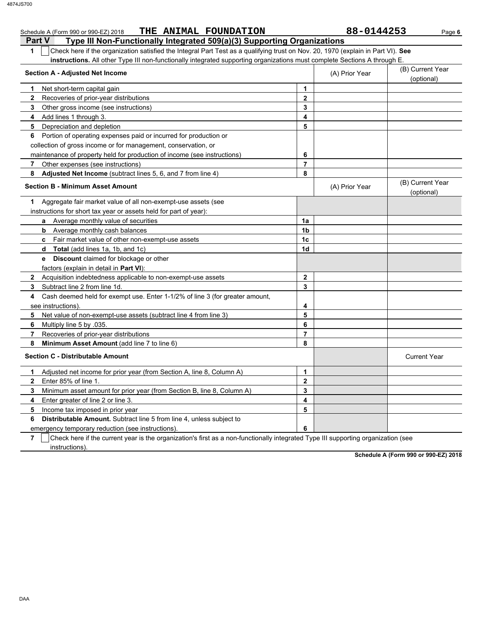| S700                                                                                                                                   |             |                |                                |
|----------------------------------------------------------------------------------------------------------------------------------------|-------------|----------------|--------------------------------|
| THE ANIMAL FOUNDATION<br>Schedule A (Form 990 or 990-EZ) 2018                                                                          |             | 88-0144253     | Page 6                         |
| <b>Part V</b><br>Type III Non-Functionally Integrated 509(a)(3) Supporting Organizations                                               |             |                |                                |
| Check here if the organization satisfied the Integral Part Test as a qualifying trust on Nov. 20, 1970 (explain in Part VI). See<br>1. |             |                |                                |
| instructions. All other Type III non-functionally integrated supporting organizations must complete Sections A through E.              |             |                |                                |
| <b>Section A - Adjusted Net Income</b>                                                                                                 |             | (A) Prior Year | (B) Current Year<br>(optional) |
| Net short-term capital gain                                                                                                            | 1           |                |                                |
| Recoveries of prior-year distributions                                                                                                 | $\mathbf 2$ |                |                                |
| Other gross income (see instructions)<br>3                                                                                             | 3           |                |                                |
| Add lines 1 through 3.<br>4                                                                                                            | 4           |                |                                |
| Depreciation and depletion<br>5                                                                                                        | 5           |                |                                |
| Portion of operating expenses paid or incurred for production or<br>6                                                                  |             |                |                                |
| collection of gross income or for management, conservation, or                                                                         |             |                |                                |
| maintenance of property held for production of income (see instructions)                                                               | 6           |                |                                |
| Other expenses (see instructions)                                                                                                      | 7           |                |                                |
| Adjusted Net Income (subtract lines 5, 6, and 7 from line 4)<br>8                                                                      | 8           |                |                                |
| <b>Section B - Minimum Asset Amount</b>                                                                                                |             | (A) Prior Year | (B) Current Year<br>(          |

#### **1** Aggregate fair market value of all non-exempt-use assets (see instructions for short tax year or assets held for part of year): **a** Average monthly value of securities **b** Average monthly cash balances **c** Fair market value of other non-exempt-use assets **d Total** (add lines 1a, 1b, and 1c) **e Discount** claimed for blockage or other factors (explain in detail in **Part VI**): **8 Minimum Asset Amount** (add line 7 to line 6) **7 6** Multiply line 5 by .035. **5** Net value of non-exempt-use assets (subtract line 4 from line 3) **4 3 2** Acquisition indebtedness applicable to non-exempt-use assets Subtract line 2 from line 1d. Cash deemed held for exempt use. Enter 1-1/2% of line 3 (for greater amount, see instructions). Recoveries of prior-year distributions **Section C - Distributable Amount 6 5** Income tax imposed in prior year **4** Enter greater of line 2 or line 3. **3 2** Enter 85% of line 1. **1** Adjusted net income for prior year (from Section A, line 8, Column A) Minimum asset amount for prior year (from Section B, line 8, Column A) **Distributable Amount.** Subtract line 5 from line 4, unless subject to emergency temporary reduction (see instructions). (optional) ent Year **1a 1b 1c 1d 2 3 4 5 6 7 8 3 2 1 6 5 4** Current Year

**7** instructions). Check here if the current year is the organization's first as a non-functionally integrated Type III supporting organization (see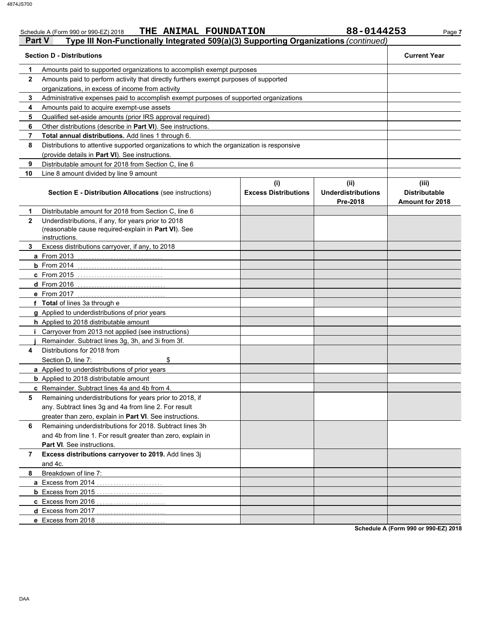| THE ANIMAL FOUNDATION<br>Schedule A (Form 990 or 990-EZ) 2018                                        | 88-0144253 | Page 7              |
|------------------------------------------------------------------------------------------------------|------------|---------------------|
| <b>Part V</b><br>Type III Non-Functionally Integrated 509(a)(3) Supporting Organizations (continued) |            |                     |
| <b>Section D - Distributions</b>                                                                     |            | <b>Current Year</b> |
| Amounts paid to supported organizations to accomplish exempt purposes                                |            |                     |
| Amounts paid to perform activity that directly furthers exempt purposes of supported                 |            |                     |
| organizations, in excess of income from activity                                                     |            |                     |
| Administrative expenses paid to accomplish exempt purposes of supported organizations                |            |                     |

# Distributions to attentive supported organizations to which the organization is responsive

Amounts paid to acquire exempt-use assets

Qualified set-aside amounts (prior IRS approval required) Other distributions (describe in **Part VI**). See instructions. **Total annual distributions.** Add lines 1 through 6.

|              | (provide details in Part VI). See instructions.                                                                             |                                    |                                               |                                                         |
|--------------|-----------------------------------------------------------------------------------------------------------------------------|------------------------------------|-----------------------------------------------|---------------------------------------------------------|
| 9            | Distributable amount for 2018 from Section C, line 6                                                                        |                                    |                                               |                                                         |
| 10           | Line 8 amount divided by line 9 amount                                                                                      |                                    |                                               |                                                         |
|              | <b>Section E - Distribution Allocations (see instructions)</b>                                                              | (i)<br><b>Excess Distributions</b> | (ii)<br><b>Underdistributions</b><br>Pre-2018 | (iii)<br><b>Distributable</b><br><b>Amount for 2018</b> |
| 1            | Distributable amount for 2018 from Section C, line 6                                                                        |                                    |                                               |                                                         |
| $\mathbf{2}$ | Underdistributions, if any, for years prior to 2018<br>(reasonable cause required-explain in Part VI). See<br>instructions. |                                    |                                               |                                                         |
| 3            | Excess distributions carryover, if any, to 2018                                                                             |                                    |                                               |                                                         |
|              | <b>a</b> From 2013                                                                                                          |                                    |                                               |                                                         |
|              | $b$ From 2014                                                                                                               |                                    |                                               |                                                         |
|              | c From 2015                                                                                                                 |                                    |                                               |                                                         |
|              | <b>d</b> From 2016                                                                                                          |                                    |                                               |                                                         |
|              | e From 2017                                                                                                                 |                                    |                                               |                                                         |
|              | f Total of lines 3a through e                                                                                               |                                    |                                               |                                                         |
|              | g Applied to underdistributions of prior years                                                                              |                                    |                                               |                                                         |
|              | h Applied to 2018 distributable amount                                                                                      |                                    |                                               |                                                         |
|              | <i>i</i> Carryover from 2013 not applied (see instructions)                                                                 |                                    |                                               |                                                         |
|              | Remainder. Subtract lines 3g, 3h, and 3i from 3f.                                                                           |                                    |                                               |                                                         |
| 4            | Distributions for 2018 from                                                                                                 |                                    |                                               |                                                         |
|              | Section D, line 7:<br>\$                                                                                                    |                                    |                                               |                                                         |
|              | a Applied to underdistributions of prior years                                                                              |                                    |                                               |                                                         |
|              | <b>b</b> Applied to 2018 distributable amount                                                                               |                                    |                                               |                                                         |
|              | c Remainder. Subtract lines 4a and 4b from 4.                                                                               |                                    |                                               |                                                         |
| 5            | Remaining underdistributions for years prior to 2018, if<br>any. Subtract lines 3g and 4a from line 2. For result           |                                    |                                               |                                                         |
|              | greater than zero, explain in Part VI. See instructions.                                                                    |                                    |                                               |                                                         |
| 6            | Remaining underdistributions for 2018. Subtract lines 3h                                                                    |                                    |                                               |                                                         |
|              | and 4b from line 1. For result greater than zero, explain in                                                                |                                    |                                               |                                                         |
|              | <b>Part VI.</b> See instructions.                                                                                           |                                    |                                               |                                                         |
| 7            | Excess distributions carryover to 2019. Add lines 3j                                                                        |                                    |                                               |                                                         |
|              | and 4c.                                                                                                                     |                                    |                                               |                                                         |
| 8            | Breakdown of line 7:                                                                                                        |                                    |                                               |                                                         |
|              | a Excess from 2014<br>. . <b>. <u>.</u></b>                                                                                 |                                    |                                               |                                                         |
|              | <b>b</b> Excess from 2015                                                                                                   |                                    |                                               |                                                         |
|              | c Excess from 2016                                                                                                          |                                    |                                               |                                                         |
|              | d Excess from 2017                                                                                                          |                                    |                                               |                                                         |
|              | e Excess from 2018                                                                                                          |                                    |                                               |                                                         |
|              |                                                                                                                             |                                    |                                               | <b>Cohodule A (Form 000 or 000 EZ) 20</b>               |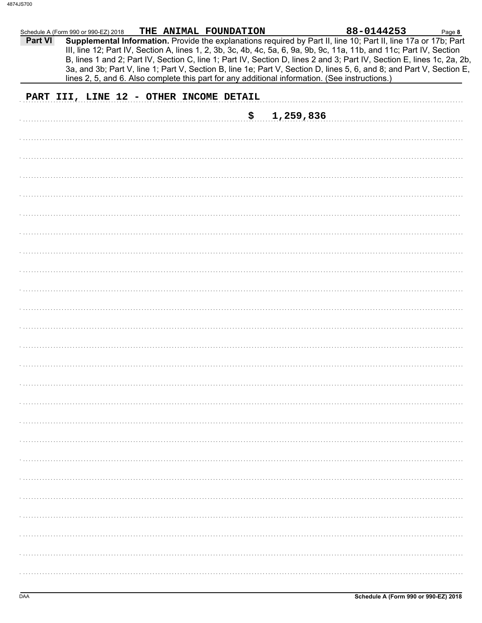| THE ANIMAL FOUNDATION<br>Schedule A (Form 990 or 990-EZ) 2018                                                                                                                                                                                                                                                                                                                                                                                                                                                                                                                                                 | 88-0144253<br>Page 8 |
|---------------------------------------------------------------------------------------------------------------------------------------------------------------------------------------------------------------------------------------------------------------------------------------------------------------------------------------------------------------------------------------------------------------------------------------------------------------------------------------------------------------------------------------------------------------------------------------------------------------|----------------------|
| Supplemental Information. Provide the explanations required by Part II, line 10; Part II, line 17a or 17b; Part<br><b>Part VI</b><br>III, line 12; Part IV, Section A, lines 1, 2, 3b, 3c, 4b, 4c, 5a, 6, 9a, 9b, 9c, 11a, 11b, and 11c; Part IV, Section<br>B, lines 1 and 2; Part IV, Section C, line 1; Part IV, Section D, lines 2 and 3; Part IV, Section E, lines 1c, 2a, 2b,<br>3a, and 3b; Part V, line 1; Part V, Section B, line 1e; Part V, Section D, lines 5, 6, and 8; and Part V, Section E,<br>lines 2, 5, and 6. Also complete this part for any additional information. (See instructions.) |                      |
| PART III, LINE 12 - OTHER INCOME DETAIL                                                                                                                                                                                                                                                                                                                                                                                                                                                                                                                                                                       |                      |
| 1,259,836<br>\$                                                                                                                                                                                                                                                                                                                                                                                                                                                                                                                                                                                               |                      |
|                                                                                                                                                                                                                                                                                                                                                                                                                                                                                                                                                                                                               |                      |
|                                                                                                                                                                                                                                                                                                                                                                                                                                                                                                                                                                                                               |                      |
|                                                                                                                                                                                                                                                                                                                                                                                                                                                                                                                                                                                                               |                      |
|                                                                                                                                                                                                                                                                                                                                                                                                                                                                                                                                                                                                               |                      |
|                                                                                                                                                                                                                                                                                                                                                                                                                                                                                                                                                                                                               |                      |
|                                                                                                                                                                                                                                                                                                                                                                                                                                                                                                                                                                                                               |                      |
|                                                                                                                                                                                                                                                                                                                                                                                                                                                                                                                                                                                                               |                      |
|                                                                                                                                                                                                                                                                                                                                                                                                                                                                                                                                                                                                               |                      |
|                                                                                                                                                                                                                                                                                                                                                                                                                                                                                                                                                                                                               |                      |
|                                                                                                                                                                                                                                                                                                                                                                                                                                                                                                                                                                                                               |                      |
|                                                                                                                                                                                                                                                                                                                                                                                                                                                                                                                                                                                                               |                      |
|                                                                                                                                                                                                                                                                                                                                                                                                                                                                                                                                                                                                               |                      |
|                                                                                                                                                                                                                                                                                                                                                                                                                                                                                                                                                                                                               |                      |
|                                                                                                                                                                                                                                                                                                                                                                                                                                                                                                                                                                                                               |                      |
|                                                                                                                                                                                                                                                                                                                                                                                                                                                                                                                                                                                                               |                      |
|                                                                                                                                                                                                                                                                                                                                                                                                                                                                                                                                                                                                               |                      |
|                                                                                                                                                                                                                                                                                                                                                                                                                                                                                                                                                                                                               |                      |
|                                                                                                                                                                                                                                                                                                                                                                                                                                                                                                                                                                                                               |                      |
|                                                                                                                                                                                                                                                                                                                                                                                                                                                                                                                                                                                                               |                      |
|                                                                                                                                                                                                                                                                                                                                                                                                                                                                                                                                                                                                               |                      |
|                                                                                                                                                                                                                                                                                                                                                                                                                                                                                                                                                                                                               |                      |
|                                                                                                                                                                                                                                                                                                                                                                                                                                                                                                                                                                                                               |                      |
|                                                                                                                                                                                                                                                                                                                                                                                                                                                                                                                                                                                                               |                      |
|                                                                                                                                                                                                                                                                                                                                                                                                                                                                                                                                                                                                               |                      |
|                                                                                                                                                                                                                                                                                                                                                                                                                                                                                                                                                                                                               |                      |
|                                                                                                                                                                                                                                                                                                                                                                                                                                                                                                                                                                                                               |                      |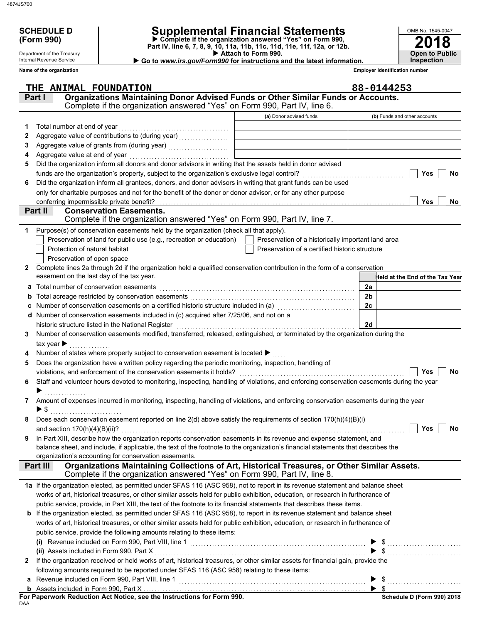Department of the Treasury Internal Revenue Service

## **SCHEDULE D Supplemental Financial Statements**

 **Attach to Form 990. (Form 990) Part IV, line 6, 7, 8, 9, 10, 11a, 11b, 11c, 11d, 11e, 11f, 12a, or 12b. Complete if the organization answered "Yes" on Form 990,**

▶ Go to www.irs.gov/Form990 for instructions and the latest information.

|              | Name of the organization                                                                                                                  |                                                    | <b>Employer identification number</b> |
|--------------|-------------------------------------------------------------------------------------------------------------------------------------------|----------------------------------------------------|---------------------------------------|
|              | THE ANIMAL FOUNDATION                                                                                                                     |                                                    | 88-0144253                            |
|              | Organizations Maintaining Donor Advised Funds or Other Similar Funds or Accounts.<br>Part I                                               |                                                    |                                       |
|              | Complete if the organization answered "Yes" on Form 990, Part IV, line 6.                                                                 |                                                    |                                       |
|              |                                                                                                                                           | (a) Donor advised funds                            | (b) Funds and other accounts          |
| 1            | Total number at end of year                                                                                                               |                                                    |                                       |
| 2            |                                                                                                                                           |                                                    |                                       |
| 3            |                                                                                                                                           |                                                    |                                       |
|              | Aggregate value at end of year                                                                                                            |                                                    |                                       |
| 5            | Did the organization inform all donors and donor advisors in writing that the assets held in donor advised                                |                                                    |                                       |
|              | funds are the organization's property, subject to the organization's exclusive legal control?                                             |                                                    | <b>Yes</b><br>No                      |
| 6            | Did the organization inform all grantees, donors, and donor advisors in writing that grant funds can be used                              |                                                    |                                       |
|              | only for charitable purposes and not for the benefit of the donor or donor advisor, or for any other purpose                              |                                                    |                                       |
|              | conferring impermissible private benefit?<br><b>Conservation Easements.</b><br>Part II                                                    |                                                    | <b>Yes</b><br><b>No</b>               |
|              | Complete if the organization answered "Yes" on Form 990, Part IV, line 7.                                                                 |                                                    |                                       |
| 1            | Purpose(s) of conservation easements held by the organization (check all that apply).                                                     |                                                    |                                       |
|              | Preservation of land for public use (e.g., recreation or education)                                                                       | Preservation of a historically important land area |                                       |
|              | Protection of natural habitat                                                                                                             | Preservation of a certified historic structure     |                                       |
|              | Preservation of open space                                                                                                                |                                                    |                                       |
| 2            | Complete lines 2a through 2d if the organization held a qualified conservation contribution in the form of a conservation                 |                                                    |                                       |
|              | easement on the last day of the tax year.                                                                                                 |                                                    | Held at the End of the Tax Year       |
| а            | Total number of conservation easements                                                                                                    |                                                    | 2a                                    |
|              |                                                                                                                                           |                                                    | 2 <sub>b</sub>                        |
|              | Number of conservation easements on a certified historic structure included in (a) [11] Number of conservation                            |                                                    | 2c                                    |
|              | Number of conservation easements included in (c) acquired after 7/25/06, and not on a                                                     |                                                    |                                       |
|              | historic structure listed in the National Register                                                                                        |                                                    | 2d                                    |
| 3            | Number of conservation easements modified, transferred, released, extinguished, or terminated by the organization during the              |                                                    |                                       |
|              | tax year $\blacktriangleright$                                                                                                            |                                                    |                                       |
|              | Number of states where property subject to conservation easement is located ▶                                                             |                                                    |                                       |
| 5            | Does the organization have a written policy regarding the periodic monitoring, inspection, handling of                                    |                                                    |                                       |
|              | violations, and enforcement of the conservation easements it holds?                                                                       |                                                    | Yes<br>No                             |
| 6            | Staff and volunteer hours devoted to monitoring, inspecting, handling of violations, and enforcing conservation easements during the year |                                                    |                                       |
| 7.           | Amount of expenses incurred in monitoring, inspecting, handling of violations, and enforcing conservation easements during the year       |                                                    |                                       |
|              | ▶ \$                                                                                                                                      |                                                    |                                       |
|              | Does each conservation easement reported on line 2(d) above satisfy the requirements of section 170(h)(4)(B)(i)                           |                                                    |                                       |
|              | and section $170(h)(4)(B)(ii)$ ?                                                                                                          |                                                    | Yes<br>No                             |
| 9            | In Part XIII, describe how the organization reports conservation easements in its revenue and expense statement, and                      |                                                    |                                       |
|              | balance sheet, and include, if applicable, the text of the footnote to the organization's financial statements that describes the         |                                                    |                                       |
|              | organization's accounting for conservation easements.                                                                                     |                                                    |                                       |
|              | Organizations Maintaining Collections of Art, Historical Treasures, or Other Similar Assets.<br>Part III                                  |                                                    |                                       |
|              | Complete if the organization answered "Yes" on Form 990, Part IV, line 8.                                                                 |                                                    |                                       |
|              | 1a If the organization elected, as permitted under SFAS 116 (ASC 958), not to report in its revenue statement and balance sheet           |                                                    |                                       |
|              | works of art, historical treasures, or other similar assets held for public exhibition, education, or research in furtherance of          |                                                    |                                       |
|              | public service, provide, in Part XIII, the text of the footnote to its financial statements that describes these items.                   |                                                    |                                       |
|              | <b>b</b> If the organization elected, as permitted under SFAS 116 (ASC 958), to report in its revenue statement and balance sheet         |                                                    |                                       |
|              | works of art, historical treasures, or other similar assets held for public exhibition, education, or research in furtherance of          |                                                    |                                       |
|              | public service, provide the following amounts relating to these items:                                                                    |                                                    |                                       |
|              |                                                                                                                                           |                                                    |                                       |
|              | (ii) Assets included in Form 990, Part X                                                                                                  |                                                    |                                       |
| $\mathbf{2}$ | If the organization received or held works of art, historical treasures, or other similar assets for financial gain, provide the          |                                                    |                                       |
|              | following amounts required to be reported under SFAS 116 (ASC 958) relating to these items:                                               |                                                    |                                       |
|              | Revenue included on Form 990, Part VIII, line 1                                                                                           |                                                    |                                       |
|              |                                                                                                                                           |                                                    | - \$                                  |

| Schedule D (Form 990) 2018 |  |  |
|----------------------------|--|--|

**2018**

**Open to Public Inspection**

OMB No. 1545-0047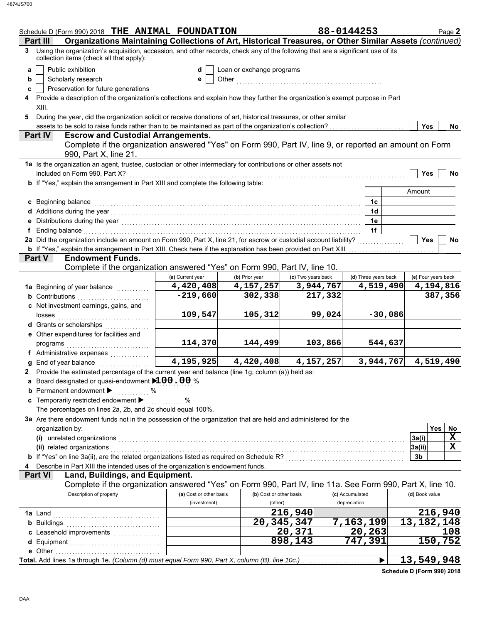| Organizations Maintaining Collections of Art, Historical Treasures, or Other Similar Assets (continued)<br><b>Part III</b><br>Using the organization's acquisition, accession, and other records, check any of the following that are a significant use of its<br>3<br>collection items (check all that apply):<br>Public exhibition<br>Loan or exchange programs<br>a<br>Scholarly research<br>b<br>е<br>Preservation for future generations<br>c<br>Provide a description of the organization's collections and explain how they further the organization's exempt purpose in Part<br>4<br>XIII.<br>5<br>During the year, did the organization solicit or receive donations of art, historical treasures, or other similar<br>assets to be sold to raise funds rather than to be maintained as part of the organization's collection?<br><b>Yes</b><br>No<br>Part IV<br><b>Escrow and Custodial Arrangements.</b><br>Complete if the organization answered "Yes" on Form 990, Part IV, line 9, or reported an amount on Form<br>990, Part X, line 21.<br>1a Is the organization an agent, trustee, custodian or other intermediary for contributions or other assets not<br>included on Form 990, Part X?<br><b>Yes</b><br>No<br>b If "Yes," explain the arrangement in Part XIII and complete the following table:<br>Amount<br>c Beginning balance<br>1c<br>d Additions during the year contact the set of the set of the set of the set of the set of the set of the set of the set of the set of the set of the set of the set of the set of the set of the set of the set of the set of<br>1d<br>1е<br>1f<br>f Ending balance encouragement and the contract of the contract of the contract of the contract of the contract of the contract of the contract of the contract of the contract of the contract of the contract of the contrac<br>2a Did the organization include an amount on Form 990, Part X, line 21, for escrow or custodial account liability?<br><b>Yes</b><br>No<br><b>b</b> If "Yes," explain the arrangement in Part XIII. Check here if the explanation has been provided on Part XIII<br><b>Endowment Funds.</b><br><b>Part V</b><br>Complete if the organization answered "Yes" on Form 990, Part IV, line 10.<br>(a) Current year<br>(c) Two years back<br>(d) Three years back<br>(e) Four years back<br>(b) Prior year<br>4,420,408<br>4,157,257<br>3,944,767<br>4,519,490<br>4,194,816<br>1a Beginning of year balance<br>$\overline{-219,660}$<br>302, 338<br>217,332<br>387,356<br><b>b</b> Contributions <b>contributions</b><br>c Net investment earnings, gains, and<br>109,547<br>$-30,086$<br>105,312<br>99,024<br>d Grants or scholarships<br>e Other expenditures for facilities and<br>114,370<br>144,499<br>103,866<br>544,637<br>f Administrative expenses<br>4,195,925<br>4,420,408<br>4, 157, 257<br>3,944,767<br>4,519,490<br>g End of year balance<br>2 Provide the estimated percentage of the current year end balance (line 1g, column (a)) held as:<br>a Board designated or quasi-endowment 100.00 %<br><b>b</b> Permanent endowment $\blacktriangleright$<br>. %<br>c Temporarily restricted endowment ><br>%<br>The percentages on lines 2a, 2b, and 2c should equal 100%.<br>3a Are there endowment funds not in the possession of the organization that are held and administered for the<br>Yes<br>organization by:<br>No<br>X<br>(i) unrelated organizations with the contract of the contract of the contract of the contract of the contract or the contract of the contract of the contract of the contract of the contract of the contract of the contract<br>3a(i)<br>$\mathbf x$<br>(ii) related organizations with an account of the contract of the contract of the contract of the contract of<br>3a(ii)<br>b If "Yes" on line 3a(ii), are the related organizations listed as required on Schedule R? [[[[[[[[[[[[[[[[[[[<br>3b<br>Describe in Part XIII the intended uses of the organization's endowment funds.<br>Land, Buildings, and Equipment.<br><b>Part VI</b><br>Complete if the organization answered "Yes" on Form 990, Part IV, line 11a. See Form 990, Part X, line 10.<br>Description of property<br>(a) Cost or other basis<br>(b) Cost or other basis<br>(c) Accumulated<br>(d) Book value<br>(investment)<br>(other)<br>depreciation<br>216,940<br>216,940<br>20,345,347<br>7,163,199<br>13, 182, 148<br>20,263<br>20,371<br>108<br>c Leasehold improvements<br>747,391<br>898,143<br>150,752<br>$\overline{1}$ 3,549,948<br>Total. Add lines 1a through 1e. (Column (d) must equal Form 990, Part X, column (B), line 10c.) | Schedule D (Form 990) 2018 THE ANIMAL FOUNDATION |  | 88-0144253 | Page 2 |
|-------------------------------------------------------------------------------------------------------------------------------------------------------------------------------------------------------------------------------------------------------------------------------------------------------------------------------------------------------------------------------------------------------------------------------------------------------------------------------------------------------------------------------------------------------------------------------------------------------------------------------------------------------------------------------------------------------------------------------------------------------------------------------------------------------------------------------------------------------------------------------------------------------------------------------------------------------------------------------------------------------------------------------------------------------------------------------------------------------------------------------------------------------------------------------------------------------------------------------------------------------------------------------------------------------------------------------------------------------------------------------------------------------------------------------------------------------------------------------------------------------------------------------------------------------------------------------------------------------------------------------------------------------------------------------------------------------------------------------------------------------------------------------------------------------------------------------------------------------------------------------------------------------------------------------------------------------------------------------------------------------------------------------------------------------------------------------------------------------------------------------------------------------------------------------------------------------------------------------------------------------------------------------------------------------------------------------------------------------------------------------------------------------------------------------------------------------------------------------------------------------------------------------------------------------------------------------------------------------------------------------------------------------------------------------------------------------------------------------------------------------------------------------------------------------------------------------------------------------------------------------------------------------------------------------------------------------------------------------------------------------------------------------------------------------------------------------------------------------------------------------------------------------------------------------------------------------------------------------------------------------------------------------------------------------------------------------------------------------------------------------------------------------------------------------------------------------------------------------------------------------------------------------------------------------------------------------------------------------------------------------------------------------------------------------------------------------------------------------------------------------------------------------------------------------------------------------------------------------------------------------------------------------------------------------------------------------------------------------------------------------------------------------------------------------------------------------------------------------------------------------------------------------------------------------------------------------------------------------------------------------------------------------------------------------------------------------------------------------------------------------------------------------------------------------------------------------------------------------------------------------------------------------------------------------------------------------------------------------------------------|--------------------------------------------------|--|------------|--------|
| Schodule D (Form 000) 2019                                                                                                                                                                                                                                                                                                                                                                                                                                                                                                                                                                                                                                                                                                                                                                                                                                                                                                                                                                                                                                                                                                                                                                                                                                                                                                                                                                                                                                                                                                                                                                                                                                                                                                                                                                                                                                                                                                                                                                                                                                                                                                                                                                                                                                                                                                                                                                                                                                                                                                                                                                                                                                                                                                                                                                                                                                                                                                                                                                                                                                                                                                                                                                                                                                                                                                                                                                                                                                                                                                                                                                                                                                                                                                                                                                                                                                                                                                                                                                                                                                                                                                                                                                                                                                                                                                                                                                                                                                                                                                                                                                                              |                                                  |  |            |        |
|                                                                                                                                                                                                                                                                                                                                                                                                                                                                                                                                                                                                                                                                                                                                                                                                                                                                                                                                                                                                                                                                                                                                                                                                                                                                                                                                                                                                                                                                                                                                                                                                                                                                                                                                                                                                                                                                                                                                                                                                                                                                                                                                                                                                                                                                                                                                                                                                                                                                                                                                                                                                                                                                                                                                                                                                                                                                                                                                                                                                                                                                                                                                                                                                                                                                                                                                                                                                                                                                                                                                                                                                                                                                                                                                                                                                                                                                                                                                                                                                                                                                                                                                                                                                                                                                                                                                                                                                                                                                                                                                                                                                                         |                                                  |  |            |        |
|                                                                                                                                                                                                                                                                                                                                                                                                                                                                                                                                                                                                                                                                                                                                                                                                                                                                                                                                                                                                                                                                                                                                                                                                                                                                                                                                                                                                                                                                                                                                                                                                                                                                                                                                                                                                                                                                                                                                                                                                                                                                                                                                                                                                                                                                                                                                                                                                                                                                                                                                                                                                                                                                                                                                                                                                                                                                                                                                                                                                                                                                                                                                                                                                                                                                                                                                                                                                                                                                                                                                                                                                                                                                                                                                                                                                                                                                                                                                                                                                                                                                                                                                                                                                                                                                                                                                                                                                                                                                                                                                                                                                                         |                                                  |  |            |        |
|                                                                                                                                                                                                                                                                                                                                                                                                                                                                                                                                                                                                                                                                                                                                                                                                                                                                                                                                                                                                                                                                                                                                                                                                                                                                                                                                                                                                                                                                                                                                                                                                                                                                                                                                                                                                                                                                                                                                                                                                                                                                                                                                                                                                                                                                                                                                                                                                                                                                                                                                                                                                                                                                                                                                                                                                                                                                                                                                                                                                                                                                                                                                                                                                                                                                                                                                                                                                                                                                                                                                                                                                                                                                                                                                                                                                                                                                                                                                                                                                                                                                                                                                                                                                                                                                                                                                                                                                                                                                                                                                                                                                                         |                                                  |  |            |        |
|                                                                                                                                                                                                                                                                                                                                                                                                                                                                                                                                                                                                                                                                                                                                                                                                                                                                                                                                                                                                                                                                                                                                                                                                                                                                                                                                                                                                                                                                                                                                                                                                                                                                                                                                                                                                                                                                                                                                                                                                                                                                                                                                                                                                                                                                                                                                                                                                                                                                                                                                                                                                                                                                                                                                                                                                                                                                                                                                                                                                                                                                                                                                                                                                                                                                                                                                                                                                                                                                                                                                                                                                                                                                                                                                                                                                                                                                                                                                                                                                                                                                                                                                                                                                                                                                                                                                                                                                                                                                                                                                                                                                                         |                                                  |  |            |        |
|                                                                                                                                                                                                                                                                                                                                                                                                                                                                                                                                                                                                                                                                                                                                                                                                                                                                                                                                                                                                                                                                                                                                                                                                                                                                                                                                                                                                                                                                                                                                                                                                                                                                                                                                                                                                                                                                                                                                                                                                                                                                                                                                                                                                                                                                                                                                                                                                                                                                                                                                                                                                                                                                                                                                                                                                                                                                                                                                                                                                                                                                                                                                                                                                                                                                                                                                                                                                                                                                                                                                                                                                                                                                                                                                                                                                                                                                                                                                                                                                                                                                                                                                                                                                                                                                                                                                                                                                                                                                                                                                                                                                                         |                                                  |  |            |        |
|                                                                                                                                                                                                                                                                                                                                                                                                                                                                                                                                                                                                                                                                                                                                                                                                                                                                                                                                                                                                                                                                                                                                                                                                                                                                                                                                                                                                                                                                                                                                                                                                                                                                                                                                                                                                                                                                                                                                                                                                                                                                                                                                                                                                                                                                                                                                                                                                                                                                                                                                                                                                                                                                                                                                                                                                                                                                                                                                                                                                                                                                                                                                                                                                                                                                                                                                                                                                                                                                                                                                                                                                                                                                                                                                                                                                                                                                                                                                                                                                                                                                                                                                                                                                                                                                                                                                                                                                                                                                                                                                                                                                                         |                                                  |  |            |        |
|                                                                                                                                                                                                                                                                                                                                                                                                                                                                                                                                                                                                                                                                                                                                                                                                                                                                                                                                                                                                                                                                                                                                                                                                                                                                                                                                                                                                                                                                                                                                                                                                                                                                                                                                                                                                                                                                                                                                                                                                                                                                                                                                                                                                                                                                                                                                                                                                                                                                                                                                                                                                                                                                                                                                                                                                                                                                                                                                                                                                                                                                                                                                                                                                                                                                                                                                                                                                                                                                                                                                                                                                                                                                                                                                                                                                                                                                                                                                                                                                                                                                                                                                                                                                                                                                                                                                                                                                                                                                                                                                                                                                                         |                                                  |  |            |        |
|                                                                                                                                                                                                                                                                                                                                                                                                                                                                                                                                                                                                                                                                                                                                                                                                                                                                                                                                                                                                                                                                                                                                                                                                                                                                                                                                                                                                                                                                                                                                                                                                                                                                                                                                                                                                                                                                                                                                                                                                                                                                                                                                                                                                                                                                                                                                                                                                                                                                                                                                                                                                                                                                                                                                                                                                                                                                                                                                                                                                                                                                                                                                                                                                                                                                                                                                                                                                                                                                                                                                                                                                                                                                                                                                                                                                                                                                                                                                                                                                                                                                                                                                                                                                                                                                                                                                                                                                                                                                                                                                                                                                                         |                                                  |  |            |        |
|                                                                                                                                                                                                                                                                                                                                                                                                                                                                                                                                                                                                                                                                                                                                                                                                                                                                                                                                                                                                                                                                                                                                                                                                                                                                                                                                                                                                                                                                                                                                                                                                                                                                                                                                                                                                                                                                                                                                                                                                                                                                                                                                                                                                                                                                                                                                                                                                                                                                                                                                                                                                                                                                                                                                                                                                                                                                                                                                                                                                                                                                                                                                                                                                                                                                                                                                                                                                                                                                                                                                                                                                                                                                                                                                                                                                                                                                                                                                                                                                                                                                                                                                                                                                                                                                                                                                                                                                                                                                                                                                                                                                                         |                                                  |  |            |        |
|                                                                                                                                                                                                                                                                                                                                                                                                                                                                                                                                                                                                                                                                                                                                                                                                                                                                                                                                                                                                                                                                                                                                                                                                                                                                                                                                                                                                                                                                                                                                                                                                                                                                                                                                                                                                                                                                                                                                                                                                                                                                                                                                                                                                                                                                                                                                                                                                                                                                                                                                                                                                                                                                                                                                                                                                                                                                                                                                                                                                                                                                                                                                                                                                                                                                                                                                                                                                                                                                                                                                                                                                                                                                                                                                                                                                                                                                                                                                                                                                                                                                                                                                                                                                                                                                                                                                                                                                                                                                                                                                                                                                                         |                                                  |  |            |        |
|                                                                                                                                                                                                                                                                                                                                                                                                                                                                                                                                                                                                                                                                                                                                                                                                                                                                                                                                                                                                                                                                                                                                                                                                                                                                                                                                                                                                                                                                                                                                                                                                                                                                                                                                                                                                                                                                                                                                                                                                                                                                                                                                                                                                                                                                                                                                                                                                                                                                                                                                                                                                                                                                                                                                                                                                                                                                                                                                                                                                                                                                                                                                                                                                                                                                                                                                                                                                                                                                                                                                                                                                                                                                                                                                                                                                                                                                                                                                                                                                                                                                                                                                                                                                                                                                                                                                                                                                                                                                                                                                                                                                                         |                                                  |  |            |        |
|                                                                                                                                                                                                                                                                                                                                                                                                                                                                                                                                                                                                                                                                                                                                                                                                                                                                                                                                                                                                                                                                                                                                                                                                                                                                                                                                                                                                                                                                                                                                                                                                                                                                                                                                                                                                                                                                                                                                                                                                                                                                                                                                                                                                                                                                                                                                                                                                                                                                                                                                                                                                                                                                                                                                                                                                                                                                                                                                                                                                                                                                                                                                                                                                                                                                                                                                                                                                                                                                                                                                                                                                                                                                                                                                                                                                                                                                                                                                                                                                                                                                                                                                                                                                                                                                                                                                                                                                                                                                                                                                                                                                                         |                                                  |  |            |        |
|                                                                                                                                                                                                                                                                                                                                                                                                                                                                                                                                                                                                                                                                                                                                                                                                                                                                                                                                                                                                                                                                                                                                                                                                                                                                                                                                                                                                                                                                                                                                                                                                                                                                                                                                                                                                                                                                                                                                                                                                                                                                                                                                                                                                                                                                                                                                                                                                                                                                                                                                                                                                                                                                                                                                                                                                                                                                                                                                                                                                                                                                                                                                                                                                                                                                                                                                                                                                                                                                                                                                                                                                                                                                                                                                                                                                                                                                                                                                                                                                                                                                                                                                                                                                                                                                                                                                                                                                                                                                                                                                                                                                                         |                                                  |  |            |        |
|                                                                                                                                                                                                                                                                                                                                                                                                                                                                                                                                                                                                                                                                                                                                                                                                                                                                                                                                                                                                                                                                                                                                                                                                                                                                                                                                                                                                                                                                                                                                                                                                                                                                                                                                                                                                                                                                                                                                                                                                                                                                                                                                                                                                                                                                                                                                                                                                                                                                                                                                                                                                                                                                                                                                                                                                                                                                                                                                                                                                                                                                                                                                                                                                                                                                                                                                                                                                                                                                                                                                                                                                                                                                                                                                                                                                                                                                                                                                                                                                                                                                                                                                                                                                                                                                                                                                                                                                                                                                                                                                                                                                                         |                                                  |  |            |        |
|                                                                                                                                                                                                                                                                                                                                                                                                                                                                                                                                                                                                                                                                                                                                                                                                                                                                                                                                                                                                                                                                                                                                                                                                                                                                                                                                                                                                                                                                                                                                                                                                                                                                                                                                                                                                                                                                                                                                                                                                                                                                                                                                                                                                                                                                                                                                                                                                                                                                                                                                                                                                                                                                                                                                                                                                                                                                                                                                                                                                                                                                                                                                                                                                                                                                                                                                                                                                                                                                                                                                                                                                                                                                                                                                                                                                                                                                                                                                                                                                                                                                                                                                                                                                                                                                                                                                                                                                                                                                                                                                                                                                                         |                                                  |  |            |        |
|                                                                                                                                                                                                                                                                                                                                                                                                                                                                                                                                                                                                                                                                                                                                                                                                                                                                                                                                                                                                                                                                                                                                                                                                                                                                                                                                                                                                                                                                                                                                                                                                                                                                                                                                                                                                                                                                                                                                                                                                                                                                                                                                                                                                                                                                                                                                                                                                                                                                                                                                                                                                                                                                                                                                                                                                                                                                                                                                                                                                                                                                                                                                                                                                                                                                                                                                                                                                                                                                                                                                                                                                                                                                                                                                                                                                                                                                                                                                                                                                                                                                                                                                                                                                                                                                                                                                                                                                                                                                                                                                                                                                                         |                                                  |  |            |        |
|                                                                                                                                                                                                                                                                                                                                                                                                                                                                                                                                                                                                                                                                                                                                                                                                                                                                                                                                                                                                                                                                                                                                                                                                                                                                                                                                                                                                                                                                                                                                                                                                                                                                                                                                                                                                                                                                                                                                                                                                                                                                                                                                                                                                                                                                                                                                                                                                                                                                                                                                                                                                                                                                                                                                                                                                                                                                                                                                                                                                                                                                                                                                                                                                                                                                                                                                                                                                                                                                                                                                                                                                                                                                                                                                                                                                                                                                                                                                                                                                                                                                                                                                                                                                                                                                                                                                                                                                                                                                                                                                                                                                                         |                                                  |  |            |        |
|                                                                                                                                                                                                                                                                                                                                                                                                                                                                                                                                                                                                                                                                                                                                                                                                                                                                                                                                                                                                                                                                                                                                                                                                                                                                                                                                                                                                                                                                                                                                                                                                                                                                                                                                                                                                                                                                                                                                                                                                                                                                                                                                                                                                                                                                                                                                                                                                                                                                                                                                                                                                                                                                                                                                                                                                                                                                                                                                                                                                                                                                                                                                                                                                                                                                                                                                                                                                                                                                                                                                                                                                                                                                                                                                                                                                                                                                                                                                                                                                                                                                                                                                                                                                                                                                                                                                                                                                                                                                                                                                                                                                                         |                                                  |  |            |        |
|                                                                                                                                                                                                                                                                                                                                                                                                                                                                                                                                                                                                                                                                                                                                                                                                                                                                                                                                                                                                                                                                                                                                                                                                                                                                                                                                                                                                                                                                                                                                                                                                                                                                                                                                                                                                                                                                                                                                                                                                                                                                                                                                                                                                                                                                                                                                                                                                                                                                                                                                                                                                                                                                                                                                                                                                                                                                                                                                                                                                                                                                                                                                                                                                                                                                                                                                                                                                                                                                                                                                                                                                                                                                                                                                                                                                                                                                                                                                                                                                                                                                                                                                                                                                                                                                                                                                                                                                                                                                                                                                                                                                                         |                                                  |  |            |        |
|                                                                                                                                                                                                                                                                                                                                                                                                                                                                                                                                                                                                                                                                                                                                                                                                                                                                                                                                                                                                                                                                                                                                                                                                                                                                                                                                                                                                                                                                                                                                                                                                                                                                                                                                                                                                                                                                                                                                                                                                                                                                                                                                                                                                                                                                                                                                                                                                                                                                                                                                                                                                                                                                                                                                                                                                                                                                                                                                                                                                                                                                                                                                                                                                                                                                                                                                                                                                                                                                                                                                                                                                                                                                                                                                                                                                                                                                                                                                                                                                                                                                                                                                                                                                                                                                                                                                                                                                                                                                                                                                                                                                                         |                                                  |  |            |        |
|                                                                                                                                                                                                                                                                                                                                                                                                                                                                                                                                                                                                                                                                                                                                                                                                                                                                                                                                                                                                                                                                                                                                                                                                                                                                                                                                                                                                                                                                                                                                                                                                                                                                                                                                                                                                                                                                                                                                                                                                                                                                                                                                                                                                                                                                                                                                                                                                                                                                                                                                                                                                                                                                                                                                                                                                                                                                                                                                                                                                                                                                                                                                                                                                                                                                                                                                                                                                                                                                                                                                                                                                                                                                                                                                                                                                                                                                                                                                                                                                                                                                                                                                                                                                                                                                                                                                                                                                                                                                                                                                                                                                                         |                                                  |  |            |        |
|                                                                                                                                                                                                                                                                                                                                                                                                                                                                                                                                                                                                                                                                                                                                                                                                                                                                                                                                                                                                                                                                                                                                                                                                                                                                                                                                                                                                                                                                                                                                                                                                                                                                                                                                                                                                                                                                                                                                                                                                                                                                                                                                                                                                                                                                                                                                                                                                                                                                                                                                                                                                                                                                                                                                                                                                                                                                                                                                                                                                                                                                                                                                                                                                                                                                                                                                                                                                                                                                                                                                                                                                                                                                                                                                                                                                                                                                                                                                                                                                                                                                                                                                                                                                                                                                                                                                                                                                                                                                                                                                                                                                                         |                                                  |  |            |        |
|                                                                                                                                                                                                                                                                                                                                                                                                                                                                                                                                                                                                                                                                                                                                                                                                                                                                                                                                                                                                                                                                                                                                                                                                                                                                                                                                                                                                                                                                                                                                                                                                                                                                                                                                                                                                                                                                                                                                                                                                                                                                                                                                                                                                                                                                                                                                                                                                                                                                                                                                                                                                                                                                                                                                                                                                                                                                                                                                                                                                                                                                                                                                                                                                                                                                                                                                                                                                                                                                                                                                                                                                                                                                                                                                                                                                                                                                                                                                                                                                                                                                                                                                                                                                                                                                                                                                                                                                                                                                                                                                                                                                                         |                                                  |  |            |        |
|                                                                                                                                                                                                                                                                                                                                                                                                                                                                                                                                                                                                                                                                                                                                                                                                                                                                                                                                                                                                                                                                                                                                                                                                                                                                                                                                                                                                                                                                                                                                                                                                                                                                                                                                                                                                                                                                                                                                                                                                                                                                                                                                                                                                                                                                                                                                                                                                                                                                                                                                                                                                                                                                                                                                                                                                                                                                                                                                                                                                                                                                                                                                                                                                                                                                                                                                                                                                                                                                                                                                                                                                                                                                                                                                                                                                                                                                                                                                                                                                                                                                                                                                                                                                                                                                                                                                                                                                                                                                                                                                                                                                                         |                                                  |  |            |        |
|                                                                                                                                                                                                                                                                                                                                                                                                                                                                                                                                                                                                                                                                                                                                                                                                                                                                                                                                                                                                                                                                                                                                                                                                                                                                                                                                                                                                                                                                                                                                                                                                                                                                                                                                                                                                                                                                                                                                                                                                                                                                                                                                                                                                                                                                                                                                                                                                                                                                                                                                                                                                                                                                                                                                                                                                                                                                                                                                                                                                                                                                                                                                                                                                                                                                                                                                                                                                                                                                                                                                                                                                                                                                                                                                                                                                                                                                                                                                                                                                                                                                                                                                                                                                                                                                                                                                                                                                                                                                                                                                                                                                                         |                                                  |  |            |        |
|                                                                                                                                                                                                                                                                                                                                                                                                                                                                                                                                                                                                                                                                                                                                                                                                                                                                                                                                                                                                                                                                                                                                                                                                                                                                                                                                                                                                                                                                                                                                                                                                                                                                                                                                                                                                                                                                                                                                                                                                                                                                                                                                                                                                                                                                                                                                                                                                                                                                                                                                                                                                                                                                                                                                                                                                                                                                                                                                                                                                                                                                                                                                                                                                                                                                                                                                                                                                                                                                                                                                                                                                                                                                                                                                                                                                                                                                                                                                                                                                                                                                                                                                                                                                                                                                                                                                                                                                                                                                                                                                                                                                                         |                                                  |  |            |        |
|                                                                                                                                                                                                                                                                                                                                                                                                                                                                                                                                                                                                                                                                                                                                                                                                                                                                                                                                                                                                                                                                                                                                                                                                                                                                                                                                                                                                                                                                                                                                                                                                                                                                                                                                                                                                                                                                                                                                                                                                                                                                                                                                                                                                                                                                                                                                                                                                                                                                                                                                                                                                                                                                                                                                                                                                                                                                                                                                                                                                                                                                                                                                                                                                                                                                                                                                                                                                                                                                                                                                                                                                                                                                                                                                                                                                                                                                                                                                                                                                                                                                                                                                                                                                                                                                                                                                                                                                                                                                                                                                                                                                                         |                                                  |  |            |        |
|                                                                                                                                                                                                                                                                                                                                                                                                                                                                                                                                                                                                                                                                                                                                                                                                                                                                                                                                                                                                                                                                                                                                                                                                                                                                                                                                                                                                                                                                                                                                                                                                                                                                                                                                                                                                                                                                                                                                                                                                                                                                                                                                                                                                                                                                                                                                                                                                                                                                                                                                                                                                                                                                                                                                                                                                                                                                                                                                                                                                                                                                                                                                                                                                                                                                                                                                                                                                                                                                                                                                                                                                                                                                                                                                                                                                                                                                                                                                                                                                                                                                                                                                                                                                                                                                                                                                                                                                                                                                                                                                                                                                                         |                                                  |  |            |        |
|                                                                                                                                                                                                                                                                                                                                                                                                                                                                                                                                                                                                                                                                                                                                                                                                                                                                                                                                                                                                                                                                                                                                                                                                                                                                                                                                                                                                                                                                                                                                                                                                                                                                                                                                                                                                                                                                                                                                                                                                                                                                                                                                                                                                                                                                                                                                                                                                                                                                                                                                                                                                                                                                                                                                                                                                                                                                                                                                                                                                                                                                                                                                                                                                                                                                                                                                                                                                                                                                                                                                                                                                                                                                                                                                                                                                                                                                                                                                                                                                                                                                                                                                                                                                                                                                                                                                                                                                                                                                                                                                                                                                                         |                                                  |  |            |        |
|                                                                                                                                                                                                                                                                                                                                                                                                                                                                                                                                                                                                                                                                                                                                                                                                                                                                                                                                                                                                                                                                                                                                                                                                                                                                                                                                                                                                                                                                                                                                                                                                                                                                                                                                                                                                                                                                                                                                                                                                                                                                                                                                                                                                                                                                                                                                                                                                                                                                                                                                                                                                                                                                                                                                                                                                                                                                                                                                                                                                                                                                                                                                                                                                                                                                                                                                                                                                                                                                                                                                                                                                                                                                                                                                                                                                                                                                                                                                                                                                                                                                                                                                                                                                                                                                                                                                                                                                                                                                                                                                                                                                                         |                                                  |  |            |        |
|                                                                                                                                                                                                                                                                                                                                                                                                                                                                                                                                                                                                                                                                                                                                                                                                                                                                                                                                                                                                                                                                                                                                                                                                                                                                                                                                                                                                                                                                                                                                                                                                                                                                                                                                                                                                                                                                                                                                                                                                                                                                                                                                                                                                                                                                                                                                                                                                                                                                                                                                                                                                                                                                                                                                                                                                                                                                                                                                                                                                                                                                                                                                                                                                                                                                                                                                                                                                                                                                                                                                                                                                                                                                                                                                                                                                                                                                                                                                                                                                                                                                                                                                                                                                                                                                                                                                                                                                                                                                                                                                                                                                                         |                                                  |  |            |        |
|                                                                                                                                                                                                                                                                                                                                                                                                                                                                                                                                                                                                                                                                                                                                                                                                                                                                                                                                                                                                                                                                                                                                                                                                                                                                                                                                                                                                                                                                                                                                                                                                                                                                                                                                                                                                                                                                                                                                                                                                                                                                                                                                                                                                                                                                                                                                                                                                                                                                                                                                                                                                                                                                                                                                                                                                                                                                                                                                                                                                                                                                                                                                                                                                                                                                                                                                                                                                                                                                                                                                                                                                                                                                                                                                                                                                                                                                                                                                                                                                                                                                                                                                                                                                                                                                                                                                                                                                                                                                                                                                                                                                                         |                                                  |  |            |        |
|                                                                                                                                                                                                                                                                                                                                                                                                                                                                                                                                                                                                                                                                                                                                                                                                                                                                                                                                                                                                                                                                                                                                                                                                                                                                                                                                                                                                                                                                                                                                                                                                                                                                                                                                                                                                                                                                                                                                                                                                                                                                                                                                                                                                                                                                                                                                                                                                                                                                                                                                                                                                                                                                                                                                                                                                                                                                                                                                                                                                                                                                                                                                                                                                                                                                                                                                                                                                                                                                                                                                                                                                                                                                                                                                                                                                                                                                                                                                                                                                                                                                                                                                                                                                                                                                                                                                                                                                                                                                                                                                                                                                                         |                                                  |  |            |        |
|                                                                                                                                                                                                                                                                                                                                                                                                                                                                                                                                                                                                                                                                                                                                                                                                                                                                                                                                                                                                                                                                                                                                                                                                                                                                                                                                                                                                                                                                                                                                                                                                                                                                                                                                                                                                                                                                                                                                                                                                                                                                                                                                                                                                                                                                                                                                                                                                                                                                                                                                                                                                                                                                                                                                                                                                                                                                                                                                                                                                                                                                                                                                                                                                                                                                                                                                                                                                                                                                                                                                                                                                                                                                                                                                                                                                                                                                                                                                                                                                                                                                                                                                                                                                                                                                                                                                                                                                                                                                                                                                                                                                                         |                                                  |  |            |        |
|                                                                                                                                                                                                                                                                                                                                                                                                                                                                                                                                                                                                                                                                                                                                                                                                                                                                                                                                                                                                                                                                                                                                                                                                                                                                                                                                                                                                                                                                                                                                                                                                                                                                                                                                                                                                                                                                                                                                                                                                                                                                                                                                                                                                                                                                                                                                                                                                                                                                                                                                                                                                                                                                                                                                                                                                                                                                                                                                                                                                                                                                                                                                                                                                                                                                                                                                                                                                                                                                                                                                                                                                                                                                                                                                                                                                                                                                                                                                                                                                                                                                                                                                                                                                                                                                                                                                                                                                                                                                                                                                                                                                                         |                                                  |  |            |        |
|                                                                                                                                                                                                                                                                                                                                                                                                                                                                                                                                                                                                                                                                                                                                                                                                                                                                                                                                                                                                                                                                                                                                                                                                                                                                                                                                                                                                                                                                                                                                                                                                                                                                                                                                                                                                                                                                                                                                                                                                                                                                                                                                                                                                                                                                                                                                                                                                                                                                                                                                                                                                                                                                                                                                                                                                                                                                                                                                                                                                                                                                                                                                                                                                                                                                                                                                                                                                                                                                                                                                                                                                                                                                                                                                                                                                                                                                                                                                                                                                                                                                                                                                                                                                                                                                                                                                                                                                                                                                                                                                                                                                                         |                                                  |  |            |        |
|                                                                                                                                                                                                                                                                                                                                                                                                                                                                                                                                                                                                                                                                                                                                                                                                                                                                                                                                                                                                                                                                                                                                                                                                                                                                                                                                                                                                                                                                                                                                                                                                                                                                                                                                                                                                                                                                                                                                                                                                                                                                                                                                                                                                                                                                                                                                                                                                                                                                                                                                                                                                                                                                                                                                                                                                                                                                                                                                                                                                                                                                                                                                                                                                                                                                                                                                                                                                                                                                                                                                                                                                                                                                                                                                                                                                                                                                                                                                                                                                                                                                                                                                                                                                                                                                                                                                                                                                                                                                                                                                                                                                                         |                                                  |  |            |        |
|                                                                                                                                                                                                                                                                                                                                                                                                                                                                                                                                                                                                                                                                                                                                                                                                                                                                                                                                                                                                                                                                                                                                                                                                                                                                                                                                                                                                                                                                                                                                                                                                                                                                                                                                                                                                                                                                                                                                                                                                                                                                                                                                                                                                                                                                                                                                                                                                                                                                                                                                                                                                                                                                                                                                                                                                                                                                                                                                                                                                                                                                                                                                                                                                                                                                                                                                                                                                                                                                                                                                                                                                                                                                                                                                                                                                                                                                                                                                                                                                                                                                                                                                                                                                                                                                                                                                                                                                                                                                                                                                                                                                                         |                                                  |  |            |        |
|                                                                                                                                                                                                                                                                                                                                                                                                                                                                                                                                                                                                                                                                                                                                                                                                                                                                                                                                                                                                                                                                                                                                                                                                                                                                                                                                                                                                                                                                                                                                                                                                                                                                                                                                                                                                                                                                                                                                                                                                                                                                                                                                                                                                                                                                                                                                                                                                                                                                                                                                                                                                                                                                                                                                                                                                                                                                                                                                                                                                                                                                                                                                                                                                                                                                                                                                                                                                                                                                                                                                                                                                                                                                                                                                                                                                                                                                                                                                                                                                                                                                                                                                                                                                                                                                                                                                                                                                                                                                                                                                                                                                                         |                                                  |  |            |        |
|                                                                                                                                                                                                                                                                                                                                                                                                                                                                                                                                                                                                                                                                                                                                                                                                                                                                                                                                                                                                                                                                                                                                                                                                                                                                                                                                                                                                                                                                                                                                                                                                                                                                                                                                                                                                                                                                                                                                                                                                                                                                                                                                                                                                                                                                                                                                                                                                                                                                                                                                                                                                                                                                                                                                                                                                                                                                                                                                                                                                                                                                                                                                                                                                                                                                                                                                                                                                                                                                                                                                                                                                                                                                                                                                                                                                                                                                                                                                                                                                                                                                                                                                                                                                                                                                                                                                                                                                                                                                                                                                                                                                                         |                                                  |  |            |        |
|                                                                                                                                                                                                                                                                                                                                                                                                                                                                                                                                                                                                                                                                                                                                                                                                                                                                                                                                                                                                                                                                                                                                                                                                                                                                                                                                                                                                                                                                                                                                                                                                                                                                                                                                                                                                                                                                                                                                                                                                                                                                                                                                                                                                                                                                                                                                                                                                                                                                                                                                                                                                                                                                                                                                                                                                                                                                                                                                                                                                                                                                                                                                                                                                                                                                                                                                                                                                                                                                                                                                                                                                                                                                                                                                                                                                                                                                                                                                                                                                                                                                                                                                                                                                                                                                                                                                                                                                                                                                                                                                                                                                                         |                                                  |  |            |        |
|                                                                                                                                                                                                                                                                                                                                                                                                                                                                                                                                                                                                                                                                                                                                                                                                                                                                                                                                                                                                                                                                                                                                                                                                                                                                                                                                                                                                                                                                                                                                                                                                                                                                                                                                                                                                                                                                                                                                                                                                                                                                                                                                                                                                                                                                                                                                                                                                                                                                                                                                                                                                                                                                                                                                                                                                                                                                                                                                                                                                                                                                                                                                                                                                                                                                                                                                                                                                                                                                                                                                                                                                                                                                                                                                                                                                                                                                                                                                                                                                                                                                                                                                                                                                                                                                                                                                                                                                                                                                                                                                                                                                                         |                                                  |  |            |        |
|                                                                                                                                                                                                                                                                                                                                                                                                                                                                                                                                                                                                                                                                                                                                                                                                                                                                                                                                                                                                                                                                                                                                                                                                                                                                                                                                                                                                                                                                                                                                                                                                                                                                                                                                                                                                                                                                                                                                                                                                                                                                                                                                                                                                                                                                                                                                                                                                                                                                                                                                                                                                                                                                                                                                                                                                                                                                                                                                                                                                                                                                                                                                                                                                                                                                                                                                                                                                                                                                                                                                                                                                                                                                                                                                                                                                                                                                                                                                                                                                                                                                                                                                                                                                                                                                                                                                                                                                                                                                                                                                                                                                                         |                                                  |  |            |        |
|                                                                                                                                                                                                                                                                                                                                                                                                                                                                                                                                                                                                                                                                                                                                                                                                                                                                                                                                                                                                                                                                                                                                                                                                                                                                                                                                                                                                                                                                                                                                                                                                                                                                                                                                                                                                                                                                                                                                                                                                                                                                                                                                                                                                                                                                                                                                                                                                                                                                                                                                                                                                                                                                                                                                                                                                                                                                                                                                                                                                                                                                                                                                                                                                                                                                                                                                                                                                                                                                                                                                                                                                                                                                                                                                                                                                                                                                                                                                                                                                                                                                                                                                                                                                                                                                                                                                                                                                                                                                                                                                                                                                                         |                                                  |  |            |        |
|                                                                                                                                                                                                                                                                                                                                                                                                                                                                                                                                                                                                                                                                                                                                                                                                                                                                                                                                                                                                                                                                                                                                                                                                                                                                                                                                                                                                                                                                                                                                                                                                                                                                                                                                                                                                                                                                                                                                                                                                                                                                                                                                                                                                                                                                                                                                                                                                                                                                                                                                                                                                                                                                                                                                                                                                                                                                                                                                                                                                                                                                                                                                                                                                                                                                                                                                                                                                                                                                                                                                                                                                                                                                                                                                                                                                                                                                                                                                                                                                                                                                                                                                                                                                                                                                                                                                                                                                                                                                                                                                                                                                                         |                                                  |  |            |        |
|                                                                                                                                                                                                                                                                                                                                                                                                                                                                                                                                                                                                                                                                                                                                                                                                                                                                                                                                                                                                                                                                                                                                                                                                                                                                                                                                                                                                                                                                                                                                                                                                                                                                                                                                                                                                                                                                                                                                                                                                                                                                                                                                                                                                                                                                                                                                                                                                                                                                                                                                                                                                                                                                                                                                                                                                                                                                                                                                                                                                                                                                                                                                                                                                                                                                                                                                                                                                                                                                                                                                                                                                                                                                                                                                                                                                                                                                                                                                                                                                                                                                                                                                                                                                                                                                                                                                                                                                                                                                                                                                                                                                                         |                                                  |  |            |        |
|                                                                                                                                                                                                                                                                                                                                                                                                                                                                                                                                                                                                                                                                                                                                                                                                                                                                                                                                                                                                                                                                                                                                                                                                                                                                                                                                                                                                                                                                                                                                                                                                                                                                                                                                                                                                                                                                                                                                                                                                                                                                                                                                                                                                                                                                                                                                                                                                                                                                                                                                                                                                                                                                                                                                                                                                                                                                                                                                                                                                                                                                                                                                                                                                                                                                                                                                                                                                                                                                                                                                                                                                                                                                                                                                                                                                                                                                                                                                                                                                                                                                                                                                                                                                                                                                                                                                                                                                                                                                                                                                                                                                                         |                                                  |  |            |        |
|                                                                                                                                                                                                                                                                                                                                                                                                                                                                                                                                                                                                                                                                                                                                                                                                                                                                                                                                                                                                                                                                                                                                                                                                                                                                                                                                                                                                                                                                                                                                                                                                                                                                                                                                                                                                                                                                                                                                                                                                                                                                                                                                                                                                                                                                                                                                                                                                                                                                                                                                                                                                                                                                                                                                                                                                                                                                                                                                                                                                                                                                                                                                                                                                                                                                                                                                                                                                                                                                                                                                                                                                                                                                                                                                                                                                                                                                                                                                                                                                                                                                                                                                                                                                                                                                                                                                                                                                                                                                                                                                                                                                                         |                                                  |  |            |        |
|                                                                                                                                                                                                                                                                                                                                                                                                                                                                                                                                                                                                                                                                                                                                                                                                                                                                                                                                                                                                                                                                                                                                                                                                                                                                                                                                                                                                                                                                                                                                                                                                                                                                                                                                                                                                                                                                                                                                                                                                                                                                                                                                                                                                                                                                                                                                                                                                                                                                                                                                                                                                                                                                                                                                                                                                                                                                                                                                                                                                                                                                                                                                                                                                                                                                                                                                                                                                                                                                                                                                                                                                                                                                                                                                                                                                                                                                                                                                                                                                                                                                                                                                                                                                                                                                                                                                                                                                                                                                                                                                                                                                                         |                                                  |  |            |        |
|                                                                                                                                                                                                                                                                                                                                                                                                                                                                                                                                                                                                                                                                                                                                                                                                                                                                                                                                                                                                                                                                                                                                                                                                                                                                                                                                                                                                                                                                                                                                                                                                                                                                                                                                                                                                                                                                                                                                                                                                                                                                                                                                                                                                                                                                                                                                                                                                                                                                                                                                                                                                                                                                                                                                                                                                                                                                                                                                                                                                                                                                                                                                                                                                                                                                                                                                                                                                                                                                                                                                                                                                                                                                                                                                                                                                                                                                                                                                                                                                                                                                                                                                                                                                                                                                                                                                                                                                                                                                                                                                                                                                                         |                                                  |  |            |        |
|                                                                                                                                                                                                                                                                                                                                                                                                                                                                                                                                                                                                                                                                                                                                                                                                                                                                                                                                                                                                                                                                                                                                                                                                                                                                                                                                                                                                                                                                                                                                                                                                                                                                                                                                                                                                                                                                                                                                                                                                                                                                                                                                                                                                                                                                                                                                                                                                                                                                                                                                                                                                                                                                                                                                                                                                                                                                                                                                                                                                                                                                                                                                                                                                                                                                                                                                                                                                                                                                                                                                                                                                                                                                                                                                                                                                                                                                                                                                                                                                                                                                                                                                                                                                                                                                                                                                                                                                                                                                                                                                                                                                                         |                                                  |  |            |        |
|                                                                                                                                                                                                                                                                                                                                                                                                                                                                                                                                                                                                                                                                                                                                                                                                                                                                                                                                                                                                                                                                                                                                                                                                                                                                                                                                                                                                                                                                                                                                                                                                                                                                                                                                                                                                                                                                                                                                                                                                                                                                                                                                                                                                                                                                                                                                                                                                                                                                                                                                                                                                                                                                                                                                                                                                                                                                                                                                                                                                                                                                                                                                                                                                                                                                                                                                                                                                                                                                                                                                                                                                                                                                                                                                                                                                                                                                                                                                                                                                                                                                                                                                                                                                                                                                                                                                                                                                                                                                                                                                                                                                                         |                                                  |  |            |        |
|                                                                                                                                                                                                                                                                                                                                                                                                                                                                                                                                                                                                                                                                                                                                                                                                                                                                                                                                                                                                                                                                                                                                                                                                                                                                                                                                                                                                                                                                                                                                                                                                                                                                                                                                                                                                                                                                                                                                                                                                                                                                                                                                                                                                                                                                                                                                                                                                                                                                                                                                                                                                                                                                                                                                                                                                                                                                                                                                                                                                                                                                                                                                                                                                                                                                                                                                                                                                                                                                                                                                                                                                                                                                                                                                                                                                                                                                                                                                                                                                                                                                                                                                                                                                                                                                                                                                                                                                                                                                                                                                                                                                                         |                                                  |  |            |        |
|                                                                                                                                                                                                                                                                                                                                                                                                                                                                                                                                                                                                                                                                                                                                                                                                                                                                                                                                                                                                                                                                                                                                                                                                                                                                                                                                                                                                                                                                                                                                                                                                                                                                                                                                                                                                                                                                                                                                                                                                                                                                                                                                                                                                                                                                                                                                                                                                                                                                                                                                                                                                                                                                                                                                                                                                                                                                                                                                                                                                                                                                                                                                                                                                                                                                                                                                                                                                                                                                                                                                                                                                                                                                                                                                                                                                                                                                                                                                                                                                                                                                                                                                                                                                                                                                                                                                                                                                                                                                                                                                                                                                                         |                                                  |  |            |        |

**Schedule D (Form 990) 2018**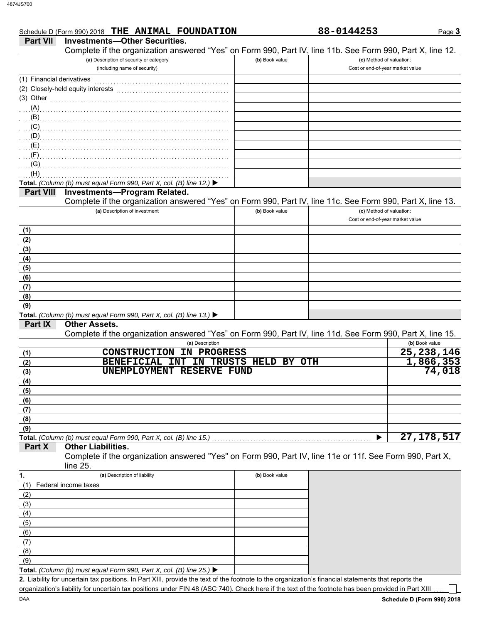| Schedule D (Form 990) 2018 THE ANIMAL FOUNDATION                                                           |                | 88-0144253                       | Page 3 |
|------------------------------------------------------------------------------------------------------------|----------------|----------------------------------|--------|
| <b>Investments-Other Securities.</b><br><b>Part VII</b>                                                    |                |                                  |        |
| Complete if the organization answered "Yes" on Form 990, Part IV, line 11b. See Form 990, Part X, line 12. |                |                                  |        |
| (a) Description of security or category                                                                    | (b) Book value | (c) Method of valuation:         |        |
| (including name of security)                                                                               |                | Cost or end-of-year market value |        |
| (1) Financial derivatives                                                                                  |                |                                  |        |
| (2) Closely-held equity interests                                                                          |                |                                  |        |
| $(3)$ Other                                                                                                |                |                                  |        |
| (A)                                                                                                        |                |                                  |        |
| $\ldots$ (B)                                                                                               |                |                                  |        |
| $\overline{\mathcal{L}}(C)$                                                                                |                |                                  |        |
| $\ldots$ (D)                                                                                               |                |                                  |        |
| $\overline{E}$ .                                                                                           |                |                                  |        |
| $\ldots$ (F)                                                                                               |                |                                  |        |
| (G)                                                                                                        |                |                                  |        |
|                                                                                                            |                |                                  |        |

#### **Total.** *(Column (b) must equal Form 990, Part X, col. (B) line 12.)*  **Part VIII Investments—Program Related.**

Complete if the organization answered "Yes" on Form 990, Part IV, line 11c. See Form 990, Part X, line 13.

| (a) Description of investment | (b) Book value | (c) Method of valuation:<br>Cost or end-of-year market value |
|-------------------------------|----------------|--------------------------------------------------------------|
|                               |                |                                                              |
| (1)                           |                |                                                              |
| (2)                           |                |                                                              |
| (3)                           |                |                                                              |
| (4)                           |                |                                                              |
| (5)                           |                |                                                              |
| (6)                           |                |                                                              |
| (7)                           |                |                                                              |
| (8)                           |                |                                                              |
| (9)                           |                |                                                              |

#### **Part IX Total.** *(Column (b) must equal Form 990, Part X, col. (B) line 13.)*

#### **Other Assets.**

Complete if the organization answered "Yes" on Form 990, Part IV, line 11d. See Form 990, Part X, line 15.

| (a) Description                             | (b) Book value |
|---------------------------------------------|----------------|
| <b>CONSTRUCTION IN PROGRESS</b><br>(1)      | 25, 238, 146   |
| BENEFICIAL INT IN TRUSTS HELD BY OTH<br>(2) | 1,866,353      |
| UNEMPLOYMENT RESERVE FUND<br>(3)            | 74,018         |
| (4)                                         |                |
| (5)                                         |                |
| (6)                                         |                |
| (7)                                         |                |
| (8)                                         |                |
| (9)                                         |                |
|                                             | 27, 178, 517   |

#### **Part X Other Liabilities.**

Complete if the organization answered "Yes" on Form 990, Part IV, line 11e or 11f. See Form 990, Part X, line 25.

| 1.  | (a) Description of liability                                                | (b) Book value |
|-----|-----------------------------------------------------------------------------|----------------|
|     | Federal income taxes                                                        |                |
| (2) |                                                                             |                |
| (3) |                                                                             |                |
| (4) |                                                                             |                |
| (5) |                                                                             |                |
| (6) |                                                                             |                |
|     |                                                                             |                |
| (8) |                                                                             |                |
| (9) |                                                                             |                |
|     | <b>Total.</b> (Column (b) must equal Form 990. Part X, col. (B) line $25.1$ |                |

**Total.** *(Column (b) must equal Form 990, Part X, col. (B) line 25.)* 

Liability for uncertain tax positions. In Part XIII, provide the text of the footnote to the organization's financial statements that reports the **2.** organization's liability for uncertain tax positions under FIN 48 (ASC 740). Check here if the text of the footnote has been provided in Part XIII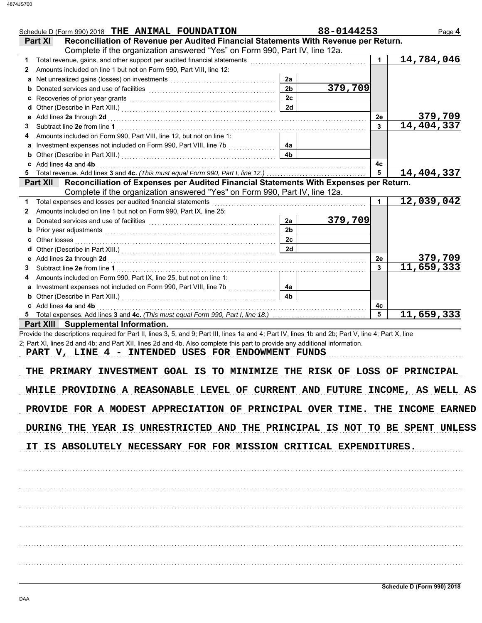| Reconciliation of Revenue per Audited Financial Statements With Revenue per Return.<br>Complete if the organization answered "Yes" on Form 990, Part IV, line 12a.<br>1<br>Amounts included on line 1 but not on Form 990, Part VIII, line 12:<br>2<br>a Net unrealized gains (losses) on investments [111] [11] Net uncontained a Net unrealized gains (losses) on investments [11] $\cdot$<br>d<br>Add lines 2a through 2d [[[[[[[[[[[[[[[[[[[[[[[[]]]]]]]]] Add lines 2a through 2d<br>е<br>З<br>Amounts included on Form 990, Part VIII, line 12, but not on line 1:<br>a Investment expenses not included on Form 990, Part VIII, line 7b [[[[[[[[[[[[[[[[[[[[[[[[[[[[[[[[[<br><b>b</b> Other (Describe in Part XIII.) <b>CONSERVING (2018)</b><br>c Add lines 4a and 4b <b>contract and 4</b> b and 20 and 20 and 20 and 20 and 20 and 20 and 20 and 20 and 20 and 20 and 20 and 20 and 20 and 20 and 20 and 20 and 20 and 20 and 20 and 20 and 20 and 20 and 20 and 20 and 20 and 20<br>5<br>Reconciliation of Expenses per Audited Financial Statements With Expenses per Return.<br><b>Part XII</b><br>Complete if the organization answered "Yes" on Form 990, Part IV, line 12a.<br>1<br>Amounts included on line 1 but not on Form 990, Part IX, line 25:<br>2<br>a<br>Prior year adjustments [11, 12] with the contract of the contract of the contract of the contract of the contract of the contract of the contract of the contract of the contract of the contract of the contract of the contr<br>b<br>Other losses <b>contracts</b> and the contract of the contract of the contract of the contract of the contract of the contract of the contract of the contract of the contract of the contract of the contract of the contract of t<br>с<br>3<br>Amounts included on Form 990, Part IX, line 25, but not on line 1:<br>c Add lines 4a and 4b<br>Part XIII Supplemental Information.<br>Provide the descriptions required for Part II, lines 3, 5, and 9; Part III, lines 1a and 4; Part IV, lines 1b and 2b; Part V, line 4; Part X, line<br>2; Part XI, lines 2d and 4b; and Part XII, lines 2d and 4b. Also complete this part to provide any additional information.<br>PART V, LINE 4 - INTENDED USES FOR ENDOWMENT FUNDS | 2a<br>2 <sub>b</sub><br>2c<br>2d<br>4a<br>4 <sub>b</sub><br>2a<br>2 <sub>b</sub><br>2c<br>2d<br>4a | 379,709<br>379,709 | $\mathbf{1}$<br>2е<br>3<br>4c<br>5<br>$\mathbf 1$ | 14,784,046<br>379,709<br>14,404,337<br>14,404,337<br>12,039,042 |
|---------------------------------------------------------------------------------------------------------------------------------------------------------------------------------------------------------------------------------------------------------------------------------------------------------------------------------------------------------------------------------------------------------------------------------------------------------------------------------------------------------------------------------------------------------------------------------------------------------------------------------------------------------------------------------------------------------------------------------------------------------------------------------------------------------------------------------------------------------------------------------------------------------------------------------------------------------------------------------------------------------------------------------------------------------------------------------------------------------------------------------------------------------------------------------------------------------------------------------------------------------------------------------------------------------------------------------------------------------------------------------------------------------------------------------------------------------------------------------------------------------------------------------------------------------------------------------------------------------------------------------------------------------------------------------------------------------------------------------------------------------------------------------------------------------------------------------------------------------------------------------------------------------------------------------------------------------------------------------------------------------------------------------------------------------------------------------------------------------------------------------------------------------------------------------------------------------------------------------------------------------|----------------------------------------------------------------------------------------------------|--------------------|---------------------------------------------------|-----------------------------------------------------------------|
|                                                                                                                                                                                                                                                                                                                                                                                                                                                                                                                                                                                                                                                                                                                                                                                                                                                                                                                                                                                                                                                                                                                                                                                                                                                                                                                                                                                                                                                                                                                                                                                                                                                                                                                                                                                                                                                                                                                                                                                                                                                                                                                                                                                                                                                         |                                                                                                    |                    |                                                   |                                                                 |
|                                                                                                                                                                                                                                                                                                                                                                                                                                                                                                                                                                                                                                                                                                                                                                                                                                                                                                                                                                                                                                                                                                                                                                                                                                                                                                                                                                                                                                                                                                                                                                                                                                                                                                                                                                                                                                                                                                                                                                                                                                                                                                                                                                                                                                                         |                                                                                                    |                    |                                                   |                                                                 |
|                                                                                                                                                                                                                                                                                                                                                                                                                                                                                                                                                                                                                                                                                                                                                                                                                                                                                                                                                                                                                                                                                                                                                                                                                                                                                                                                                                                                                                                                                                                                                                                                                                                                                                                                                                                                                                                                                                                                                                                                                                                                                                                                                                                                                                                         |                                                                                                    |                    |                                                   |                                                                 |
|                                                                                                                                                                                                                                                                                                                                                                                                                                                                                                                                                                                                                                                                                                                                                                                                                                                                                                                                                                                                                                                                                                                                                                                                                                                                                                                                                                                                                                                                                                                                                                                                                                                                                                                                                                                                                                                                                                                                                                                                                                                                                                                                                                                                                                                         |                                                                                                    |                    |                                                   |                                                                 |
|                                                                                                                                                                                                                                                                                                                                                                                                                                                                                                                                                                                                                                                                                                                                                                                                                                                                                                                                                                                                                                                                                                                                                                                                                                                                                                                                                                                                                                                                                                                                                                                                                                                                                                                                                                                                                                                                                                                                                                                                                                                                                                                                                                                                                                                         |                                                                                                    |                    |                                                   |                                                                 |
|                                                                                                                                                                                                                                                                                                                                                                                                                                                                                                                                                                                                                                                                                                                                                                                                                                                                                                                                                                                                                                                                                                                                                                                                                                                                                                                                                                                                                                                                                                                                                                                                                                                                                                                                                                                                                                                                                                                                                                                                                                                                                                                                                                                                                                                         |                                                                                                    |                    |                                                   |                                                                 |
|                                                                                                                                                                                                                                                                                                                                                                                                                                                                                                                                                                                                                                                                                                                                                                                                                                                                                                                                                                                                                                                                                                                                                                                                                                                                                                                                                                                                                                                                                                                                                                                                                                                                                                                                                                                                                                                                                                                                                                                                                                                                                                                                                                                                                                                         |                                                                                                    |                    |                                                   |                                                                 |
|                                                                                                                                                                                                                                                                                                                                                                                                                                                                                                                                                                                                                                                                                                                                                                                                                                                                                                                                                                                                                                                                                                                                                                                                                                                                                                                                                                                                                                                                                                                                                                                                                                                                                                                                                                                                                                                                                                                                                                                                                                                                                                                                                                                                                                                         |                                                                                                    |                    |                                                   |                                                                 |
|                                                                                                                                                                                                                                                                                                                                                                                                                                                                                                                                                                                                                                                                                                                                                                                                                                                                                                                                                                                                                                                                                                                                                                                                                                                                                                                                                                                                                                                                                                                                                                                                                                                                                                                                                                                                                                                                                                                                                                                                                                                                                                                                                                                                                                                         |                                                                                                    |                    |                                                   |                                                                 |
|                                                                                                                                                                                                                                                                                                                                                                                                                                                                                                                                                                                                                                                                                                                                                                                                                                                                                                                                                                                                                                                                                                                                                                                                                                                                                                                                                                                                                                                                                                                                                                                                                                                                                                                                                                                                                                                                                                                                                                                                                                                                                                                                                                                                                                                         |                                                                                                    |                    |                                                   |                                                                 |
|                                                                                                                                                                                                                                                                                                                                                                                                                                                                                                                                                                                                                                                                                                                                                                                                                                                                                                                                                                                                                                                                                                                                                                                                                                                                                                                                                                                                                                                                                                                                                                                                                                                                                                                                                                                                                                                                                                                                                                                                                                                                                                                                                                                                                                                         |                                                                                                    |                    |                                                   |                                                                 |
|                                                                                                                                                                                                                                                                                                                                                                                                                                                                                                                                                                                                                                                                                                                                                                                                                                                                                                                                                                                                                                                                                                                                                                                                                                                                                                                                                                                                                                                                                                                                                                                                                                                                                                                                                                                                                                                                                                                                                                                                                                                                                                                                                                                                                                                         |                                                                                                    |                    |                                                   |                                                                 |
|                                                                                                                                                                                                                                                                                                                                                                                                                                                                                                                                                                                                                                                                                                                                                                                                                                                                                                                                                                                                                                                                                                                                                                                                                                                                                                                                                                                                                                                                                                                                                                                                                                                                                                                                                                                                                                                                                                                                                                                                                                                                                                                                                                                                                                                         |                                                                                                    |                    |                                                   |                                                                 |
|                                                                                                                                                                                                                                                                                                                                                                                                                                                                                                                                                                                                                                                                                                                                                                                                                                                                                                                                                                                                                                                                                                                                                                                                                                                                                                                                                                                                                                                                                                                                                                                                                                                                                                                                                                                                                                                                                                                                                                                                                                                                                                                                                                                                                                                         |                                                                                                    |                    |                                                   |                                                                 |
|                                                                                                                                                                                                                                                                                                                                                                                                                                                                                                                                                                                                                                                                                                                                                                                                                                                                                                                                                                                                                                                                                                                                                                                                                                                                                                                                                                                                                                                                                                                                                                                                                                                                                                                                                                                                                                                                                                                                                                                                                                                                                                                                                                                                                                                         |                                                                                                    |                    |                                                   |                                                                 |
|                                                                                                                                                                                                                                                                                                                                                                                                                                                                                                                                                                                                                                                                                                                                                                                                                                                                                                                                                                                                                                                                                                                                                                                                                                                                                                                                                                                                                                                                                                                                                                                                                                                                                                                                                                                                                                                                                                                                                                                                                                                                                                                                                                                                                                                         |                                                                                                    |                    |                                                   |                                                                 |
|                                                                                                                                                                                                                                                                                                                                                                                                                                                                                                                                                                                                                                                                                                                                                                                                                                                                                                                                                                                                                                                                                                                                                                                                                                                                                                                                                                                                                                                                                                                                                                                                                                                                                                                                                                                                                                                                                                                                                                                                                                                                                                                                                                                                                                                         |                                                                                                    |                    |                                                   |                                                                 |
|                                                                                                                                                                                                                                                                                                                                                                                                                                                                                                                                                                                                                                                                                                                                                                                                                                                                                                                                                                                                                                                                                                                                                                                                                                                                                                                                                                                                                                                                                                                                                                                                                                                                                                                                                                                                                                                                                                                                                                                                                                                                                                                                                                                                                                                         |                                                                                                    |                    |                                                   |                                                                 |
|                                                                                                                                                                                                                                                                                                                                                                                                                                                                                                                                                                                                                                                                                                                                                                                                                                                                                                                                                                                                                                                                                                                                                                                                                                                                                                                                                                                                                                                                                                                                                                                                                                                                                                                                                                                                                                                                                                                                                                                                                                                                                                                                                                                                                                                         |                                                                                                    |                    |                                                   |                                                                 |
|                                                                                                                                                                                                                                                                                                                                                                                                                                                                                                                                                                                                                                                                                                                                                                                                                                                                                                                                                                                                                                                                                                                                                                                                                                                                                                                                                                                                                                                                                                                                                                                                                                                                                                                                                                                                                                                                                                                                                                                                                                                                                                                                                                                                                                                         |                                                                                                    |                    |                                                   |                                                                 |
|                                                                                                                                                                                                                                                                                                                                                                                                                                                                                                                                                                                                                                                                                                                                                                                                                                                                                                                                                                                                                                                                                                                                                                                                                                                                                                                                                                                                                                                                                                                                                                                                                                                                                                                                                                                                                                                                                                                                                                                                                                                                                                                                                                                                                                                         |                                                                                                    |                    |                                                   |                                                                 |
|                                                                                                                                                                                                                                                                                                                                                                                                                                                                                                                                                                                                                                                                                                                                                                                                                                                                                                                                                                                                                                                                                                                                                                                                                                                                                                                                                                                                                                                                                                                                                                                                                                                                                                                                                                                                                                                                                                                                                                                                                                                                                                                                                                                                                                                         |                                                                                                    |                    |                                                   |                                                                 |
|                                                                                                                                                                                                                                                                                                                                                                                                                                                                                                                                                                                                                                                                                                                                                                                                                                                                                                                                                                                                                                                                                                                                                                                                                                                                                                                                                                                                                                                                                                                                                                                                                                                                                                                                                                                                                                                                                                                                                                                                                                                                                                                                                                                                                                                         |                                                                                                    |                    | 2е                                                | 379,709                                                         |
|                                                                                                                                                                                                                                                                                                                                                                                                                                                                                                                                                                                                                                                                                                                                                                                                                                                                                                                                                                                                                                                                                                                                                                                                                                                                                                                                                                                                                                                                                                                                                                                                                                                                                                                                                                                                                                                                                                                                                                                                                                                                                                                                                                                                                                                         |                                                                                                    |                    | 3                                                 | 11,659,333                                                      |
|                                                                                                                                                                                                                                                                                                                                                                                                                                                                                                                                                                                                                                                                                                                                                                                                                                                                                                                                                                                                                                                                                                                                                                                                                                                                                                                                                                                                                                                                                                                                                                                                                                                                                                                                                                                                                                                                                                                                                                                                                                                                                                                                                                                                                                                         |                                                                                                    |                    |                                                   |                                                                 |
|                                                                                                                                                                                                                                                                                                                                                                                                                                                                                                                                                                                                                                                                                                                                                                                                                                                                                                                                                                                                                                                                                                                                                                                                                                                                                                                                                                                                                                                                                                                                                                                                                                                                                                                                                                                                                                                                                                                                                                                                                                                                                                                                                                                                                                                         |                                                                                                    |                    |                                                   |                                                                 |
|                                                                                                                                                                                                                                                                                                                                                                                                                                                                                                                                                                                                                                                                                                                                                                                                                                                                                                                                                                                                                                                                                                                                                                                                                                                                                                                                                                                                                                                                                                                                                                                                                                                                                                                                                                                                                                                                                                                                                                                                                                                                                                                                                                                                                                                         | 4 <sub>b</sub>                                                                                     |                    |                                                   |                                                                 |
|                                                                                                                                                                                                                                                                                                                                                                                                                                                                                                                                                                                                                                                                                                                                                                                                                                                                                                                                                                                                                                                                                                                                                                                                                                                                                                                                                                                                                                                                                                                                                                                                                                                                                                                                                                                                                                                                                                                                                                                                                                                                                                                                                                                                                                                         |                                                                                                    |                    | 4с                                                |                                                                 |
|                                                                                                                                                                                                                                                                                                                                                                                                                                                                                                                                                                                                                                                                                                                                                                                                                                                                                                                                                                                                                                                                                                                                                                                                                                                                                                                                                                                                                                                                                                                                                                                                                                                                                                                                                                                                                                                                                                                                                                                                                                                                                                                                                                                                                                                         |                                                                                                    |                    | $\overline{\mathbf{5}}$                           | 11,659,333                                                      |
|                                                                                                                                                                                                                                                                                                                                                                                                                                                                                                                                                                                                                                                                                                                                                                                                                                                                                                                                                                                                                                                                                                                                                                                                                                                                                                                                                                                                                                                                                                                                                                                                                                                                                                                                                                                                                                                                                                                                                                                                                                                                                                                                                                                                                                                         |                                                                                                    |                    |                                                   |                                                                 |
| THE PRIMARY INVESTMENT GOAL IS TO MINIMIZE THE RISK OF LOSS OF PRINCIPAL<br>WHILE PROVIDING A REASONABLE LEVEL OF CURRENT AND FUTURE INCOME, AS WELL AS                                                                                                                                                                                                                                                                                                                                                                                                                                                                                                                                                                                                                                                                                                                                                                                                                                                                                                                                                                                                                                                                                                                                                                                                                                                                                                                                                                                                                                                                                                                                                                                                                                                                                                                                                                                                                                                                                                                                                                                                                                                                                                 |                                                                                                    |                    |                                                   |                                                                 |
| PROVIDE FOR A MODEST APPRECIATION OF PRINCIPAL OVER TIME. THE INCOME EARNED                                                                                                                                                                                                                                                                                                                                                                                                                                                                                                                                                                                                                                                                                                                                                                                                                                                                                                                                                                                                                                                                                                                                                                                                                                                                                                                                                                                                                                                                                                                                                                                                                                                                                                                                                                                                                                                                                                                                                                                                                                                                                                                                                                             |                                                                                                    |                    |                                                   |                                                                 |
| DURING THE YEAR IS UNRESTRICTED AND THE PRINCIPAL IS NOT TO BE SPENT UNLESS                                                                                                                                                                                                                                                                                                                                                                                                                                                                                                                                                                                                                                                                                                                                                                                                                                                                                                                                                                                                                                                                                                                                                                                                                                                                                                                                                                                                                                                                                                                                                                                                                                                                                                                                                                                                                                                                                                                                                                                                                                                                                                                                                                             |                                                                                                    |                    |                                                   |                                                                 |
| IT IS ABSOLUTELY NECESSARY FOR FOR MISSION CRITICAL EXPENDITURES.                                                                                                                                                                                                                                                                                                                                                                                                                                                                                                                                                                                                                                                                                                                                                                                                                                                                                                                                                                                                                                                                                                                                                                                                                                                                                                                                                                                                                                                                                                                                                                                                                                                                                                                                                                                                                                                                                                                                                                                                                                                                                                                                                                                       |                                                                                                    |                    |                                                   |                                                                 |
|                                                                                                                                                                                                                                                                                                                                                                                                                                                                                                                                                                                                                                                                                                                                                                                                                                                                                                                                                                                                                                                                                                                                                                                                                                                                                                                                                                                                                                                                                                                                                                                                                                                                                                                                                                                                                                                                                                                                                                                                                                                                                                                                                                                                                                                         |                                                                                                    |                    |                                                   |                                                                 |
|                                                                                                                                                                                                                                                                                                                                                                                                                                                                                                                                                                                                                                                                                                                                                                                                                                                                                                                                                                                                                                                                                                                                                                                                                                                                                                                                                                                                                                                                                                                                                                                                                                                                                                                                                                                                                                                                                                                                                                                                                                                                                                                                                                                                                                                         |                                                                                                    |                    |                                                   |                                                                 |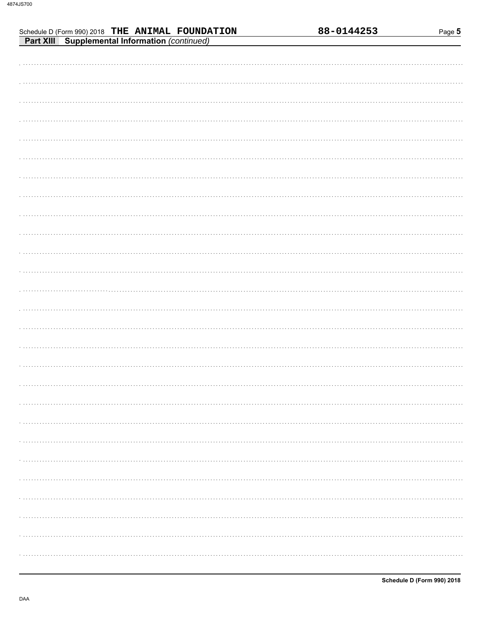| Schedule D (Form 990) 2018 THE ANIMAL FOUNDATION<br>Part XIII Supplemental Information (continued) | 88-0144253 | Page 5 |
|----------------------------------------------------------------------------------------------------|------------|--------|
|                                                                                                    |            |        |
|                                                                                                    |            |        |
|                                                                                                    |            |        |
|                                                                                                    |            |        |
|                                                                                                    |            |        |
|                                                                                                    |            |        |
|                                                                                                    |            |        |
|                                                                                                    |            |        |
|                                                                                                    |            |        |
|                                                                                                    |            |        |
|                                                                                                    |            |        |
|                                                                                                    |            |        |
|                                                                                                    |            |        |
|                                                                                                    |            |        |
|                                                                                                    |            |        |
|                                                                                                    |            |        |
|                                                                                                    |            |        |
|                                                                                                    |            |        |
|                                                                                                    |            |        |
|                                                                                                    |            |        |
|                                                                                                    |            |        |
|                                                                                                    |            |        |
|                                                                                                    |            |        |
|                                                                                                    |            |        |
|                                                                                                    |            |        |
|                                                                                                    |            |        |
|                                                                                                    |            |        |
|                                                                                                    |            |        |
|                                                                                                    |            |        |
|                                                                                                    |            |        |
|                                                                                                    |            |        |
|                                                                                                    |            |        |
|                                                                                                    |            |        |
|                                                                                                    |            |        |
|                                                                                                    |            |        |
|                                                                                                    |            |        |
|                                                                                                    |            |        |
|                                                                                                    |            |        |
|                                                                                                    |            |        |
|                                                                                                    |            |        |
|                                                                                                    |            |        |
|                                                                                                    |            |        |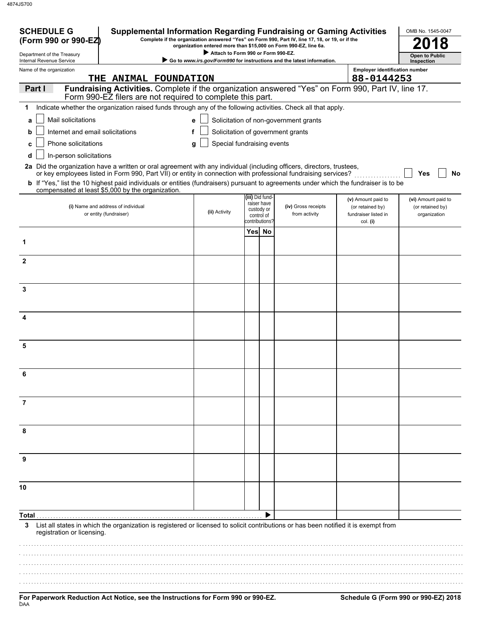| (Form 990 or 990-EZ)                                   |                                                                                                                                                                                                                                          |   |                                    |  |                                | Complete if the organization answered "Yes" on Form 990, Part IV, line 17, 18, or 19, or if the<br>organization entered more than \$15,000 on Form 990-EZ, line 6a. |                                          |                                     |
|--------------------------------------------------------|------------------------------------------------------------------------------------------------------------------------------------------------------------------------------------------------------------------------------------------|---|------------------------------------|--|--------------------------------|---------------------------------------------------------------------------------------------------------------------------------------------------------------------|------------------------------------------|-------------------------------------|
| Department of the Treasury<br>Internal Revenue Service |                                                                                                                                                                                                                                          |   | Attach to Form 990 or Form 990-EZ. |  |                                | Go to www.irs.gov/Form990 for instructions and the latest information.                                                                                              |                                          | <b>Open to Public</b><br>Inspection |
|                                                        | <b>Employer identification number</b><br>Name of the organization<br>88-0144253<br>THE ANIMAL FOUNDATION                                                                                                                                 |   |                                    |  |                                |                                                                                                                                                                     |                                          |                                     |
| Part I                                                 | Fundraising Activities. Complete if the organization answered "Yes" on Form 990, Part IV, line 17.                                                                                                                                       |   |                                    |  |                                |                                                                                                                                                                     |                                          |                                     |
|                                                        | Form 990-EZ filers are not required to complete this part.                                                                                                                                                                               |   |                                    |  |                                |                                                                                                                                                                     |                                          |                                     |
| 1                                                      | Indicate whether the organization raised funds through any of the following activities. Check all that apply.                                                                                                                            |   |                                    |  |                                |                                                                                                                                                                     |                                          |                                     |
| a                                                      | Mail solicitations                                                                                                                                                                                                                       | e |                                    |  |                                | Solicitation of non-government grants                                                                                                                               |                                          |                                     |
| b                                                      | Internet and email solicitations                                                                                                                                                                                                         | f |                                    |  |                                | Solicitation of government grants                                                                                                                                   |                                          |                                     |
| c                                                      | Phone solicitations                                                                                                                                                                                                                      | g | Special fundraising events         |  |                                |                                                                                                                                                                     |                                          |                                     |
| d                                                      | In-person solicitations                                                                                                                                                                                                                  |   |                                    |  |                                |                                                                                                                                                                     |                                          |                                     |
|                                                        | 2a Did the organization have a written or oral agreement with any individual (including officers, directors, trustees,<br>or key employees listed in Form 990, Part VII) or entity in connection with professional fundraising services? |   |                                    |  |                                |                                                                                                                                                                     |                                          | No<br>Yes                           |
|                                                        | <b>b</b> If "Yes," list the 10 highest paid individuals or entities (fundraisers) pursuant to agreements under which the fundraiser is to be<br>compensated at least \$5,000 by the organization.                                        |   |                                    |  |                                |                                                                                                                                                                     |                                          |                                     |
|                                                        |                                                                                                                                                                                                                                          |   |                                    |  | (iii) Did fund-<br>raiser have |                                                                                                                                                                     | (v) Amount paid to                       | (vi) Amount paid to                 |
|                                                        | (i) Name and address of individual<br>or entity (fundraiser)                                                                                                                                                                             |   | (ii) Activity                      |  | custody or<br>control of       | (iv) Gross receipts<br>from activity                                                                                                                                | (or retained by)<br>fundraiser listed in | (or retained by)<br>organization    |
|                                                        |                                                                                                                                                                                                                                          |   |                                    |  | contributions?                 |                                                                                                                                                                     | col. (i)                                 |                                     |
|                                                        |                                                                                                                                                                                                                                          |   |                                    |  | Yesl No                        |                                                                                                                                                                     |                                          |                                     |
| 1                                                      |                                                                                                                                                                                                                                          |   |                                    |  |                                |                                                                                                                                                                     |                                          |                                     |
| $\mathbf{2}$                                           |                                                                                                                                                                                                                                          |   |                                    |  |                                |                                                                                                                                                                     |                                          |                                     |
|                                                        |                                                                                                                                                                                                                                          |   |                                    |  |                                |                                                                                                                                                                     |                                          |                                     |
|                                                        |                                                                                                                                                                                                                                          |   |                                    |  |                                |                                                                                                                                                                     |                                          |                                     |
| 3                                                      |                                                                                                                                                                                                                                          |   |                                    |  |                                |                                                                                                                                                                     |                                          |                                     |
|                                                        |                                                                                                                                                                                                                                          |   |                                    |  |                                |                                                                                                                                                                     |                                          |                                     |
| 4                                                      |                                                                                                                                                                                                                                          |   |                                    |  |                                |                                                                                                                                                                     |                                          |                                     |
|                                                        |                                                                                                                                                                                                                                          |   |                                    |  |                                |                                                                                                                                                                     |                                          |                                     |
|                                                        |                                                                                                                                                                                                                                          |   |                                    |  |                                |                                                                                                                                                                     |                                          |                                     |
| 5                                                      |                                                                                                                                                                                                                                          |   |                                    |  |                                |                                                                                                                                                                     |                                          |                                     |
|                                                        |                                                                                                                                                                                                                                          |   |                                    |  |                                |                                                                                                                                                                     |                                          |                                     |
|                                                        |                                                                                                                                                                                                                                          |   |                                    |  |                                |                                                                                                                                                                     |                                          |                                     |
|                                                        |                                                                                                                                                                                                                                          |   |                                    |  |                                |                                                                                                                                                                     |                                          |                                     |
|                                                        |                                                                                                                                                                                                                                          |   |                                    |  |                                |                                                                                                                                                                     |                                          |                                     |
| 7                                                      |                                                                                                                                                                                                                                          |   |                                    |  |                                |                                                                                                                                                                     |                                          |                                     |
|                                                        |                                                                                                                                                                                                                                          |   |                                    |  |                                |                                                                                                                                                                     |                                          |                                     |
| 8                                                      |                                                                                                                                                                                                                                          |   |                                    |  |                                |                                                                                                                                                                     |                                          |                                     |
|                                                        |                                                                                                                                                                                                                                          |   |                                    |  |                                |                                                                                                                                                                     |                                          |                                     |
|                                                        |                                                                                                                                                                                                                                          |   |                                    |  |                                |                                                                                                                                                                     |                                          |                                     |
| 9                                                      |                                                                                                                                                                                                                                          |   |                                    |  |                                |                                                                                                                                                                     |                                          |                                     |
|                                                        |                                                                                                                                                                                                                                          |   |                                    |  |                                |                                                                                                                                                                     |                                          |                                     |
| 10                                                     |                                                                                                                                                                                                                                          |   |                                    |  |                                |                                                                                                                                                                     |                                          |                                     |
|                                                        |                                                                                                                                                                                                                                          |   |                                    |  |                                |                                                                                                                                                                     |                                          |                                     |
|                                                        |                                                                                                                                                                                                                                          |   |                                    |  |                                |                                                                                                                                                                     |                                          |                                     |
| Total .<br>3                                           | List all states in which the organization is registered or licensed to solicit contributions or has been notified it is exempt from                                                                                                      |   |                                    |  |                                |                                                                                                                                                                     |                                          |                                     |
|                                                        | registration or licensing.                                                                                                                                                                                                               |   |                                    |  |                                |                                                                                                                                                                     |                                          |                                     |
|                                                        |                                                                                                                                                                                                                                          |   |                                    |  |                                |                                                                                                                                                                     |                                          |                                     |
|                                                        |                                                                                                                                                                                                                                          |   |                                    |  |                                |                                                                                                                                                                     |                                          |                                     |
|                                                        |                                                                                                                                                                                                                                          |   |                                    |  |                                |                                                                                                                                                                     |                                          |                                     |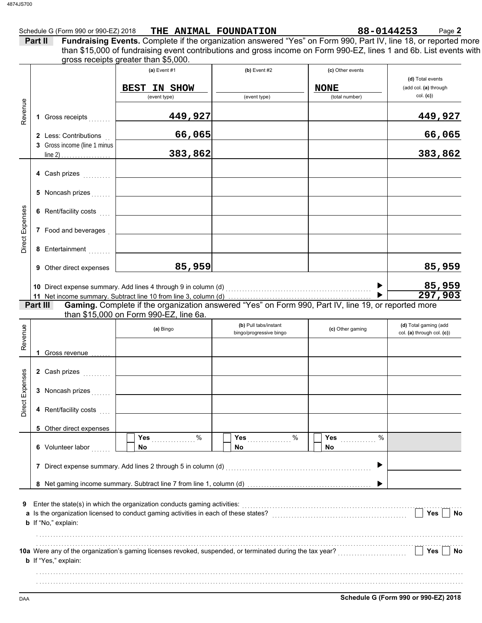| 88-0144253<br>Schedule G (Form 990 or 990-EZ) 2018<br>THE ANIMAL FOUNDATION |  |          |
|-----------------------------------------------------------------------------|--|----------|
|                                                                             |  | Page $2$ |

| Part II | <b>Fundraising Events.</b> Complete if the organization answered "Yes" on Form 990, Part IV, line 18, or reported more |
|---------|------------------------------------------------------------------------------------------------------------------------|
|         | than \$15,000 of fundraising event contributions and gross income on Form 990-EZ, lines 1 and 6b. List events with     |
|         | gross receipts greater than \$5,000.                                                                                   |

|                 |                                                                |                              | (a) Event $#1$<br><b>BEST IN SHOW</b><br>(event type)                                                                                         | (b) Event $#2$<br>(event type)                   | (c) Other events<br><b>NONE</b><br>(total number) | (d) Total events<br>(add col. (a) through<br>col. (c) |  |  |  |  |
|-----------------|----------------------------------------------------------------|------------------------------|-----------------------------------------------------------------------------------------------------------------------------------------------|--------------------------------------------------|---------------------------------------------------|-------------------------------------------------------|--|--|--|--|
| Revenue         |                                                                | 1 Gross receipts             | 449,927                                                                                                                                       |                                                  |                                                   | 449,927                                               |  |  |  |  |
|                 |                                                                | 2 Less: Contributions        | 66,065                                                                                                                                        |                                                  |                                                   | 66,065                                                |  |  |  |  |
|                 |                                                                | 3 Gross income (line 1 minus | 383,862                                                                                                                                       |                                                  |                                                   | 383,862                                               |  |  |  |  |
|                 |                                                                | 4 Cash prizes                |                                                                                                                                               |                                                  |                                                   |                                                       |  |  |  |  |
|                 |                                                                | 5 Noncash prizes             |                                                                                                                                               |                                                  |                                                   |                                                       |  |  |  |  |
|                 |                                                                | 6 Rent/facility costs        |                                                                                                                                               |                                                  |                                                   |                                                       |  |  |  |  |
| Direct Expenses |                                                                | 7 Food and beverages         |                                                                                                                                               |                                                  |                                                   |                                                       |  |  |  |  |
|                 |                                                                | 8 Entertainment              |                                                                                                                                               |                                                  |                                                   |                                                       |  |  |  |  |
|                 |                                                                | 9 Other direct expenses      | 85,959                                                                                                                                        |                                                  |                                                   | 85,959                                                |  |  |  |  |
|                 | 10 Direct expense summary. Add lines 4 through 9 in column (d) | 85,959<br>297,903            |                                                                                                                                               |                                                  |                                                   |                                                       |  |  |  |  |
|                 |                                                                | Part III                     | Gaming. Complete if the organization answered "Yes" on Form 990, Part IV, line 19, or reported more<br>than \$15,000 on Form 990-EZ, line 6a. |                                                  |                                                   |                                                       |  |  |  |  |
| Revenue         |                                                                |                              | (a) Bingo                                                                                                                                     | (b) Pull tabs/instant<br>bingo/progressive bingo | (c) Other gaming                                  | (d) Total gaming (add<br>col. (a) through col. (c))   |  |  |  |  |
|                 |                                                                | 1 Gross revenue              |                                                                                                                                               |                                                  |                                                   |                                                       |  |  |  |  |
|                 |                                                                | 2 Cash prizes                |                                                                                                                                               |                                                  |                                                   |                                                       |  |  |  |  |
| Direct Expenses |                                                                | 3 Noncash prizes             |                                                                                                                                               |                                                  |                                                   |                                                       |  |  |  |  |
|                 |                                                                | 4 Rent/facility costs        |                                                                                                                                               |                                                  |                                                   |                                                       |  |  |  |  |
|                 |                                                                | 5 Other direct expenses      |                                                                                                                                               |                                                  |                                                   |                                                       |  |  |  |  |
|                 |                                                                | 6 Volunteer labor            | %<br>Yes<br>.<br>No                                                                                                                           | %<br>Yes<br>No                                   | $\%$<br>Yes<br>No                                 |                                                       |  |  |  |  |
|                 |                                                                |                              | 7 Direct expense summary. Add lines 2 through 5 in column (d)                                                                                 |                                                  | ▶                                                 |                                                       |  |  |  |  |
|                 |                                                                |                              |                                                                                                                                               |                                                  |                                                   |                                                       |  |  |  |  |
| 9               | Yes<br>No<br>b If "No," explain:                               |                              |                                                                                                                                               |                                                  |                                                   |                                                       |  |  |  |  |
|                 |                                                                |                              |                                                                                                                                               |                                                  |                                                   |                                                       |  |  |  |  |
|                 |                                                                | <b>b</b> If "Yes," explain:  |                                                                                                                                               |                                                  |                                                   | Yes<br><b>No</b>                                      |  |  |  |  |
|                 |                                                                |                              |                                                                                                                                               |                                                  |                                                   |                                                       |  |  |  |  |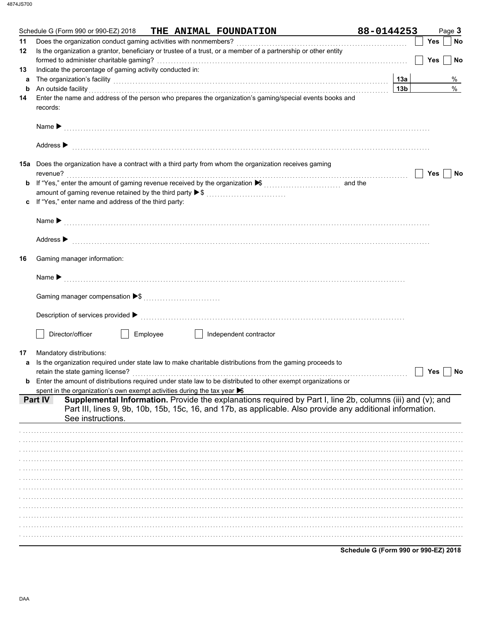|     |                               | Schedule G (Form 990 or 990-EZ) 2018 THE ANIMAL FOUNDATION                                                                                                                                                                                    | 88-0144253 |                 |            | Page 3 |           |
|-----|-------------------------------|-----------------------------------------------------------------------------------------------------------------------------------------------------------------------------------------------------------------------------------------------|------------|-----------------|------------|--------|-----------|
| 11  |                               |                                                                                                                                                                                                                                               |            |                 | <b>Yes</b> |        | <b>No</b> |
| 12  |                               | Is the organization a grantor, beneficiary or trustee of a trust, or a member of a partnership or other entity                                                                                                                                |            |                 | Yes        |        | <b>No</b> |
| 13  |                               | Indicate the percentage of gaming activity conducted in:                                                                                                                                                                                      |            |                 |            |        |           |
| a   |                               | The organization's facility [1, 2003] The organization's facility [1, 2004] The organization's facility [1, 2004] The organization's facility [1, 2004] The organization's facility [1, 2004] The organization of the organiza                |            | 13a             |            |        | %         |
| b   |                               | An outside facility encourance and account of the contract of the contract of the contract of the contract of the contract of the contract of the contract of the contract of the contract of the contract of the contract of                 |            | 13 <sub>b</sub> |            |        | $\%$      |
| 14  | records:                      | Enter the name and address of the person who prepares the organization's gaming/special events books and                                                                                                                                      |            |                 |            |        |           |
|     |                               |                                                                                                                                                                                                                                               |            |                 |            |        |           |
|     |                               |                                                                                                                                                                                                                                               |            |                 |            |        |           |
|     | Address $\blacktriangleright$ |                                                                                                                                                                                                                                               |            |                 |            |        |           |
| 15а |                               | Does the organization have a contract with a third party from whom the organization receives gaming                                                                                                                                           |            |                 |            |        |           |
| b   |                               | If "Yes," enter the amount of gaming revenue received by the organization ▶ [[[[[[[[[[[[[[[[[[[[[[[[[[]]]]]]]]                                                                                                                                |            |                 | Yes        |        | No        |
|     |                               |                                                                                                                                                                                                                                               |            |                 |            |        |           |
| c   |                               | If "Yes," enter name and address of the third party:                                                                                                                                                                                          |            |                 |            |        |           |
|     |                               |                                                                                                                                                                                                                                               |            |                 |            |        |           |
|     |                               |                                                                                                                                                                                                                                               |            |                 |            |        |           |
|     |                               |                                                                                                                                                                                                                                               |            |                 |            |        |           |
|     | Address $\blacktriangleright$ |                                                                                                                                                                                                                                               |            |                 |            |        |           |
| 16  |                               | Gaming manager information:                                                                                                                                                                                                                   |            |                 |            |        |           |
|     |                               | Name <b>D</b> <u>All Alliance and Alliance and Alliance and Alliance and Alliance and Alliance and Alliance and Alliance and Alliance and Alliance and Alliance and Alliance and Alliance and Alliance and Alliance and Alliance and </u>     |            |                 |            |        |           |
|     |                               |                                                                                                                                                                                                                                               |            |                 |            |        |           |
|     |                               |                                                                                                                                                                                                                                               |            |                 |            |        |           |
|     |                               | Director/officer<br>Employee<br>Independent contractor                                                                                                                                                                                        |            |                 |            |        |           |
| 17  |                               | Mandatory distributions:                                                                                                                                                                                                                      |            |                 |            |        |           |
| a   |                               | Is the organization required under state law to make charitable distributions from the gaming proceeds to                                                                                                                                     |            |                 |            |        |           |
|     |                               |                                                                                                                                                                                                                                               |            |                 | Yes        |        | No        |
|     |                               | Enter the amount of distributions required under state law to be distributed to other exempt organizations or                                                                                                                                 |            |                 |            |        |           |
|     |                               | spent in the organization's own exempt activities during the tax year $\blacktriangleright$                                                                                                                                                   |            |                 |            |        |           |
|     | <b>Part IV</b>                | Supplemental Information. Provide the explanations required by Part I, line 2b, columns (iii) and (v); and<br>Part III, lines 9, 9b, 10b, 15b, 15c, 16, and 17b, as applicable. Also provide any additional information.<br>See instructions. |            |                 |            |        |           |
|     |                               |                                                                                                                                                                                                                                               |            |                 |            |        |           |
|     |                               |                                                                                                                                                                                                                                               |            |                 |            |        |           |
|     |                               |                                                                                                                                                                                                                                               |            |                 |            |        |           |
|     |                               |                                                                                                                                                                                                                                               |            |                 |            |        |           |
|     |                               |                                                                                                                                                                                                                                               |            |                 |            |        |           |
|     |                               |                                                                                                                                                                                                                                               |            |                 |            |        |           |
|     |                               |                                                                                                                                                                                                                                               |            |                 |            |        |           |
|     |                               |                                                                                                                                                                                                                                               |            |                 |            |        |           |
|     |                               |                                                                                                                                                                                                                                               |            |                 |            |        |           |
|     |                               |                                                                                                                                                                                                                                               |            |                 |            |        |           |
|     |                               |                                                                                                                                                                                                                                               |            |                 |            |        |           |
|     |                               |                                                                                                                                                                                                                                               |            |                 |            |        |           |
|     |                               |                                                                                                                                                                                                                                               |            |                 |            |        |           |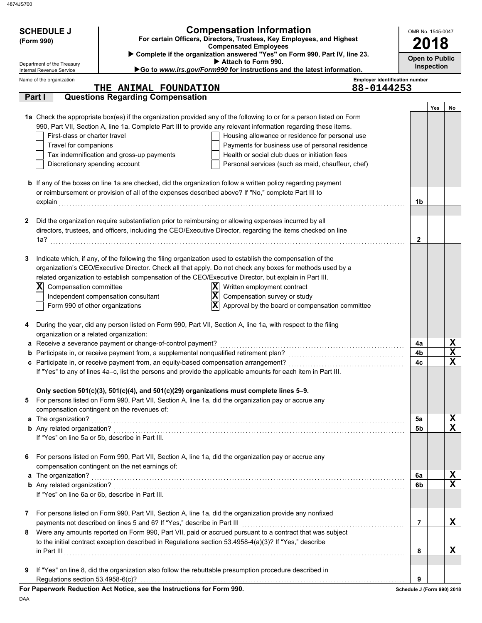|        | <b>Compensation Information</b><br><b>SCHEDULE J</b><br>For certain Officers, Directors, Trustees, Key Employees, and Highest<br>(Form 990)<br><b>Compensated Employees</b> |                                                                                                |                                                                                                                                                                                                                     |            |                                            |                              |  |  |
|--------|-----------------------------------------------------------------------------------------------------------------------------------------------------------------------------|------------------------------------------------------------------------------------------------|---------------------------------------------------------------------------------------------------------------------------------------------------------------------------------------------------------------------|------------|--------------------------------------------|------------------------------|--|--|
|        | Department of the Treasury                                                                                                                                                  |                                                                                                | Complete if the organization answered "Yes" on Form 990, Part IV, line 23.<br>Attach to Form 990.                                                                                                                   |            | <b>Open to Public</b><br><b>Inspection</b> |                              |  |  |
|        | Internal Revenue Service<br>Name of the organization                                                                                                                        |                                                                                                | Go to www.irs.gov/Form990 for instructions and the latest information.                                                                                                                                              |            | Employer identification number             |                              |  |  |
|        |                                                                                                                                                                             | THE ANIMAL FOUNDATION                                                                          |                                                                                                                                                                                                                     | 88-0144253 |                                            |                              |  |  |
| Part I |                                                                                                                                                                             | <b>Questions Regarding Compensation</b>                                                        |                                                                                                                                                                                                                     |            |                                            |                              |  |  |
|        |                                                                                                                                                                             |                                                                                                |                                                                                                                                                                                                                     |            |                                            | Yes<br>No                    |  |  |
|        |                                                                                                                                                                             |                                                                                                | 1a Check the appropriate box(es) if the organization provided any of the following to or for a person listed on Form                                                                                                |            |                                            |                              |  |  |
|        | First-class or charter travel                                                                                                                                               |                                                                                                | 990, Part VII, Section A, line 1a. Complete Part III to provide any relevant information regarding these items.                                                                                                     |            |                                            |                              |  |  |
|        | Travel for companions                                                                                                                                                       |                                                                                                | Housing allowance or residence for personal use<br>Payments for business use of personal residence                                                                                                                  |            |                                            |                              |  |  |
|        |                                                                                                                                                                             | Tax indemnification and gross-up payments                                                      | Health or social club dues or initiation fees                                                                                                                                                                       |            |                                            |                              |  |  |
|        | Discretionary spending account                                                                                                                                              |                                                                                                | Personal services (such as maid, chauffeur, chef)                                                                                                                                                                   |            |                                            |                              |  |  |
|        |                                                                                                                                                                             |                                                                                                |                                                                                                                                                                                                                     |            |                                            |                              |  |  |
|        |                                                                                                                                                                             |                                                                                                | <b>b</b> If any of the boxes on line 1a are checked, did the organization follow a written policy regarding payment                                                                                                 |            |                                            |                              |  |  |
|        |                                                                                                                                                                             |                                                                                                | or reimbursement or provision of all of the expenses described above? If "No," complete Part III to                                                                                                                 |            |                                            |                              |  |  |
|        | explain                                                                                                                                                                     |                                                                                                |                                                                                                                                                                                                                     |            | 1b                                         |                              |  |  |
|        |                                                                                                                                                                             |                                                                                                |                                                                                                                                                                                                                     |            |                                            |                              |  |  |
| 2      |                                                                                                                                                                             |                                                                                                | Did the organization require substantiation prior to reimbursing or allowing expenses incurred by all                                                                                                               |            |                                            |                              |  |  |
|        |                                                                                                                                                                             |                                                                                                | directors, trustees, and officers, including the CEO/Executive Director, regarding the items checked on line                                                                                                        |            |                                            |                              |  |  |
| 1a?    |                                                                                                                                                                             |                                                                                                |                                                                                                                                                                                                                     |            | $\mathbf{2}$                               |                              |  |  |
|        |                                                                                                                                                                             |                                                                                                |                                                                                                                                                                                                                     |            |                                            |                              |  |  |
| 3      |                                                                                                                                                                             |                                                                                                | Indicate which, if any, of the following the filing organization used to establish the compensation of the                                                                                                          |            |                                            |                              |  |  |
|        |                                                                                                                                                                             |                                                                                                | organization's CEO/Executive Director. Check all that apply. Do not check any boxes for methods used by a<br>related organization to establish compensation of the CEO/Executive Director, but explain in Part III. |            |                                            |                              |  |  |
| IХ     | Compensation committee                                                                                                                                                      |                                                                                                | $ \mathbf{X} $<br>Written employment contract                                                                                                                                                                       |            |                                            |                              |  |  |
|        |                                                                                                                                                                             | Independent compensation consultant                                                            | $\overline{\mathbf{x}}$<br>Compensation survey or study                                                                                                                                                             |            |                                            |                              |  |  |
|        | Form 990 of other organizations                                                                                                                                             |                                                                                                | $\overline{\mathbf{x}}$<br>Approval by the board or compensation committee                                                                                                                                          |            |                                            |                              |  |  |
|        |                                                                                                                                                                             |                                                                                                |                                                                                                                                                                                                                     |            |                                            |                              |  |  |
| 4      | organization or a related organization:                                                                                                                                     |                                                                                                | During the year, did any person listed on Form 990, Part VII, Section A, line 1a, with respect to the filing                                                                                                        |            |                                            |                              |  |  |
|        |                                                                                                                                                                             | a Receive a severance payment or change-of-control payment?                                    |                                                                                                                                                                                                                     |            | 4a                                         | X                            |  |  |
|        |                                                                                                                                                                             | <b>b</b> Participate in, or receive payment from, a supplemental nonqualified retirement plan? |                                                                                                                                                                                                                     |            | 4 <sub>b</sub>                             | $\mathbf x$                  |  |  |
|        |                                                                                                                                                                             | c Participate in, or receive payment from, an equity-based compensation arrangement?           |                                                                                                                                                                                                                     |            | 4c                                         | $\mathbf x$                  |  |  |
|        |                                                                                                                                                                             |                                                                                                | If "Yes" to any of lines 4a-c, list the persons and provide the applicable amounts for each item in Part III.                                                                                                       |            |                                            |                              |  |  |
|        |                                                                                                                                                                             |                                                                                                | Only section 501(c)(3), 501(c)(4), and 501(c)(29) organizations must complete lines 5-9.                                                                                                                            |            |                                            |                              |  |  |
| 5      |                                                                                                                                                                             |                                                                                                | For persons listed on Form 990, Part VII, Section A, line 1a, did the organization pay or accrue any                                                                                                                |            |                                            |                              |  |  |
|        |                                                                                                                                                                             | compensation contingent on the revenues of:                                                    |                                                                                                                                                                                                                     |            |                                            |                              |  |  |
|        | a The organization?                                                                                                                                                         |                                                                                                |                                                                                                                                                                                                                     |            | 5a                                         | X<br>$\overline{\mathbf{x}}$ |  |  |
|        |                                                                                                                                                                             | If "Yes" on line 5a or 5b, describe in Part III.                                               |                                                                                                                                                                                                                     |            | 5b                                         |                              |  |  |
|        |                                                                                                                                                                             |                                                                                                |                                                                                                                                                                                                                     |            |                                            |                              |  |  |
| 6      |                                                                                                                                                                             |                                                                                                | For persons listed on Form 990, Part VII, Section A, line 1a, did the organization pay or accrue any                                                                                                                |            |                                            |                              |  |  |
|        |                                                                                                                                                                             | compensation contingent on the net earnings of:                                                |                                                                                                                                                                                                                     |            |                                            |                              |  |  |
|        | a The organization?                                                                                                                                                         |                                                                                                |                                                                                                                                                                                                                     |            | 6a                                         | X                            |  |  |
|        |                                                                                                                                                                             |                                                                                                |                                                                                                                                                                                                                     |            | 6b                                         | $\overline{\mathbf{x}}$      |  |  |
|        |                                                                                                                                                                             | If "Yes" on line 6a or 6b, describe in Part III.                                               |                                                                                                                                                                                                                     |            |                                            |                              |  |  |
| 7      |                                                                                                                                                                             |                                                                                                | For persons listed on Form 990, Part VII, Section A, line 1a, did the organization provide any nonfixed                                                                                                             |            |                                            |                              |  |  |
|        |                                                                                                                                                                             | payments not described on lines 5 and 6? If "Yes," describe in Part III                        |                                                                                                                                                                                                                     |            | $\overline{7}$                             | X                            |  |  |
| 8      |                                                                                                                                                                             |                                                                                                | Were any amounts reported on Form 990, Part VII, paid or accrued pursuant to a contract that was subject                                                                                                            |            |                                            |                              |  |  |
|        |                                                                                                                                                                             |                                                                                                | to the initial contract exception described in Regulations section 53.4958-4(a)(3)? If "Yes," describe                                                                                                              |            |                                            |                              |  |  |
|        |                                                                                                                                                                             |                                                                                                |                                                                                                                                                                                                                     |            | 8                                          | X                            |  |  |
|        |                                                                                                                                                                             |                                                                                                |                                                                                                                                                                                                                     |            |                                            |                              |  |  |
| 9      |                                                                                                                                                                             |                                                                                                | If "Yes" on line 8, did the organization also follow the rebuttable presumption procedure described in                                                                                                              |            |                                            |                              |  |  |
|        | Regulations section 53.4958-6(c)?                                                                                                                                           |                                                                                                |                                                                                                                                                                                                                     |            | 9                                          |                              |  |  |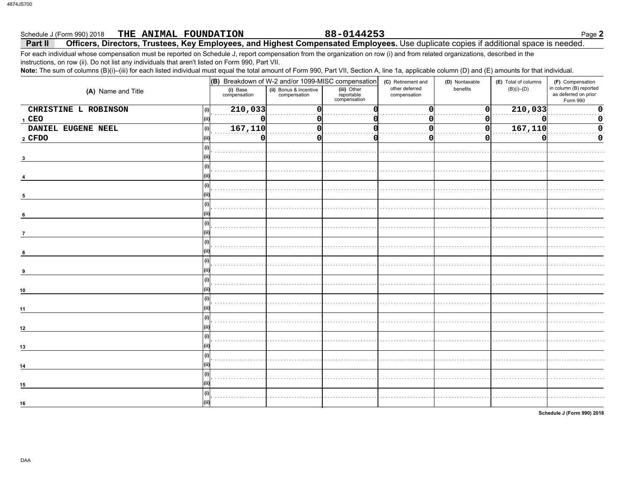#### 88-0144253 THE ANIMAL FOUNDATION Page 2 Schedule J (Form 990) 2018 Officers, Directors, Trustees, Key Employees, and Highest Compensated Employees. Use duplicate copies if additional space is needed. Part II

For each individual whose compensation must be reported on Schedule J, report compensation from the organization on row (i) and from related organizations, described in the instructions, on row (ii). Do not list any individuals that aren't listed on Form 990, Part VII.

Note: The sum of columns (B)(i)-(iii) for each listed individual must equal the total amount of Form 990, Part VII, Section A, line 1a, applicable column (D) and (E) amounts for that individual.

|                             | (B) Breakdown of W-2 and/or 1099-MISC compensation |                                        |                                           | (C) Retirement and             | (D) Nontaxable | (E) Total of columns | (F) Compensation                                           |
|-----------------------------|----------------------------------------------------|----------------------------------------|-------------------------------------------|--------------------------------|----------------|----------------------|------------------------------------------------------------|
| (A) Name and Title          | (i) Base<br>compensation                           | (ii) Bonus & incentive<br>compensation | (iii) Other<br>reportable<br>compensation | other deferred<br>compensation | benefits       | $(B)(i)$ – $(D)$     | in column (B) reported<br>as deferred on prior<br>Form 990 |
| CHRISTINE L ROBINSON<br>(i) | 210,033                                            |                                        |                                           | O                              |                | 210,033              | $\mathbf 0$                                                |
| $1$ CEO                     | Ω                                                  |                                        |                                           | O                              |                |                      | 0                                                          |
| DANIEL EUGENE NEEL<br>(i)   | 167,110                                            |                                        |                                           | n                              | ΩI             | 167,110              | $\mathbf 0$                                                |
| 2 CFDO                      | O                                                  |                                        |                                           |                                |                |                      | 0                                                          |
|                             |                                                    |                                        |                                           |                                |                |                      |                                                            |
|                             |                                                    |                                        |                                           |                                |                |                      |                                                            |
|                             |                                                    |                                        |                                           |                                |                |                      |                                                            |
| (1)                         |                                                    |                                        |                                           |                                |                |                      |                                                            |
| 5                           |                                                    |                                        |                                           |                                |                |                      |                                                            |
| (i)                         |                                                    |                                        |                                           |                                |                |                      |                                                            |
| $\bf 6$<br>(i)              |                                                    |                                        |                                           |                                |                |                      |                                                            |
| $\overline{7}$              |                                                    |                                        |                                           |                                |                |                      |                                                            |
| 8                           |                                                    |                                        |                                           |                                |                |                      |                                                            |
|                             |                                                    |                                        |                                           |                                |                |                      |                                                            |
| ۹                           |                                                    |                                        |                                           |                                |                |                      |                                                            |
| 10                          |                                                    |                                        |                                           |                                |                |                      |                                                            |
|                             |                                                    |                                        |                                           |                                |                |                      |                                                            |
| 11                          |                                                    |                                        |                                           |                                |                |                      |                                                            |
|                             |                                                    |                                        |                                           |                                |                |                      |                                                            |
| 12                          |                                                    |                                        |                                           |                                |                |                      |                                                            |
| 13                          |                                                    |                                        |                                           |                                |                |                      |                                                            |
|                             |                                                    |                                        |                                           |                                |                |                      |                                                            |
| 14                          |                                                    |                                        |                                           |                                |                |                      |                                                            |
| (i)                         |                                                    |                                        |                                           |                                |                |                      |                                                            |
| 15                          |                                                    |                                        |                                           |                                |                |                      |                                                            |
| (i)<br>16                   |                                                    |                                        |                                           |                                |                |                      |                                                            |
|                             |                                                    |                                        |                                           |                                |                |                      |                                                            |

Schedule J (Form 990) 2018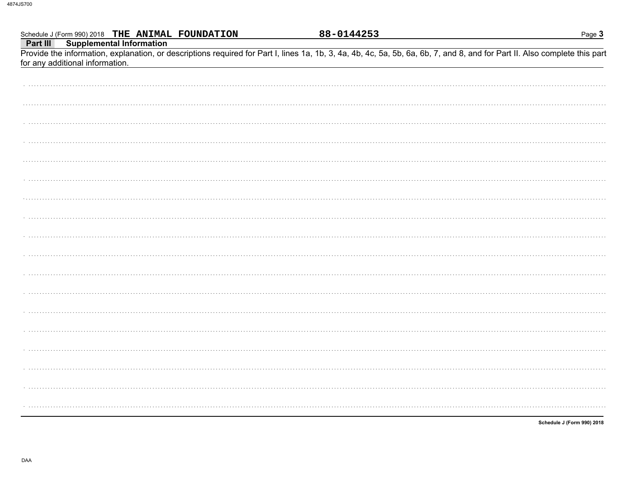| Schedule J (Form 990) 2018 THE ANIMAL FOUNDATION | 88-0144253<br>Page 3                                                                                                                                                       |
|--------------------------------------------------|----------------------------------------------------------------------------------------------------------------------------------------------------------------------------|
| <b>Supplemental Information</b><br>Part III      |                                                                                                                                                                            |
|                                                  | Provide the information, explanation, or descriptions required for Part I, lines 1a, 1b, 3, 4a, 4b, 4c, 5a, 5b, 6a, 6b, 7, and 8, and for Part II. Also complete this part |
| for any additional information.                  |                                                                                                                                                                            |
|                                                  |                                                                                                                                                                            |
|                                                  |                                                                                                                                                                            |
|                                                  |                                                                                                                                                                            |
|                                                  |                                                                                                                                                                            |
|                                                  |                                                                                                                                                                            |
|                                                  |                                                                                                                                                                            |
|                                                  |                                                                                                                                                                            |
|                                                  |                                                                                                                                                                            |
|                                                  |                                                                                                                                                                            |
|                                                  |                                                                                                                                                                            |
|                                                  |                                                                                                                                                                            |
|                                                  |                                                                                                                                                                            |
|                                                  |                                                                                                                                                                            |
|                                                  |                                                                                                                                                                            |
|                                                  |                                                                                                                                                                            |
|                                                  |                                                                                                                                                                            |
|                                                  |                                                                                                                                                                            |
|                                                  |                                                                                                                                                                            |
|                                                  |                                                                                                                                                                            |
|                                                  |                                                                                                                                                                            |
|                                                  |                                                                                                                                                                            |
|                                                  |                                                                                                                                                                            |
|                                                  |                                                                                                                                                                            |
|                                                  |                                                                                                                                                                            |
|                                                  |                                                                                                                                                                            |
|                                                  |                                                                                                                                                                            |
|                                                  |                                                                                                                                                                            |
|                                                  |                                                                                                                                                                            |
|                                                  |                                                                                                                                                                            |
|                                                  |                                                                                                                                                                            |
|                                                  |                                                                                                                                                                            |
|                                                  |                                                                                                                                                                            |
|                                                  |                                                                                                                                                                            |
|                                                  |                                                                                                                                                                            |
|                                                  |                                                                                                                                                                            |
|                                                  | Schedule J (Form 990) 2018                                                                                                                                                 |

DAA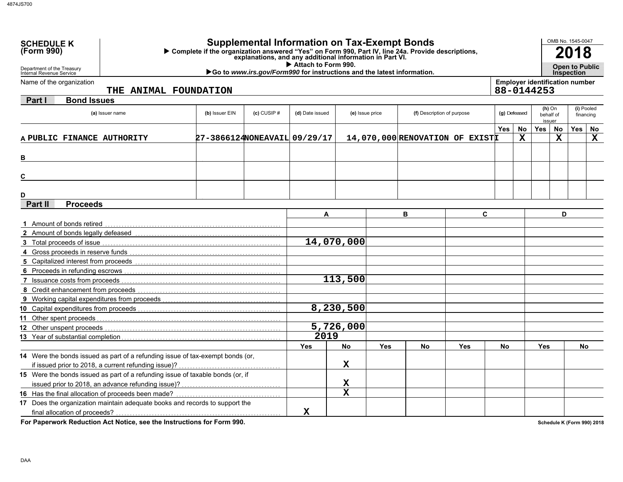|                                                                                                                                                         | <b>Supplemental Information on Tax-Exempt Bonds</b><br><b>SCHEDULE K</b><br>(Form 990)<br>▶ Complete if the organization answered "Yes" on Form 990, Part IV, line 24a. Provide descriptions, and any additional information in Part VI. |                                                                                |                              |  |                 |                 |            |                                 |            |                                                     | OMB No. 1545-0047                          |            |                                    |     |                         |
|---------------------------------------------------------------------------------------------------------------------------------------------------------|------------------------------------------------------------------------------------------------------------------------------------------------------------------------------------------------------------------------------------------|--------------------------------------------------------------------------------|------------------------------|--|-----------------|-----------------|------------|---------------------------------|------------|-----------------------------------------------------|--------------------------------------------|------------|------------------------------------|-----|-------------------------|
| Attach to Form 990.<br>Department of the Treasury<br>Internal Revenue Service<br>Go to www.irs.gov/Form990 for instructions and the latest information. |                                                                                                                                                                                                                                          |                                                                                |                              |  |                 |                 |            |                                 |            |                                                     | <b>Open to Public</b><br><b>Inspection</b> |            |                                    |     |                         |
|                                                                                                                                                         | Name of the organization                                                                                                                                                                                                                 | THE ANIMAL FOUNDATION                                                          |                              |  |                 |                 |            |                                 |            | <b>Employer identification number</b><br>88-0144253 |                                            |            |                                    |     |                         |
| Part I                                                                                                                                                  | <b>Bond Issues</b>                                                                                                                                                                                                                       |                                                                                |                              |  |                 |                 |            |                                 |            |                                                     |                                            |            |                                    |     |                         |
|                                                                                                                                                         | (c) CUSIP $#$<br>(b) Issuer EIN<br>(a) Issuer name                                                                                                                                                                                       |                                                                                |                              |  | (d) Date issued | (e) Issue price |            | (f) Description of purpose      |            | (g) Defeased                                        |                                            |            | $(h)$ On<br>behalf of<br>issuer    |     | (i) Pooled<br>financing |
|                                                                                                                                                         | A PUBLIC FINANCE AUTHORITY                                                                                                                                                                                                               |                                                                                | 27-3866124NONEAVAIL 09/29/17 |  |                 |                 |            | 14,070,000 RENOVATION OF EXISTI |            | <b>Yes</b>                                          | No<br>$\mathbf{x}$                         | Yes        | No<br>$\mathbf X$                  | Yes | No<br>$\mathbf X$       |
| в                                                                                                                                                       |                                                                                                                                                                                                                                          |                                                                                |                              |  |                 |                 |            |                                 |            |                                                     |                                            |            |                                    |     |                         |
| C                                                                                                                                                       |                                                                                                                                                                                                                                          |                                                                                |                              |  |                 |                 |            |                                 |            |                                                     |                                            |            |                                    |     |                         |
|                                                                                                                                                         |                                                                                                                                                                                                                                          |                                                                                |                              |  |                 |                 |            |                                 |            |                                                     |                                            |            |                                    |     |                         |
| Part II                                                                                                                                                 | <b>Proceeds</b>                                                                                                                                                                                                                          |                                                                                |                              |  |                 |                 |            |                                 |            |                                                     |                                            |            |                                    |     |                         |
|                                                                                                                                                         |                                                                                                                                                                                                                                          |                                                                                |                              |  | A               |                 |            | в                               | C          |                                                     |                                            | D          |                                    |     |                         |
|                                                                                                                                                         | 1 Amount of bonds retired                                                                                                                                                                                                                |                                                                                |                              |  |                 |                 |            |                                 |            |                                                     |                                            |            |                                    |     |                         |
|                                                                                                                                                         | 2 Amount of bonds legally defeased                                                                                                                                                                                                       |                                                                                |                              |  |                 |                 |            |                                 |            |                                                     |                                            |            |                                    |     |                         |
|                                                                                                                                                         | 3 Total proceeds of issue                                                                                                                                                                                                                |                                                                                |                              |  |                 | 14,070,000      |            |                                 |            |                                                     |                                            |            |                                    |     |                         |
|                                                                                                                                                         |                                                                                                                                                                                                                                          |                                                                                |                              |  |                 |                 |            |                                 |            |                                                     |                                            |            |                                    |     |                         |
|                                                                                                                                                         |                                                                                                                                                                                                                                          |                                                                                |                              |  |                 |                 |            |                                 |            |                                                     |                                            |            |                                    |     |                         |
|                                                                                                                                                         | 7 Issuance costs from proceeds                                                                                                                                                                                                           |                                                                                |                              |  |                 | 113,500         |            |                                 |            |                                                     |                                            |            |                                    |     |                         |
|                                                                                                                                                         | 8 Credit enhancement from proceeds                                                                                                                                                                                                       |                                                                                |                              |  |                 |                 |            |                                 |            |                                                     |                                            |            |                                    |     |                         |
|                                                                                                                                                         |                                                                                                                                                                                                                                          |                                                                                |                              |  |                 |                 |            |                                 |            |                                                     |                                            |            |                                    |     |                         |
|                                                                                                                                                         |                                                                                                                                                                                                                                          |                                                                                |                              |  |                 | 8,230,500       |            |                                 |            |                                                     |                                            |            |                                    |     |                         |
|                                                                                                                                                         | 11 Other spent proceeds                                                                                                                                                                                                                  |                                                                                |                              |  |                 |                 |            |                                 |            |                                                     |                                            |            |                                    |     |                         |
|                                                                                                                                                         | 12 Other unspent proceeds                                                                                                                                                                                                                |                                                                                |                              |  |                 | 5,726,000       |            |                                 |            |                                                     |                                            |            |                                    |     |                         |
|                                                                                                                                                         |                                                                                                                                                                                                                                          |                                                                                |                              |  | 2019            |                 |            |                                 |            |                                                     |                                            |            |                                    |     |                         |
|                                                                                                                                                         |                                                                                                                                                                                                                                          |                                                                                |                              |  | Yes             | <b>No</b>       | <b>Yes</b> | No                              | <b>Yes</b> | <b>No</b>                                           |                                            | <b>Yes</b> |                                    | No  |                         |
|                                                                                                                                                         |                                                                                                                                                                                                                                          | 14 Were the bonds issued as part of a refunding issue of tax-exempt bonds (or, |                              |  |                 |                 |            |                                 |            |                                                     |                                            |            |                                    |     |                         |
|                                                                                                                                                         |                                                                                                                                                                                                                                          |                                                                                |                              |  |                 | X               |            |                                 |            |                                                     |                                            |            |                                    |     |                         |
|                                                                                                                                                         |                                                                                                                                                                                                                                          | 15 Were the bonds issued as part of a refunding issue of taxable bonds (or, if |                              |  |                 |                 |            |                                 |            |                                                     |                                            |            |                                    |     |                         |
|                                                                                                                                                         |                                                                                                                                                                                                                                          |                                                                                |                              |  |                 | x               |            |                                 |            |                                                     |                                            |            |                                    |     |                         |
|                                                                                                                                                         |                                                                                                                                                                                                                                          | 16 Has the final allocation of proceeds been made?                             |                              |  |                 | X               |            |                                 |            |                                                     |                                            |            |                                    |     |                         |
|                                                                                                                                                         |                                                                                                                                                                                                                                          | 17 Does the organization maintain adequate books and records to support the    |                              |  |                 |                 |            |                                 |            |                                                     |                                            |            |                                    |     |                         |
|                                                                                                                                                         | final allocation of proceeds?                                                                                                                                                                                                            | For Denominals Dedication, Act Nation, and the Instructions for Form 000       |                              |  | x               |                 |            |                                 |            |                                                     |                                            |            | $\sim$ $\sim$ $\sim$ $\sim$ $\sim$ |     |                         |

**For Paperwork Reduction Act Notice, see the Instructions for Form 990.**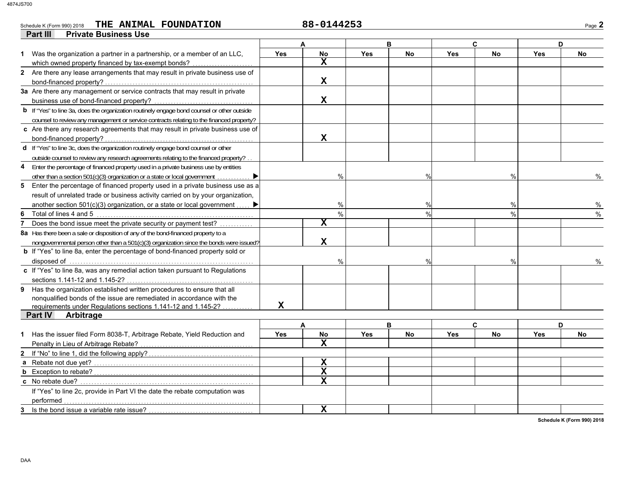4874JS700

|              | THE ANIMAL FOUNDATION<br>Schedule K (Form 990) 2018                                                       |             | 88-0144253              |      |            |               |            |               |            | Page 2    |
|--------------|-----------------------------------------------------------------------------------------------------------|-------------|-------------------------|------|------------|---------------|------------|---------------|------------|-----------|
|              | <b>Private Business Use</b><br>Part III                                                                   |             |                         |      |            |               |            |               |            |           |
|              |                                                                                                           |             | A                       |      |            | в             |            | C             |            | D         |
|              | 1 Was the organization a partner in a partnership, or a member of an LLC,                                 | <b>Yes</b>  | <b>No</b>               |      | <b>Yes</b> | <b>No</b>     | <b>Yes</b> | <b>No</b>     | <b>Yes</b> | <b>No</b> |
|              | which owned property financed by tax-exempt bonds?                                                        |             | $\overline{\mathbf{x}}$ |      |            |               |            |               |            |           |
|              | 2 Are there any lease arrangements that may result in private business use of                             |             |                         |      |            |               |            |               |            |           |
|              |                                                                                                           |             | $\mathbf x$             |      |            |               |            |               |            |           |
|              | 3a Are there any management or service contracts that may result in private                               |             |                         |      |            |               |            |               |            |           |
|              |                                                                                                           |             | X                       |      |            |               |            |               |            |           |
|              | <b>b</b> If "Yes" to line 3a, does the organization routinely engage bond counsel or other outside        |             |                         |      |            |               |            |               |            |           |
|              | counsel to review any management or service contracts relating to the financed property?                  |             |                         |      |            |               |            |               |            |           |
|              | c Are there any research agreements that may result in private business use of                            |             |                         |      |            |               |            |               |            |           |
|              |                                                                                                           |             | $\mathbf x$             |      |            |               |            |               |            |           |
|              | d If "Yes" to line 3c, does the organization routinely engage bond counsel or other                       |             |                         |      |            |               |            |               |            |           |
|              | outside counsel to review any research agreements relating to the financed property?                      |             |                         |      |            |               |            |               |            |           |
|              | 4 Enter the percentage of financed property used in a private business use by entities                    |             |                         |      |            |               |            |               |            |           |
|              | other than a section 501(c)(3) organization or a state or local government $\ldots$                       |             |                         | $\%$ |            | $\frac{0}{0}$ |            | $\%$          |            | %         |
| 5            | Enter the percentage of financed property used in a private business use as a                             |             |                         |      |            |               |            |               |            |           |
|              | result of unrelated trade or business activity carried on by your organization,                           |             |                         |      |            |               |            |               |            |           |
|              | another section 501(c)(3) organization, or a state or local government                                    |             |                         | %    |            | $\%$          |            | %             |            | %         |
| 6            | Total of lines 4 and 5                                                                                    |             |                         | $\%$ |            | $\frac{0}{6}$ |            | $\frac{1}{2}$ |            | $\%$      |
| 7            | Does the bond issue meet the private security or payment test?                                            |             | $\overline{\mathbf{x}}$ |      |            |               |            |               |            |           |
|              | 8a Has there been a sale or disposition of any of the bond-financed property to a                         |             |                         |      |            |               |            |               |            |           |
|              | nongovernmental person other than a 501(c)(3) organization since the bonds were issued?                   |             | $\mathbf x$             |      |            |               |            |               |            |           |
|              | <b>b</b> If "Yes" to line 8a, enter the percentage of bond-financed property sold or                      |             |                         |      |            |               |            |               |            |           |
|              |                                                                                                           |             |                         | %    |            | $\frac{0}{0}$ |            | $\%$          |            | %         |
|              | c If "Yes" to line 8a, was any remedial action taken pursuant to Regulations                              |             |                         |      |            |               |            |               |            |           |
|              |                                                                                                           |             |                         |      |            |               |            |               |            |           |
|              | 9 Has the organization established written procedures to ensure that all                                  |             |                         |      |            |               |            |               |            |           |
|              | nonqualified bonds of the issue are remediated in accordance with the                                     |             |                         |      |            |               |            |               |            |           |
|              | requirements under Regulations sections 1.141-12 and 1.145-2?                                             | $\mathbf x$ |                         |      |            |               |            |               |            |           |
|              | Part IV Arbitrage                                                                                         |             |                         |      |            |               |            |               |            |           |
|              |                                                                                                           |             | A                       |      |            | B             |            | $\mathbf{C}$  |            | D         |
| 1.           | Has the issuer filed Form 8038-T, Arbitrage Rebate, Yield Reduction and                                   | Yes         | <b>No</b>               |      | <b>Yes</b> | <b>No</b>     | <b>Yes</b> | <b>No</b>     | <b>Yes</b> | <b>No</b> |
|              |                                                                                                           |             | $\mathbf{x}$            |      |            |               |            |               |            |           |
| $\mathbf{2}$ |                                                                                                           |             |                         |      |            |               |            |               |            |           |
|              |                                                                                                           |             | $\mathbf x$             |      |            |               |            |               |            |           |
|              |                                                                                                           |             | $\mathbf{x}$            |      |            |               |            |               |            |           |
|              |                                                                                                           |             | $\mathbf X$             |      |            |               |            |               |            |           |
|              | If "Yes" to line 2c, provide in Part VI the date the rebate computation was                               |             |                         |      |            |               |            |               |            |           |
|              | performed                                                                                                 |             |                         |      |            |               |            |               |            |           |
|              | 3 Is the bond issue a variable rate issue? $\ldots$ $\ldots$ $\ldots$ $\ldots$ $\ldots$ $\ldots$ $\ldots$ |             | X                       |      |            |               |            |               |            |           |
|              |                                                                                                           |             |                         |      |            |               |            |               |            |           |

**Schedule K (Form 990) 2018**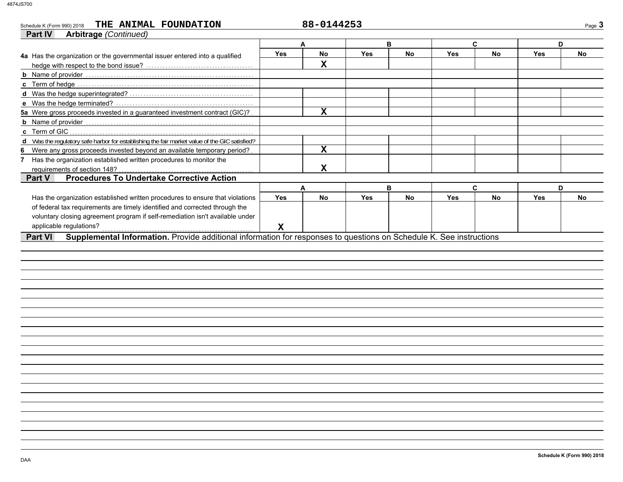| THE ANIMAL FOUNDATION<br>Schedule K (Form 990) 2018                                                                            |             | 88-0144253  |            |    |     |           |            | $Page$ 3  |
|--------------------------------------------------------------------------------------------------------------------------------|-------------|-------------|------------|----|-----|-----------|------------|-----------|
| Arbitrage (Continued)<br><b>Part IV</b>                                                                                        |             |             |            |    |     |           |            |           |
|                                                                                                                                |             | A           |            | В  |     | C         |            | D         |
| 4a Has the organization or the governmental issuer entered into a qualified                                                    | Yes         | No          | Yes        | No | Yes | No        | Yes        | <b>No</b> |
|                                                                                                                                |             | $\mathbf x$ |            |    |     |           |            |           |
|                                                                                                                                |             |             |            |    |     |           |            |           |
|                                                                                                                                |             |             |            |    |     |           |            |           |
|                                                                                                                                |             |             |            |    |     |           |            |           |
|                                                                                                                                |             |             |            |    |     |           |            |           |
| 5a Were gross proceeds invested in a guaranteed investment contract (GIC)?                                                     |             | $\mathbf x$ |            |    |     |           |            |           |
|                                                                                                                                |             |             |            |    |     |           |            |           |
| c Term of GIC                                                                                                                  |             |             |            |    |     |           |            |           |
| d Was the regulatory safe harbor for establishing the fair market value of the GIC satisfied?                                  |             |             |            |    |     |           |            |           |
| 6 Were any gross proceeds invested beyond an available temporary period?                                                       |             | $\mathbf X$ |            |    |     |           |            |           |
| 7 Has the organization established written procedures to monitor the                                                           |             |             |            |    |     |           |            |           |
|                                                                                                                                |             | $\mathbf x$ |            |    |     |           |            |           |
| Procedures To Undertake Corrective Action<br>Part V                                                                            |             |             |            |    |     |           |            |           |
|                                                                                                                                |             | A           |            | B  |     | C         |            | D         |
| Has the organization established written procedures to ensure that violations                                                  | <b>Yes</b>  | <b>No</b>   | <b>Yes</b> | No | Yes | <b>No</b> | <b>Yes</b> | No        |
| of federal tax requirements are timely identified and corrected through the                                                    |             |             |            |    |     |           |            |           |
| voluntary closing agreement program if self-remediation isn't available under                                                  |             |             |            |    |     |           |            |           |
| applicable regulations?                                                                                                        | $\mathbf x$ |             |            |    |     |           |            |           |
| Supplemental Information. Provide additional information for responses to questions on Schedule K. See instructions<br>Part VI |             |             |            |    |     |           |            |           |
|                                                                                                                                |             |             |            |    |     |           |            |           |
|                                                                                                                                |             |             |            |    |     |           |            |           |
|                                                                                                                                |             |             |            |    |     |           |            |           |
|                                                                                                                                |             |             |            |    |     |           |            |           |
|                                                                                                                                |             |             |            |    |     |           |            |           |
|                                                                                                                                |             |             |            |    |     |           |            |           |
|                                                                                                                                |             |             |            |    |     |           |            |           |
|                                                                                                                                |             |             |            |    |     |           |            |           |
|                                                                                                                                |             |             |            |    |     |           |            |           |
|                                                                                                                                |             |             |            |    |     |           |            |           |
|                                                                                                                                |             |             |            |    |     |           |            |           |
|                                                                                                                                |             |             |            |    |     |           |            |           |
|                                                                                                                                |             |             |            |    |     |           |            |           |
|                                                                                                                                |             |             |            |    |     |           |            |           |
|                                                                                                                                |             |             |            |    |     |           |            |           |
|                                                                                                                                |             |             |            |    |     |           |            |           |
|                                                                                                                                |             |             |            |    |     |           |            |           |
|                                                                                                                                |             |             |            |    |     |           |            |           |
|                                                                                                                                |             |             |            |    |     |           |            |           |
|                                                                                                                                |             |             |            |    |     |           |            |           |
|                                                                                                                                |             |             |            |    |     |           |            |           |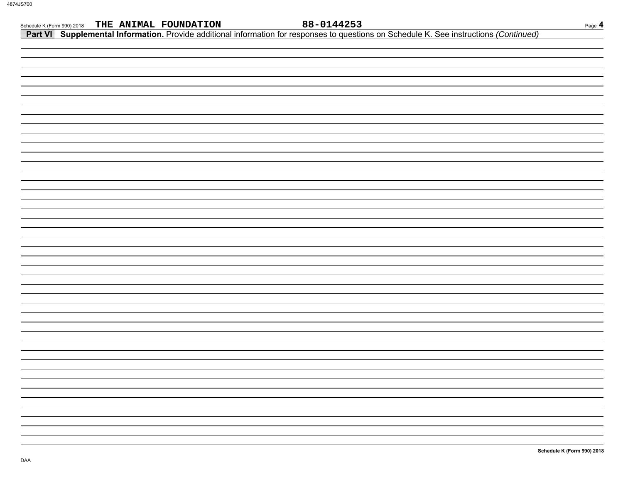|  |  |  | Schedule K (Form 990) 2018 THE ANIMAL FOUNDATION<br>Part VI Supplemental Information. Provide additional information for responses to questions on Schedule K. See instructions <i>(Continued)</i> | Page 4 |
|--|--|--|----------------------------------------------------------------------------------------------------------------------------------------------------------------------------------------------------|--------|
|  |  |  |                                                                                                                                                                                                    |        |
|  |  |  |                                                                                                                                                                                                    |        |
|  |  |  |                                                                                                                                                                                                    |        |
|  |  |  |                                                                                                                                                                                                    |        |
|  |  |  |                                                                                                                                                                                                    |        |
|  |  |  |                                                                                                                                                                                                    |        |
|  |  |  |                                                                                                                                                                                                    |        |
|  |  |  |                                                                                                                                                                                                    |        |
|  |  |  |                                                                                                                                                                                                    |        |
|  |  |  |                                                                                                                                                                                                    |        |
|  |  |  |                                                                                                                                                                                                    |        |
|  |  |  |                                                                                                                                                                                                    |        |
|  |  |  |                                                                                                                                                                                                    |        |
|  |  |  |                                                                                                                                                                                                    |        |
|  |  |  |                                                                                                                                                                                                    |        |
|  |  |  |                                                                                                                                                                                                    |        |
|  |  |  |                                                                                                                                                                                                    |        |
|  |  |  |                                                                                                                                                                                                    |        |
|  |  |  |                                                                                                                                                                                                    |        |
|  |  |  |                                                                                                                                                                                                    |        |
|  |  |  |                                                                                                                                                                                                    |        |
|  |  |  |                                                                                                                                                                                                    |        |
|  |  |  |                                                                                                                                                                                                    |        |
|  |  |  |                                                                                                                                                                                                    |        |
|  |  |  |                                                                                                                                                                                                    |        |
|  |  |  |                                                                                                                                                                                                    |        |
|  |  |  |                                                                                                                                                                                                    |        |
|  |  |  |                                                                                                                                                                                                    |        |
|  |  |  |                                                                                                                                                                                                    |        |
|  |  |  |                                                                                                                                                                                                    |        |
|  |  |  |                                                                                                                                                                                                    |        |
|  |  |  |                                                                                                                                                                                                    |        |
|  |  |  |                                                                                                                                                                                                    |        |
|  |  |  |                                                                                                                                                                                                    |        |
|  |  |  |                                                                                                                                                                                                    |        |
|  |  |  |                                                                                                                                                                                                    |        |
|  |  |  |                                                                                                                                                                                                    |        |
|  |  |  |                                                                                                                                                                                                    |        |
|  |  |  |                                                                                                                                                                                                    |        |
|  |  |  |                                                                                                                                                                                                    |        |
|  |  |  |                                                                                                                                                                                                    |        |
|  |  |  |                                                                                                                                                                                                    |        |
|  |  |  |                                                                                                                                                                                                    |        |
|  |  |  |                                                                                                                                                                                                    |        |
|  |  |  |                                                                                                                                                                                                    |        |
|  |  |  |                                                                                                                                                                                                    |        |
|  |  |  |                                                                                                                                                                                                    |        |
|  |  |  |                                                                                                                                                                                                    |        |
|  |  |  |                                                                                                                                                                                                    |        |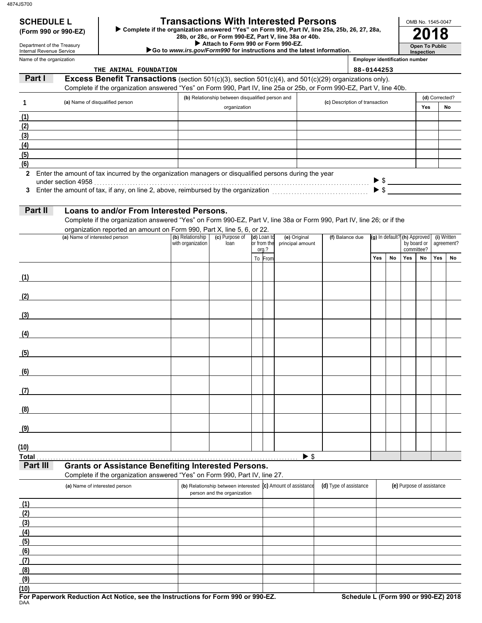### **SCHEDULE L Transactions With Interested Persons**

**(Form 990 or 990-EZ) ►** Complete if the organization answered "Yes" on Form 990, Part IV, line 25a, 25b, 26, 27, 28a,<br>28b, or 28c, or Form 990-EZ, Part V, line 38a or 40b.<br>2018

 **Attach to Form 990 or Form 990-EZ.**

**Go to** *www.irs.gov/Form990* **for instructions and the latest information.**

Name of the organization Department of the Treasury Internal Revenue Service

**Inspection Employer identification number**

**Open To Public**

OMB No. 1545-0047

|                  | THE ANIMAL FOUNDATION                                                                                                 |                                       |                                                                  |                            |         |                                  |                                | 88-0144253 |    |                                             |                                                                                              |                           |    |
|------------------|-----------------------------------------------------------------------------------------------------------------------|---------------------------------------|------------------------------------------------------------------|----------------------------|---------|----------------------------------|--------------------------------|------------|----|---------------------------------------------|----------------------------------------------------------------------------------------------|---------------------------|----|
| Part I           | <b>Excess Benefit Transactions</b> (section $501(c)(3)$ , section $501(c)(4)$ , and $501(c)(29)$ organizations only). |                                       |                                                                  |                            |         |                                  |                                |            |    |                                             |                                                                                              |                           |    |
|                  | Complete if the organization answered "Yes" on Form 990, Part IV, line 25a or 25b, or Form 990-EZ, Part V, line 40b.  |                                       |                                                                  |                            |         |                                  |                                |            |    |                                             |                                                                                              |                           |    |
| 1                | (a) Name of disqualified person                                                                                       |                                       | (b) Relationship between disqualified person and<br>organization |                            |         |                                  | (c) Description of transaction |            |    |                                             | Yes                                                                                          | (d) Corrected?            | No |
| (1)              |                                                                                                                       |                                       |                                                                  |                            |         |                                  |                                |            |    |                                             |                                                                                              |                           |    |
| (2)              |                                                                                                                       |                                       |                                                                  |                            |         |                                  |                                |            |    |                                             |                                                                                              |                           |    |
| (3)              |                                                                                                                       |                                       |                                                                  |                            |         |                                  |                                |            |    |                                             |                                                                                              |                           |    |
| $\overline{(4)}$ |                                                                                                                       |                                       |                                                                  |                            |         |                                  |                                |            |    |                                             |                                                                                              |                           |    |
| (5)              |                                                                                                                       |                                       |                                                                  |                            |         |                                  |                                |            |    |                                             |                                                                                              |                           |    |
| (6)              |                                                                                                                       |                                       |                                                                  |                            |         |                                  |                                |            |    |                                             |                                                                                              |                           |    |
| $\mathbf{2}$     | Enter the amount of tax incurred by the organization managers or disqualified persons during the year                 |                                       |                                                                  |                            |         |                                  |                                |            |    |                                             |                                                                                              |                           |    |
| 3                |                                                                                                                       |                                       |                                                                  |                            |         |                                  |                                |            |    |                                             | $\begin{array}{c c}\n\bullet & \bullet & \bullet & \bullet & \bullet & \bullet\n\end{array}$ |                           |    |
|                  |                                                                                                                       |                                       |                                                                  |                            |         |                                  |                                |            |    |                                             |                                                                                              |                           |    |
| Part II          | Loans to and/or From Interested Persons.                                                                              |                                       |                                                                  |                            |         |                                  |                                |            |    |                                             |                                                                                              |                           |    |
|                  | Complete if the organization answered "Yes" on Form 990-EZ, Part V, line 38a or Form 990, Part IV, line 26; or if the |                                       |                                                                  |                            |         |                                  |                                |            |    |                                             |                                                                                              |                           |    |
|                  | organization reported an amount on Form 990, Part X, line 5, 6, or 22.                                                |                                       |                                                                  |                            |         |                                  |                                |            |    |                                             |                                                                                              |                           |    |
|                  | (a) Name of interested person                                                                                         | (b) Relationship<br>with organization | (c) Purpose of<br>loan                                           | (d) Loan to<br>or from the |         | (e) Original<br>principal amount | (f) Balance due                |            |    | (g) In default? (h) Approved<br>by board or |                                                                                              | (i) Written<br>agreement? |    |
|                  |                                                                                                                       |                                       |                                                                  |                            | org.?   |                                  |                                |            |    |                                             | committee?                                                                                   |                           |    |
|                  |                                                                                                                       |                                       |                                                                  |                            | To From |                                  |                                | Yes        | No | Yes                                         | No                                                                                           | Yes                       | No |
|                  |                                                                                                                       |                                       |                                                                  |                            |         |                                  |                                |            |    |                                             |                                                                                              |                           |    |
| (1)              |                                                                                                                       |                                       |                                                                  |                            |         |                                  |                                |            |    |                                             |                                                                                              |                           |    |
| (2)              |                                                                                                                       |                                       |                                                                  |                            |         |                                  |                                |            |    |                                             |                                                                                              |                           |    |
|                  |                                                                                                                       |                                       |                                                                  |                            |         |                                  |                                |            |    |                                             |                                                                                              |                           |    |
| (3)              |                                                                                                                       |                                       |                                                                  |                            |         |                                  |                                |            |    |                                             |                                                                                              |                           |    |
|                  |                                                                                                                       |                                       |                                                                  |                            |         |                                  |                                |            |    |                                             |                                                                                              |                           |    |
| (4)              | <u> 1989 - Johann Stein, fransk politik (</u>                                                                         |                                       |                                                                  |                            |         |                                  |                                |            |    |                                             |                                                                                              |                           |    |
|                  |                                                                                                                       |                                       |                                                                  |                            |         |                                  |                                |            |    |                                             |                                                                                              |                           |    |
| (5)              | <u> 1989 - Andrea Station Books, amerikansk politik (</u>                                                             |                                       |                                                                  |                            |         |                                  |                                |            |    |                                             |                                                                                              |                           |    |
| (6)              |                                                                                                                       |                                       |                                                                  |                            |         |                                  |                                |            |    |                                             |                                                                                              |                           |    |
|                  | <u> 1989 - Jan Sterlinger van die Sterlinge van die Sterlinge van die Sterlinge van die Sterlinge van die Sterlin</u> |                                       |                                                                  |                            |         |                                  |                                |            |    |                                             |                                                                                              |                           |    |
| (7)              | <u> 1989 - Andrea Station Barbara, amerikan per</u>                                                                   |                                       |                                                                  |                            |         |                                  |                                |            |    |                                             |                                                                                              |                           |    |
|                  |                                                                                                                       |                                       |                                                                  |                            |         |                                  |                                |            |    |                                             |                                                                                              |                           |    |
| (8)              |                                                                                                                       |                                       |                                                                  |                            |         |                                  |                                |            |    |                                             |                                                                                              |                           |    |
|                  |                                                                                                                       |                                       |                                                                  |                            |         |                                  |                                |            |    |                                             |                                                                                              |                           |    |
| (9)              |                                                                                                                       |                                       |                                                                  |                            |         |                                  |                                |            |    |                                             |                                                                                              |                           |    |
| (10)             |                                                                                                                       |                                       |                                                                  |                            |         |                                  |                                |            |    |                                             |                                                                                              |                           |    |
| <b>Total</b>     |                                                                                                                       |                                       |                                                                  |                            |         | $\blacktriangleright$ \$         |                                |            |    |                                             |                                                                                              |                           |    |
| Part III         | <b>Grants or Assistance Benefiting Interested Persons.</b>                                                            |                                       |                                                                  |                            |         |                                  |                                |            |    |                                             |                                                                                              |                           |    |
|                  | Complete if the organization answered "Yes" on Form 990, Part IV, line 27.                                            |                                       |                                                                  |                            |         |                                  |                                |            |    |                                             |                                                                                              |                           |    |
|                  | (a) Name of interested person                                                                                         |                                       | (b) Relationship between interested                              |                            |         | (c) Amount of assistance         | (d) Type of assistance         |            |    |                                             | (e) Purpose of assistance                                                                    |                           |    |
|                  |                                                                                                                       |                                       | person and the organization                                      |                            |         |                                  |                                |            |    |                                             |                                                                                              |                           |    |
| (1)              |                                                                                                                       |                                       |                                                                  |                            |         |                                  |                                |            |    |                                             |                                                                                              |                           |    |
| (2)              |                                                                                                                       |                                       |                                                                  |                            |         |                                  |                                |            |    |                                             |                                                                                              |                           |    |
| (3)              |                                                                                                                       |                                       |                                                                  |                            |         |                                  |                                |            |    |                                             |                                                                                              |                           |    |
| (4)<br>(5)       |                                                                                                                       |                                       |                                                                  |                            |         |                                  |                                |            |    |                                             |                                                                                              |                           |    |
| (6)              |                                                                                                                       |                                       |                                                                  |                            |         |                                  |                                |            |    |                                             |                                                                                              |                           |    |
| (7)              |                                                                                                                       |                                       |                                                                  |                            |         |                                  |                                |            |    |                                             |                                                                                              |                           |    |
| (8)              |                                                                                                                       |                                       |                                                                  |                            |         |                                  |                                |            |    |                                             |                                                                                              |                           |    |
| (9)              |                                                                                                                       |                                       |                                                                  |                            |         |                                  |                                |            |    |                                             |                                                                                              |                           |    |
| (10)             |                                                                                                                       |                                       |                                                                  |                            |         |                                  |                                |            |    |                                             |                                                                                              |                           |    |

DAA **For Paperwork Reduction Act Notice, see the Instructions for Form 990 or 990-EZ. Schedule L (Form 990 or 990-EZ) 2018**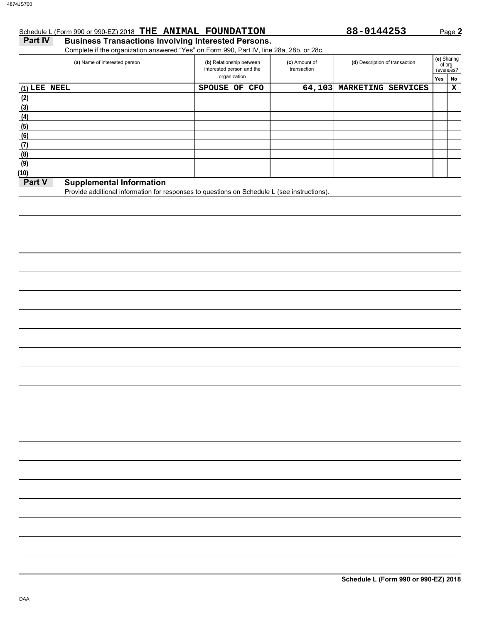## Schedule L (Form 990 or 990-EZ) 2018 Page **2 THE ANIMAL FOUNDATION 88-0144253**

## **Part IV Business Transactions Involving Interpreted Persons**

**NoYes** revenues?

| <b>Fall IV</b> | <b>BUSINESS Transactions involving interested Persons.</b>                               |                                                       |                              |                                |        |                                     |
|----------------|------------------------------------------------------------------------------------------|-------------------------------------------------------|------------------------------|--------------------------------|--------|-------------------------------------|
|                | Complete if the organization answered "Yes" on Form 990, Part IV, line 28a, 28b, or 28c. |                                                       |                              |                                |        |                                     |
|                | (a) Name of interested person                                                            | (b) Relationship between<br>interested person and the | (c) Amount of<br>transaction | (d) Description of transaction |        | (e) Sharing<br>of org.<br>revenues? |
|                |                                                                                          | organization                                          |                              |                                | Yes No |                                     |
| $(1)$ LEE NEEL |                                                                                          | SPOUSE OF CFO                                         |                              | 64,103 MARKETING SERVICES      |        | x                                   |
| (2)            |                                                                                          |                                                       |                              |                                |        |                                     |
| (3)            |                                                                                          |                                                       |                              |                                |        |                                     |
| (4)            |                                                                                          |                                                       |                              |                                |        |                                     |
| (5)            |                                                                                          |                                                       |                              |                                |        |                                     |

| (6)                                       |  |  |
|-------------------------------------------|--|--|
|                                           |  |  |
| (8)                                       |  |  |
| /۵                                        |  |  |
| (10)                                      |  |  |
| Part V<br><b>Supplemental Information</b> |  |  |

Provide additional information for responses to questions on Schedule L (see instructions).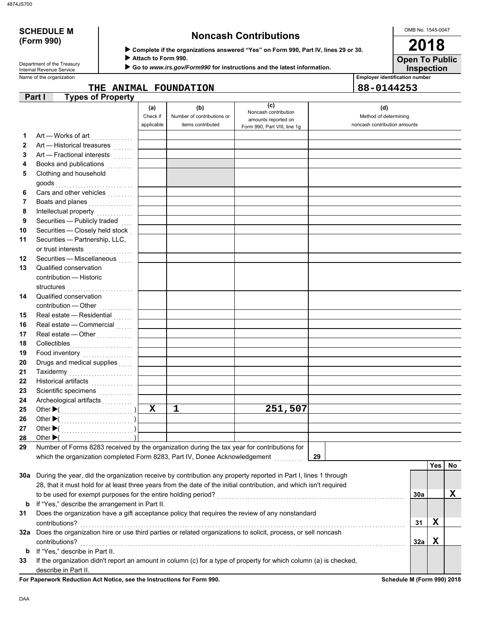# **(Form 990)**

## **SCHEDULE M Noncash Contributions**

OMB No. 1545-0047 **2018**

**Open To Public**

| Department of the Treasury |
|----------------------------|
| Internal Revenue Service   |

 **Complete if the organizations answered "Yes" on Form 990, Part IV, lines 29 or 30. Attach to Form 990.**

 **Go to** *www.irs.gov/Form990* **for instructions and the latest information.**

Name of the organization **Employer identification number Inspection**

**THE ANIMAL FOUNDATION 88-0144253**

|              | <b>Types of Property</b><br>Part I                                                                                 |             |                            |                                             |                              |     |     |    |
|--------------|--------------------------------------------------------------------------------------------------------------------|-------------|----------------------------|---------------------------------------------|------------------------------|-----|-----|----|
|              |                                                                                                                    | (a)         | (b)                        | (c)                                         | (d)                          |     |     |    |
|              |                                                                                                                    | Check if    | Number of contributions or | Noncash contribution<br>amounts reported on | Method of determining        |     |     |    |
|              |                                                                                                                    | applicable  | items contributed          | Form 990, Part VIII, line 1g                | noncash contribution amounts |     |     |    |
| 1            | Art - Works of art                                                                                                 |             |                            |                                             |                              |     |     |    |
| $\mathbf{2}$ | Art - Historical treasures                                                                                         |             |                            |                                             |                              |     |     |    |
| 3            | Art - Fractional interests<br><b>Service</b>                                                                       |             |                            |                                             |                              |     |     |    |
| 4            | Books and publications                                                                                             |             |                            |                                             |                              |     |     |    |
| 5            | Clothing and household                                                                                             |             |                            |                                             |                              |     |     |    |
|              | goods                                                                                                              |             |                            |                                             |                              |     |     |    |
| 6            | Cars and other vehicles <b>Cars</b>                                                                                |             |                            |                                             |                              |     |     |    |
| 7            | Boats and planes<br>.                                                                                              |             |                            |                                             |                              |     |     |    |
| 8            |                                                                                                                    |             |                            |                                             |                              |     |     |    |
| 9            | Securities - Publicly traded                                                                                       |             |                            |                                             |                              |     |     |    |
| 10           | Securities - Closely held stock                                                                                    |             |                            |                                             |                              |     |     |    |
| 11           | Securities - Partnership, LLC,                                                                                     |             |                            |                                             |                              |     |     |    |
|              | or trust interests                                                                                                 |             |                            |                                             |                              |     |     |    |
| 12           | Securities - Miscellaneous                                                                                         |             |                            |                                             |                              |     |     |    |
| 13           | Qualified conservation                                                                                             |             |                            |                                             |                              |     |     |    |
|              | contribution - Historic                                                                                            |             |                            |                                             |                              |     |     |    |
|              | structures                                                                                                         |             |                            |                                             |                              |     |     |    |
| 14           | Qualified conservation                                                                                             |             |                            |                                             |                              |     |     |    |
|              | contribution - Other                                                                                               |             |                            |                                             |                              |     |     |    |
| 15           | Real estate - Residential                                                                                          |             |                            |                                             |                              |     |     |    |
| 16           | Real estate - Commercial                                                                                           |             |                            |                                             |                              |     |     |    |
| 17           | Real estate - Other                                                                                                |             |                            |                                             |                              |     |     |    |
| 18           | Collectibles                                                                                                       |             |                            |                                             |                              |     |     |    |
| 19           | Food inventory                                                                                                     |             |                            |                                             |                              |     |     |    |
| 20           | Drugs and medical supplies                                                                                         |             |                            |                                             |                              |     |     |    |
| 21           | Taxidermy<br>.                                                                                                     |             |                            |                                             |                              |     |     |    |
| 22           | Historical artifacts                                                                                               |             |                            |                                             |                              |     |     |    |
| 23           | Scientific specimens                                                                                               |             |                            |                                             |                              |     |     |    |
| 24           | Archeological artifacts                                                                                            |             |                            |                                             |                              |     |     |    |
| 25           |                                                                                                                    | $\mathbf x$ | 1                          | 251,507                                     |                              |     |     |    |
| 26           |                                                                                                                    |             |                            |                                             |                              |     |     |    |
| 27           |                                                                                                                    |             |                            |                                             |                              |     |     |    |
| 28           | Other $\blacktriangleright$ (                                                                                      |             |                            |                                             |                              |     |     |    |
|              | 29 Number of Forms 8283 received by the organization during the tax year for contributions for                     |             |                            |                                             |                              |     |     |    |
|              | which the organization completed Form 8283, Part IV, Donee Acknowledgement                                         |             |                            |                                             | 29                           |     |     |    |
|              |                                                                                                                    |             |                            |                                             |                              |     | Yes | No |
|              | 30a During the year, did the organization receive by contribution any property reported in Part I, lines 1 through |             |                            |                                             |                              |     |     |    |
|              | 28, that it must hold for at least three years from the date of the initial contribution, and which isn't required |             |                            |                                             |                              |     |     |    |
|              | to be used for exempt purposes for the entire holding period?                                                      |             |                            |                                             |                              | 30a |     | X  |
|              | <b>b</b> If "Yes," describe the arrangement in Part II.                                                            |             |                            |                                             |                              |     |     |    |
| 31           | Does the organization have a gift acceptance policy that requires the review of any nonstandard                    |             |                            |                                             |                              |     |     |    |
|              | contributions?                                                                                                     |             |                            |                                             |                              | 31  | X   |    |
|              | 32a Does the organization hire or use third parties or related organizations to solicit, process, or sell noncash  |             |                            |                                             |                              |     |     |    |
|              | contributions?                                                                                                     |             |                            |                                             |                              | 32a | X   |    |
|              | <b>b</b> If "Yes," describe in Part II.                                                                            |             |                            |                                             |                              |     |     |    |
| 33           | If the organization didn't report an amount in column (c) for a type of property for which column (a) is checked,  |             |                            |                                             |                              |     |     |    |
|              | describe in Part II.                                                                                               |             |                            |                                             |                              |     |     |    |

**For Paperwork Reduction Act Notice, see the Instructions for Form 990. Schedule M (Form 990) 2018**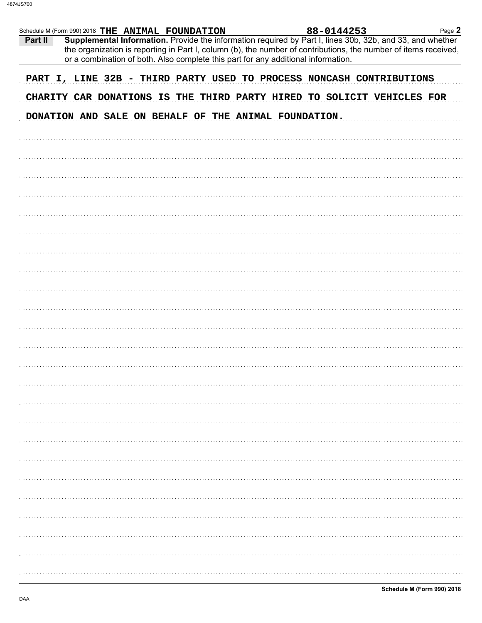| Schedule M (Form 990) 2018 THE ANIMAL FOUNDATION      |                                                                                   |  | 88-0144253                                                             | Page 2                                                                                                                                                                                                                       |
|-------------------------------------------------------|-----------------------------------------------------------------------------------|--|------------------------------------------------------------------------|------------------------------------------------------------------------------------------------------------------------------------------------------------------------------------------------------------------------------|
| Part II                                               |                                                                                   |  |                                                                        | Supplemental Information. Provide the information required by Part I, lines 30b, 32b, and 33, and whether<br>the organization is reporting in Part I, column (b), the number of contributions, the number of items received, |
|                                                       | or a combination of both. Also complete this part for any additional information. |  |                                                                        |                                                                                                                                                                                                                              |
|                                                       |                                                                                   |  | PART I, LINE 32B - THIRD PARTY USED TO PROCESS NONCASH CONTRIBUTIONS   |                                                                                                                                                                                                                              |
|                                                       |                                                                                   |  | CHARITY CAR DONATIONS IS THE THIRD PARTY HIRED TO SOLICIT VEHICLES FOR |                                                                                                                                                                                                                              |
| DONATION AND SALE ON BEHALF OF THE ANIMAL FOUNDATION. |                                                                                   |  |                                                                        |                                                                                                                                                                                                                              |
|                                                       |                                                                                   |  |                                                                        |                                                                                                                                                                                                                              |
|                                                       |                                                                                   |  |                                                                        |                                                                                                                                                                                                                              |
|                                                       |                                                                                   |  |                                                                        |                                                                                                                                                                                                                              |
|                                                       |                                                                                   |  |                                                                        |                                                                                                                                                                                                                              |
|                                                       |                                                                                   |  |                                                                        |                                                                                                                                                                                                                              |
|                                                       |                                                                                   |  |                                                                        |                                                                                                                                                                                                                              |
|                                                       |                                                                                   |  |                                                                        |                                                                                                                                                                                                                              |
|                                                       |                                                                                   |  |                                                                        |                                                                                                                                                                                                                              |
|                                                       |                                                                                   |  |                                                                        |                                                                                                                                                                                                                              |
|                                                       |                                                                                   |  |                                                                        |                                                                                                                                                                                                                              |
|                                                       |                                                                                   |  |                                                                        |                                                                                                                                                                                                                              |
|                                                       |                                                                                   |  |                                                                        |                                                                                                                                                                                                                              |
|                                                       |                                                                                   |  |                                                                        |                                                                                                                                                                                                                              |
|                                                       |                                                                                   |  |                                                                        |                                                                                                                                                                                                                              |
|                                                       |                                                                                   |  |                                                                        |                                                                                                                                                                                                                              |
|                                                       |                                                                                   |  |                                                                        |                                                                                                                                                                                                                              |
|                                                       |                                                                                   |  |                                                                        |                                                                                                                                                                                                                              |
|                                                       |                                                                                   |  |                                                                        |                                                                                                                                                                                                                              |
|                                                       |                                                                                   |  |                                                                        |                                                                                                                                                                                                                              |
|                                                       |                                                                                   |  |                                                                        |                                                                                                                                                                                                                              |
|                                                       |                                                                                   |  |                                                                        |                                                                                                                                                                                                                              |
|                                                       |                                                                                   |  |                                                                        |                                                                                                                                                                                                                              |
|                                                       |                                                                                   |  |                                                                        |                                                                                                                                                                                                                              |
|                                                       |                                                                                   |  |                                                                        |                                                                                                                                                                                                                              |
|                                                       |                                                                                   |  |                                                                        |                                                                                                                                                                                                                              |
|                                                       |                                                                                   |  |                                                                        |                                                                                                                                                                                                                              |
|                                                       |                                                                                   |  |                                                                        |                                                                                                                                                                                                                              |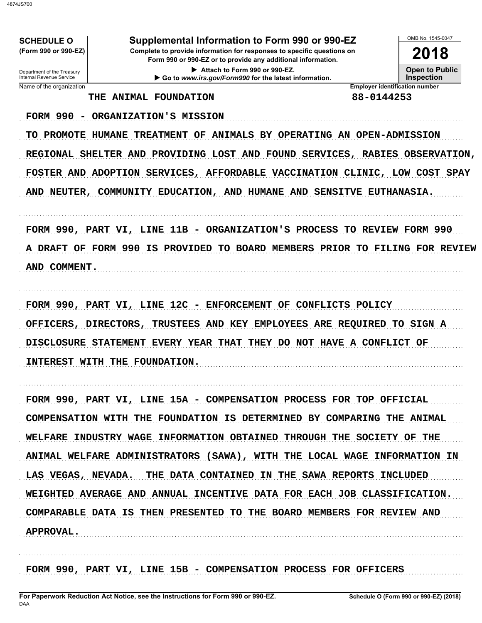4874JS700

| <b>SCHEDULE O</b><br>(Form 990 or 990-EZ)              | Supplemental Information to Form 990 or 990-EZ<br>Complete to provide information for responses to specific questions on<br>Form 990 or 990-EZ or to provide any additional information. |                        | OMB No. 1545-0047<br>2018                  |  |
|--------------------------------------------------------|------------------------------------------------------------------------------------------------------------------------------------------------------------------------------------------|------------------------|--------------------------------------------|--|
| Department of the Treasury<br>Internal Revenue Service |                                                                                                                                                                                          |                        | <b>Open to Public</b><br><b>Inspection</b> |  |
| Name of the organization                               |                                                                                                                                                                                          |                        | <b>Employer identification number</b>      |  |
|                                                        |                                                                                                                                                                                          | THE ANIMAL FOUNDATION  | 88-0144253                                 |  |
| FORM 990                                               |                                                                                                                                                                                          | ORGANIZATION'S MISSION |                                            |  |

REGIONAL SHELTER AND PROVIDING LOST AND FOUND SERVICES, RABIES OBSERVATION, FOSTER AND ADOPTION SERVICES, AFFORDABLE VACCINATION CLINIC, LOW COST SPAY AND NEUTER, COMMUNITY EDUCATION, AND HUMANE AND SENSITVE EUTHANASIA.

FORM 990, PART VI, LINE 11B - ORGANIZATION'S PROCESS TO REVIEW FORM 990 A DRAFT OF FORM 990 IS PROVIDED TO BOARD MEMBERS PRIOR TO FILING FOR REVIEW

AND COMMENT.

FORM 990, PART VI, LINE 12C - ENFORCEMENT OF CONFLICTS POLICY OFFICERS, DIRECTORS, TRUSTEES AND KEY EMPLOYEES ARE REQUIRED TO SIGN A DISCLOSURE STATEMENT EVERY YEAR THAT THEY DO NOT HAVE A CONFLICT OF INTEREST WITH THE FOUNDATION.

FORM 990, PART VI, LINE 15A - COMPENSATION PROCESS FOR TOP OFFICIAL COMPENSATION WITH THE FOUNDATION IS DETERMINED BY COMPARING THE ANIMAL WELFARE INDUSTRY WAGE INFORMATION OBTAINED THROUGH THE SOCIETY OF THE ANIMAL WELFARE ADMINISTRATORS (SAWA), WITH THE LOCAL WAGE INFORMATION IN LAS VEGAS, NEVADA. THE DATA CONTAINED IN THE SAWA REPORTS INCLUDED WEIGHTED AVERAGE AND ANNUAL INCENTIVE DATA FOR EACH JOB CLASSIFICATION. COMPARABLE DATA IS THEN PRESENTED TO THE BOARD MEMBERS FOR REVIEW AND APPROVAL.

FORM 990, PART VI, LINE 15B - COMPENSATION PROCESS FOR OFFICERS